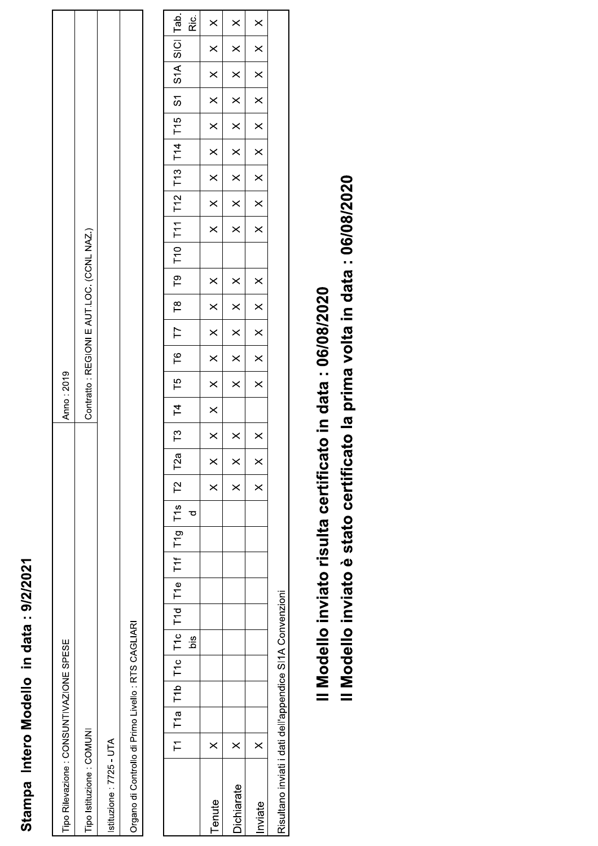## Stampa Intero Modello in data: 9/2/2021

| Tipo Rilevazione : CONSUNTIVAZIONE SPESE           | Anno: 2019                                |
|----------------------------------------------------|-------------------------------------------|
| Tipo Istituzione : COMUNI                          | Contratto: REGIONI E AUT.LOC. (CCNL NAZ.) |
| stituzione: 7725 - UTA                             |                                           |
| Organo di Controllo di Primo Livello: RTS CAGLIARI |                                           |

| lTab.                                                               | ن<br>تة | $\times$             | $\times$             | $\times$                |                                    |
|---------------------------------------------------------------------|---------|----------------------|----------------------|-------------------------|------------------------------------|
| $\frac{1}{2}$                                                       |         | $\times$             | $\times$             | $\times$                |                                    |
| S A                                                                 |         | $\times$             | $\times$             | $\times$                |                                    |
| $\overline{5}$                                                      |         | $\times$             | $\times$             | $\times$                |                                    |
|                                                                     |         | $\times$             | $\times$             | $\times$                |                                    |
| $T11$ $T12$ $T13$ $T14$ $T15$                                       |         | $\times$             | $\times$             | $\times$                |                                    |
|                                                                     |         | $\times$             | $\times$             | $\times$                |                                    |
|                                                                     |         | $\times$             | $\times$             | $\times$                |                                    |
|                                                                     |         | $\times$             | $\times$             | $\times$                |                                    |
|                                                                     |         |                      |                      |                         |                                    |
| T9   T10                                                            |         | $\times$             | $\times$             | $\times$                |                                    |
| $\frac{1}{2}$                                                       |         | $\times$             | $\times$             | $\overline{\mathbf{x}}$ |                                    |
| $\begin{array}{c} \n\overline{17} \n\end{array}$                    |         | $\times$             | $\times$             | $\times$                |                                    |
| $\overline{16}$                                                     |         | $\times$             | $\times$             | $\times$                |                                    |
|                                                                     |         | $\times$             | $\times$             | $\times$                |                                    |
| T3   T4   T5                                                        |         | $\times$             |                      |                         |                                    |
|                                                                     |         | $\times$             | $\times$             | $\times$                |                                    |
|                                                                     |         | $\times$<br>$\times$ | $\times$<br>$\times$ | $\times$                |                                    |
|                                                                     |         |                      |                      |                         |                                    |
|                                                                     | ರ       |                      |                      |                         |                                    |
| T1   T1a   T1b   T1c   T1c   T1d   T1e   T11   T19   T1s   T2   T2a |         |                      |                      |                         |                                    |
|                                                                     |         |                      |                      |                         |                                    |
|                                                                     |         |                      |                      |                         |                                    |
|                                                                     |         |                      |                      |                         |                                    |
|                                                                     | öis     |                      |                      |                         |                                    |
|                                                                     |         |                      |                      |                         | $\sim$ $\sim$ $\sim$ $\sim$ $\sim$ |
|                                                                     |         |                      |                      |                         |                                    |
|                                                                     |         |                      |                      |                         |                                    |
|                                                                     |         | $\times$             | $\times$             | $\times$                |                                    |
|                                                                     |         | Tenute               | Dichiarate           | nviate                  | ミー・・・・・ ・・ ・・                      |

Risultano inviati i dati dell'appendice SI1A Convenzioni

Il Modello inviato risulta certificato in data: 06/08/2020

Il Modello inviato è stato certificato la prima volta in data : 06/08/2020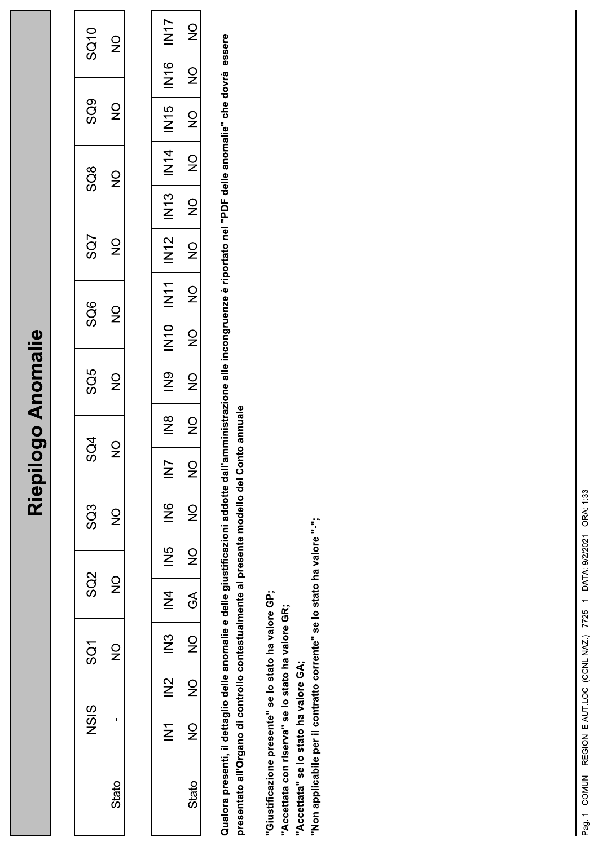## Riepilogo Anomalie

| SQ10                     | $\frac{0}{2}$                                 |  |
|--------------------------|-----------------------------------------------|--|
| SQ9                      | $\frac{\mathsf{O}}{\mathsf{Z}}$               |  |
| $\overline{\text{SO}}$ 8 | $\frac{0}{2}$                                 |  |
| SQ7                      | $\frac{\mathsf{O}}{\mathsf{Z}}$               |  |
| SQ6                      | $\frac{\mathsf{O}}{\mathsf{Z}}$               |  |
| SQ5                      | $\frac{0}{Z}$                                 |  |
| Ğ<br>S                   |                                               |  |
| SQ3                      | $\supsetneq$                                  |  |
| SQ2                      | $\mathrel{\mathop{\supset}_{\!\!\!\!\!\!}}\,$ |  |
| င္တြ                     | ò                                             |  |
| ပ္သည္                    |                                               |  |
|                          | Stato                                         |  |

| $\overline{\Sigma}$         | $\frac{0}{2}$                              |
|-----------------------------|--------------------------------------------|
| ©<br>N1                     | $\mathop{\supseteq}\limits_{{\mathbb{Z}}}$ |
| 5<br>N15                    | $\frac{0}{2}$                              |
| マ<br>N<br>N                 | $\frac{0}{2}$                              |
| IN13                        | $\mathsf{S}^{\mathsf{O}}$                  |
| IN 12                       | $\frac{0}{2}$                              |
| T<br>N1                     | $\frac{\mathsf{O}}{\mathsf{Z}}$            |
| $\overline{\mathsf{N}}$ 10  | $\supsetneq$                               |
| ဉာ                          | $\mathsf{S}^{\mathsf{O}}$                  |
| $\frac{\infty}{\mathbb{Z}}$ | O<br>7                                     |
| $\bar{z}$                   | $\mathsf{S}^{\mathsf{O}}$                  |
| $\frac{\infty}{\mathbb{Z}}$ | $\mathsf{Q}$                               |
| ر<br>N                      | $\mathsf{Q}$                               |
| $\frac{4}{5}$               | $\Im$                                      |
| $\frac{3}{2}$               | $\frac{1}{2}$                              |
| $\stackrel{\sim}{\simeq}$   | $\mathsf{Q}$                               |
|                             | $\stackrel{\circ}{\Rightarrow}$            |
|                             | Stato                                      |

Qualora presenti, il dettaglio delle anomalie e delle giustificazioni addotte dall'amministrazione alle incongruenze è riportato nel "PDF delle anomalie" che dovrà essere presentato all'Organo di controllo contestualmente al presente modello del Conto annuale

"Giustificazione presente" se lo stato ha valore GP;

"Accettata con riserva" se lo stato ha valore GR;

"Accettata" se lo stato ha valore GA;

"Non applicabile per il contratto corrente" se lo stato ha valore "-";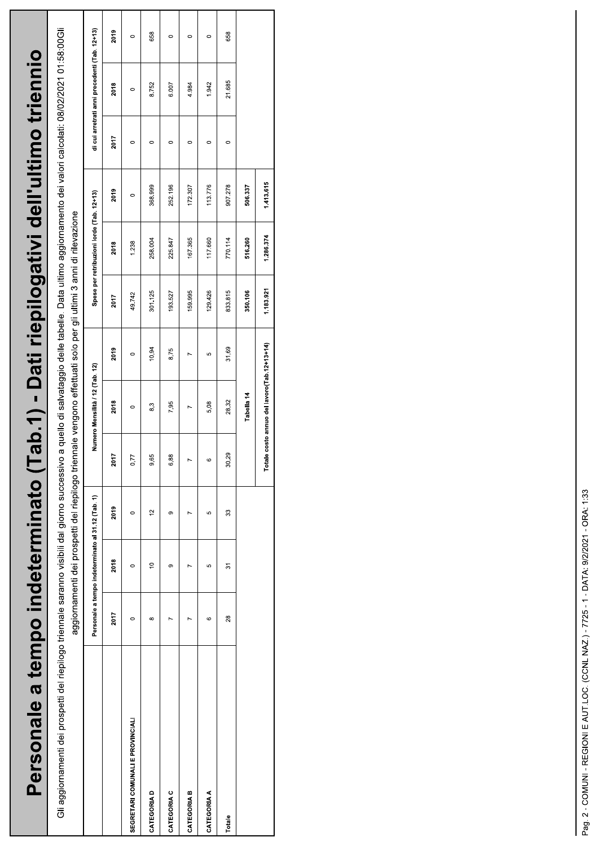| Personale a tempo indeterminato (Tab.1) - Dati riepilogativi dell'ultimo triennio              |         |                                                   |                                                                                                                  |         |                                         |         |         |                                           |                                                                                                               |         |                                               |         |
|------------------------------------------------------------------------------------------------|---------|---------------------------------------------------|------------------------------------------------------------------------------------------------------------------|---------|-----------------------------------------|---------|---------|-------------------------------------------|---------------------------------------------------------------------------------------------------------------|---------|-----------------------------------------------|---------|
| Gli aggiornamenti dei prospetti del riepilogo triennale saranno visibili dal giorno successivo |         |                                                   | aggiornamenti dei prospetti del riepilogo triennale vengono effettuati solo per gli ultimi 3 anni di rilevazione |         |                                         |         |         |                                           | a quello di salvataggio delle tabelle. Data ultimo aggiornamento dei valori calcolati: 08/02/2021 01:58:00Gli |         |                                               |         |
|                                                                                                |         | Personale a tempo indeterminato al 31.12 (Tab. 1) |                                                                                                                  |         | Numero Mensilità / 12 (Tab. 12)         |         |         | Spese per retribuzioni lorde (Tab. 12+13) |                                                                                                               |         | di cui arretrati anni precedenti (Tab. 12+13) |         |
|                                                                                                | 2017    | 2018                                              | 2019                                                                                                             | 2017    | 2018                                    | 2019    | 2017    | 2018                                      | 2019                                                                                                          | 2017    | 2018                                          | 2019    |
| SEGRETARI COMUNALI E PROVINCIALI                                                               | $\circ$ | $\circ$                                           | $\circ$                                                                                                          | 0,77    | $\circ$                                 | $\circ$ | 49.742  | 1.238                                     | $\circ$                                                                                                       | $\circ$ | $\circ$                                       | $\circ$ |
| <b>CATEGORIAD</b>                                                                              | ∞       | $\tilde{a}$                                       | $\tilde{c}$                                                                                                      | 9,65    | 8,3                                     | 10,94   | 301.125 | 258.004                                   | 368.999                                                                                                       | $\circ$ | 8.752                                         | 658     |
| CATEGORIA C                                                                                    |         | თ                                                 | ග                                                                                                                | 6,88    | 7,95                                    | 8,75    | 193.527 | 225.847                                   | 252.196                                                                                                       | $\circ$ | 6.007                                         | $\circ$ |
| CATEGORIA B                                                                                    | L       |                                                   |                                                                                                                  | N       | $\overline{ }$                          |         | 159.995 | 167.365                                   | 172.307                                                                                                       | $\circ$ | 4.984                                         | 0       |
| <b>CATEGORIA A</b>                                                                             | 6       | ю                                                 | ю                                                                                                                | $\circ$ | 5,08                                    | မာ      | 129.426 | 117.660                                   | 113.776                                                                                                       | $\circ$ | 1.942                                         | $\circ$ |
| Totale                                                                                         | 28      | 5                                                 | 33                                                                                                               | 30,29   | 28,32                                   | 31,69   | 833.815 | 770.114                                   | 907.278                                                                                                       | $\circ$ | 21.685                                        | 658     |
|                                                                                                |         |                                                   |                                                                                                                  |         | Tabella 14                              |         | 350,106 | 516.260                                   | 506.337                                                                                                       |         |                                               |         |
|                                                                                                |         |                                                   |                                                                                                                  | Total   | e costo annuo del lavoro(Tab. 12+13+14) |         | 1183921 | 1.286.374                                 | 1413.615                                                                                                      |         |                                               |         |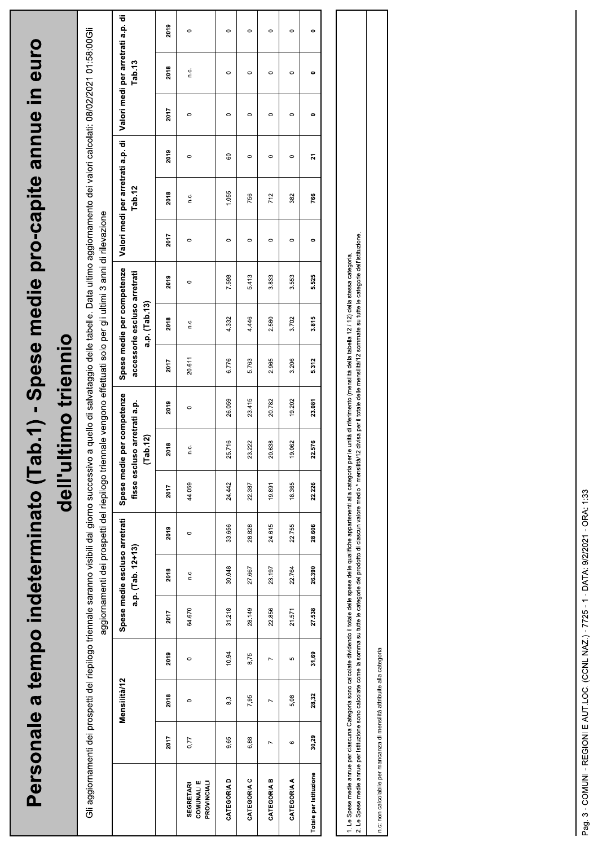|                                                                                                                                                                                                                                                                                                                                                                                                                                                                  |                | Personale a tempo indeterminato (Ta |                |        |                                                    |                                                                                                                  | u'lleb      |                                           | timo triennio  |        |                                                                             |         |           |                                              |         | b.1) - Spese medie pro-capite anne in euro                                                                    |                                             |         |
|------------------------------------------------------------------------------------------------------------------------------------------------------------------------------------------------------------------------------------------------------------------------------------------------------------------------------------------------------------------------------------------------------------------------------------------------------------------|----------------|-------------------------------------|----------------|--------|----------------------------------------------------|------------------------------------------------------------------------------------------------------------------|-------------|-------------------------------------------|----------------|--------|-----------------------------------------------------------------------------|---------|-----------|----------------------------------------------|---------|---------------------------------------------------------------------------------------------------------------|---------------------------------------------|---------|
| Gli aggiornamenti dei prospetti del riepilogo triennale saranno visibili dal giorno successivo                                                                                                                                                                                                                                                                                                                                                                   |                |                                     |                |        |                                                    | aggiornamenti dei prospetti del riepilogo triennale vengono effettuati solo per gli ultimi 3 anni di rilevazione |             |                                           |                |        |                                                                             |         |           |                                              |         | a quello di salvataggio delle tabelle. Data ultimo aggiornamento dei valori calcolati: 08/02/2021 01:58:00Gli |                                             |         |
|                                                                                                                                                                                                                                                                                                                                                                                                                                                                  |                | Mensilità/12                        |                |        | Spese medie escluso arretrati<br>a.p. (Tab. 12+13) |                                                                                                                  | Spese medie | fisse escluso arretrati a.p.<br>(Tab. 12) | per competenze |        | Spese medie per competenze<br>accessorie escluso arretrati<br>a.p. (Tab.13) |         |           | Valori medi per arretrati a.p. di<br>Tab. 12 |         |                                                                                                               | Valori medi per arretrati a.p. di<br>Tab.13 |         |
|                                                                                                                                                                                                                                                                                                                                                                                                                                                                  | 2017           | 2018                                | 2019           | 2017   | 2018                                               | 2019                                                                                                             | 2017        | 2018                                      | 2019           | 2017   | 2018                                                                        | 2019    | 2017      | 2018                                         | 2019    | 2017                                                                                                          | 2018                                        | 2019    |
| <b>COMUNALIE</b><br>PROVINCIALI<br><b>SEGRETARI</b>                                                                                                                                                                                                                                                                                                                                                                                                              | 0,77           | $\circ$                             | $\circ$        | 64.670 | Ω.                                                 | $\circ$                                                                                                          | 44.059      | n.c.                                      | $\circ$        | 20.611 | C.                                                                          | $\circ$ | $\circ$   | n.c.                                         | $\circ$ | $\circ$                                                                                                       | C.                                          | $\circ$ |
| CATEGORIA D                                                                                                                                                                                                                                                                                                                                                                                                                                                      | 9,65           | 8,3                                 | 10,94          | 31.218 | 30.048                                             | 33.656                                                                                                           | 24.442      | 25.716                                    | 26.059         | 6.776  | 4.332                                                                       | 7.598   | $\circ$   | 1.055                                        | 8       | $\circ$                                                                                                       | $\circ$                                     | $\circ$ |
| CATEGORIA C                                                                                                                                                                                                                                                                                                                                                                                                                                                      | 6,88           | 7,95                                | 8,75           | 28.149 | 27.667                                             | 28.828                                                                                                           | 22.387      | 23.222                                    | 23.415         | 5.763  | 4.446                                                                       | 5.413   | $\circ$   | 756                                          | $\circ$ | $\circ$                                                                                                       | $\circ$                                     | $\circ$ |
| CATEGORIA B                                                                                                                                                                                                                                                                                                                                                                                                                                                      | $\overline{ }$ | $\overline{ }$                      | $\overline{ }$ | 22.856 | 23.197                                             | 24.615                                                                                                           | 19.891      | 20.638                                    | 20.782         | 2.965  | 2.560                                                                       | 3.833   | $\circ$   | 712                                          | $\circ$ | $\circ$                                                                                                       | $\circ$                                     | $\circ$ |
| CATEGORIA A                                                                                                                                                                                                                                                                                                                                                                                                                                                      | $\circ$        | 5,08                                | Ю              | 21.571 | 22.764                                             | 22.755                                                                                                           | 18.365      | 19.062                                    | 19.202         | 3.206  | 3.702                                                                       | 3.553   | $\circ$   | 382                                          | $\circ$ | $\circ$                                                                                                       | $\circ$                                     | $\circ$ |
| Totale per Istituzione                                                                                                                                                                                                                                                                                                                                                                                                                                           | 30,29          | 28,32                               | 31,69          | 27.538 | 26.390                                             | 28.606                                                                                                           | 22226       | 2576                                      | 23.081         | 5.312  | 3.815                                                                       | 5.525   | $\bullet$ | 766                                          | 21      | 0                                                                                                             | 0                                           | 0       |
|                                                                                                                                                                                                                                                                                                                                                                                                                                                                  |                |                                     |                |        |                                                    |                                                                                                                  |             |                                           |                |        |                                                                             |         |           |                                              |         |                                                                                                               |                                             |         |
| 2. Le Spese medie annue per Istituzione sono calcolate come la sonma su tutte le categorie del prodotto di ciascun valore media "nensilia" a divisa per il totale delle mensilità" / 2 sommate su tutte le categorie dell'Isti<br>1. Le Spese medie annue per ciascuna Categoria sono calcolate dividendo il totale delle spese delle qualifiche appartenenti alla categoria per le unità di riferimento (mensilità della tabella 12/12) della stessa categoria. |                |                                     |                |        |                                                    |                                                                                                                  |             |                                           |                |        |                                                                             |         |           |                                              |         |                                                                                                               |                                             |         |
|                                                                                                                                                                                                                                                                                                                                                                                                                                                                  |                |                                     |                |        |                                                    |                                                                                                                  |             |                                           |                |        |                                                                             |         |           |                                              |         |                                                                                                               |                                             |         |

n.c: non calcolabile per mancanza di mensilità attribuite alla categoria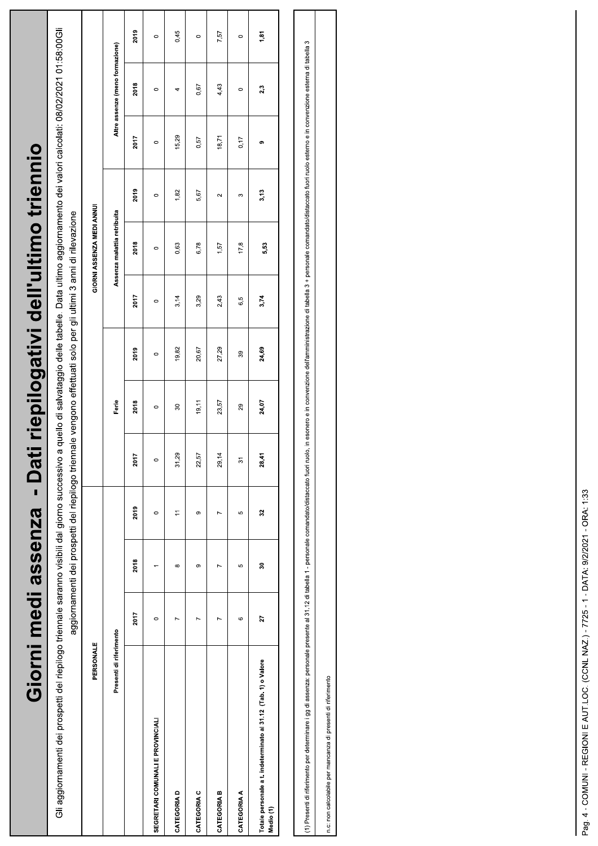| Giorni medi assenza - Da                                                                                                                                                                                     |         |          |                |       |                                                                                                                  |         |         |                             | ti riepilogativi dell'ultimo triennio |         |                                 |         |
|--------------------------------------------------------------------------------------------------------------------------------------------------------------------------------------------------------------|---------|----------|----------------|-------|------------------------------------------------------------------------------------------------------------------|---------|---------|-----------------------------|---------------------------------------|---------|---------------------------------|---------|
| Gli aggiornamenti dei prospetti del riepilogo triennale saranno visibili dal giorno successivo a quello di salvataggio delle tabelle. Data ultimo aggiornamento dei valori calcolati: 08/02/2021 01:58:00Gli |         |          |                |       | aggiornamenti dei prospetti del riepilogo triennale vengono effettuati solo per gli ultimi 3 anni di rilevazione |         |         |                             |                                       |         |                                 |         |
| PERSONALE                                                                                                                                                                                                    |         |          |                |       |                                                                                                                  |         |         | GIORNI ASSENZA MEDI ANNU    |                                       |         |                                 |         |
| Presenti di riferimento                                                                                                                                                                                      |         |          |                |       | Ferie                                                                                                            |         |         | Assenza malattia retribuita |                                       |         | Altre assenze (meno formazione) |         |
|                                                                                                                                                                                                              | 2017    | 2018     | 2019           | 2017  | 2018                                                                                                             | 2019    | 2017    | 2018                        | 2019                                  | 2017    | 2018                            | 2019    |
| SEGRETARI COMUNALI E PROVINCIALI                                                                                                                                                                             | $\circ$ |          | $\circ$        |       | $\circ$                                                                                                          | $\circ$ | $\circ$ | $\circ$                     | $\circ$                               | $\circ$ | $\circ$                         | $\circ$ |
| CATEGORIA D                                                                                                                                                                                                  | Z       | $\infty$ | $\overline{ }$ | 31,29 | 30                                                                                                               | 19,82   | 3,14    | 0,63                        | 1,82                                  | 15,29   | 4                               | 0,45    |
| CATEGORIA C                                                                                                                                                                                                  |         | $\sigma$ | თ              | 22,57 | 19, 11                                                                                                           | 20,67   | 3,29    | 6,78                        | 5,67                                  | 0,57    | 0,67                            | $\circ$ |
| CATEGORIA B                                                                                                                                                                                                  | L       | r        | Z              | 29,14 | 23,57                                                                                                            | 27,29   | 2,43    | 1,57                        | 2                                     | 18,71   | 4,43                            | 7,57    |
| <b>CATEGORIA A</b>                                                                                                                                                                                           | 6       | Ю        | ю              | က်    | 29                                                                                                               | 39      | 6,5     | 17,8                        | S                                     | 0,17    | $\circ$                         | $\circ$ |
| Totale personale a t. indeterminato al 31.12 (Tab. 1) o Valore<br>Medio (1)                                                                                                                                  | 27      | 30       | $\overline{3}$ | 28,41 | 24,07                                                                                                            | 24,69   | 3,74    | 5,53                        | 3,13                                  | ග       | 2,3                             | 1,81    |
|                                                                                                                                                                                                              |         |          |                |       |                                                                                                                  |         |         |                             |                                       |         |                                 |         |
|                                                                                                                                                                                                              |         |          |                |       |                                                                                                                  |         |         |                             |                                       |         |                                 |         |

(1) Presenti di riferimento per determinare i gg di assenza: personale presente a 1 - personale comandato/distaccato fuori ruolo, in esonero e in convenzione dell'amministrazione di tabella 3 + personale comandato/distacca

n.c: non calcolabile per mancanza di presenti di riferimento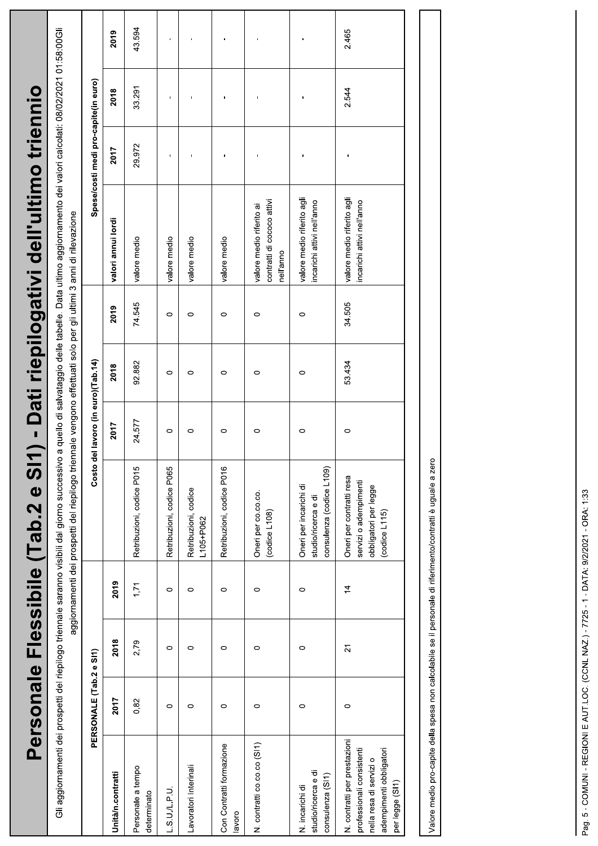| PERSONALE (Tab.2 e SI1)                                                                                                                       |                |                | Gli aggiornamenti dei prospetti del riepilogo triennale saranno visibili dal giorno successivo a quello di salvataggio delle tabelle. Data ultimo aggiornamento dei valori calcolati: 08/02/2021 01:58:00Gli |                                    |         |        | ) - Dati riepilogativi dell'ultimo triennio                         |                                      |        |        |
|-----------------------------------------------------------------------------------------------------------------------------------------------|----------------|----------------|--------------------------------------------------------------------------------------------------------------------------------------------------------------------------------------------------------------|------------------------------------|---------|--------|---------------------------------------------------------------------|--------------------------------------|--------|--------|
|                                                                                                                                               |                |                | aggiornamenti dei prospetti del riepilogo trienr                                                                                                                                                             |                                    |         |        | nale vengono effettuati solo per gli ultimi 3 anni di rilevazione   |                                      |        |        |
|                                                                                                                                               |                |                |                                                                                                                                                                                                              | Costo del lavoro (in euro)(Tab.14) |         |        |                                                                     | Spese/costi medi pro-capite(in euro) |        |        |
| 2017<br>Unità/n.contratti                                                                                                                     | 2018           | 2019           |                                                                                                                                                                                                              | 2017                               | 2018    | 2019   | valori annui lordi                                                  | 2017                                 | 2018   | 2019   |
| 0,82<br>Personale a tempo<br>determinato                                                                                                      | 2,79           | 1,71           | Retribuzioni, codice P015                                                                                                                                                                                    | 24.577                             | 92.882  | 74.545 | valore medio                                                        | 29.972                               | 33.291 | 43.594 |
| 0<br>.S.U.L.P.U.                                                                                                                              | 0              | $\circ$        | Retribuzioni, codice P065                                                                                                                                                                                    | $\circ$                            | $\circ$ | 0      | valore medio                                                        | f.                                   |        |        |
| 0<br>Lavoratori Interinali                                                                                                                    | 0              | 0              | Retribuzioni, codice<br>L105+P062                                                                                                                                                                            | $\circ$                            | 0       | 0      | valore medio                                                        |                                      |        |        |
| 0<br>Con Contratti formazione<br>lavoro                                                                                                       | 0              | 0              | Retribuzioni, codice P016                                                                                                                                                                                    | $\circ$                            | 0       | 0      | valore medio                                                        |                                      |        |        |
| $\circ$<br>N. contratti co.co.co (SI1)                                                                                                        | $\circ$        | $\circ$        | Oneri per co.co.co.<br>(codiced L108)                                                                                                                                                                        | $\circ$                            | 0       | 0      | contratti di cococo attivi<br>valore medio riferito ai<br>nell'anno |                                      |        |        |
| 0<br>studio/ricerca e di<br>consulenza (SI1)<br>N. incarichi di                                                                               | 0              | $\circ$        | consulenza (codice L109)<br>Oneri per incarichi di<br>studio/ricerca e di                                                                                                                                    | 0                                  | 0       | 0      | valore medio riferito agli<br>incarichi attivi nell'anno            |                                      |        |        |
| $\circ$<br>N. contratti per prestazioni<br>adempimenti obbligatori<br>professionali consistenti<br>nella resa di servizi o<br>per legge (SI1) | $\overline{2}$ | $\overline{4}$ | Oneri per contratti resa<br>servizi o adempimenti<br>obbligatori per legge<br>(codicel115)                                                                                                                   | $\circ$                            | 53.434  | 34.505 | valore medio riferito agli<br>incarichi attivi nell'anno            |                                      | 2.544  | 2.465  |

Valore medio pro-capite della spesa non calcolabile se il personale di riferimento/contratti è uguale a zero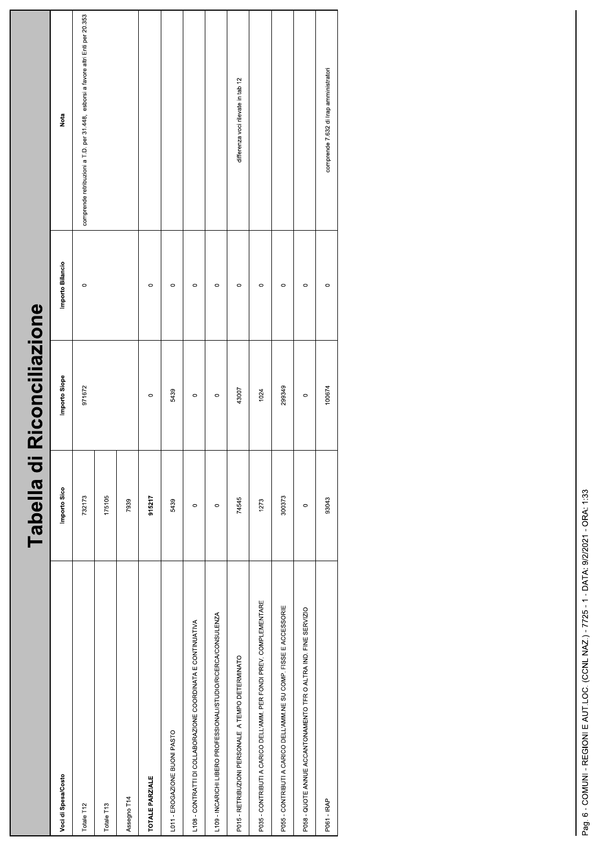| Voci di Spesa/Costo                                                | Importo Sico | Importo Siope | Importo Bilancio | Nota                                                                             |
|--------------------------------------------------------------------|--------------|---------------|------------------|----------------------------------------------------------------------------------|
| Totale T12                                                         | 732173       | 971672        | $\circ$          | comprende retribuzioni a T.D. per 31.448, esborsi a favore altri Enti per 20.353 |
| Totale T13                                                         | 175105       |               |                  |                                                                                  |
| Assegno T14                                                        | 7939         |               |                  |                                                                                  |
| <b>TOTALE PARZIALE</b>                                             | 915217       | $\circ$       | $\circ$          |                                                                                  |
| L011 - EROGAZIONE BUONI PASTO                                      | 5439         | 5439          | $\circ$          |                                                                                  |
| L108 - CONTRATTI DI COLLABORAZIONE COORDINATA E CONTINUATIVA       | $\circ$      | $\circ$       | $\circ$          |                                                                                  |
| L109 - INCARICHI LIBERO PROFESSIONALI/STUDIO/RICERCA/CONSULENZA    | $\circ$      | $\circ$       | $\circ$          |                                                                                  |
| P015 - RETRIBUZIONI PERSONALE A TEMPO DETERMINATO                  | 74545        | 43007         | $\circ$          | differenza voci rilevate in tab 12                                               |
| P035 - CONTRIBUTI A CARICO DELL'AMM. PER FONDI PREV. COMPLEMENTARE | 1273         | 1024          | $\circ$          |                                                                                  |
| P055 - CONTRIBUTI A CARICO DELL'AMM.NE SU COMP. FISSE E ACCESSORIE | 300373       | 299349        | $\circ$          |                                                                                  |
| P058 - QUOTE ANNUE ACCANTONAMENTO TFR O ALTRA IND. FINE SERVIZIO   | $\circ$      | $\circ$       | $\circ$          |                                                                                  |
| P061 - IRAP                                                        | 93043        | 100674        | $\circ$          | comprende 7.632 di Irap amministratori                                           |
|                                                                    |              |               |                  |                                                                                  |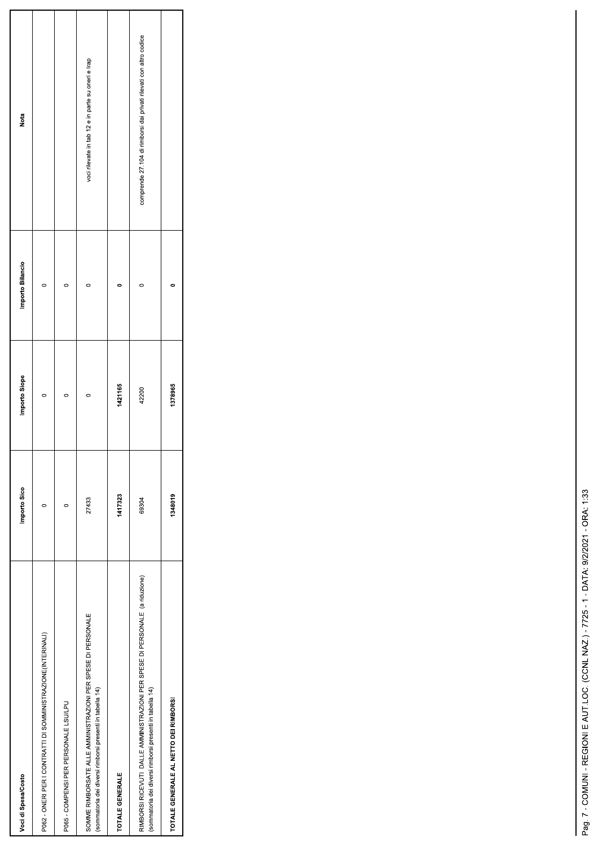| Voci di Spesa/Costo                                                                                                                      | Importo Sico | Importo Siope | Importo Bilancio | Nota                                                               |
|------------------------------------------------------------------------------------------------------------------------------------------|--------------|---------------|------------------|--------------------------------------------------------------------|
| P062 - ONERI PER I CONTRATTI DI SOMMINISTRAZIONE(INTERINALI)                                                                             |              |               |                  |                                                                    |
| P065 - COMPENSI PER PERSONALE LSU/LPU                                                                                                    |              | $\circ$       |                  |                                                                    |
| SOMME RIMBORSATE ALLE AMMINISTRAZIONI PER SPESE DI PERSONALE<br>(sommatoria dei diversi rimborsi presenti in tabella 14)                 | 27433        | c             |                  | voci rilevate in tab 12 e in parte su oneri e Irap                 |
| TOTALE GENERALE                                                                                                                          | 1417323      | 1421165       |                  |                                                                    |
| RIMBORSI RICEVUTI DALLE AMMINISTRAZIONI PER SPESE DI PERSONALE (a riduzione)<br>(sommatoria dei diversi rimborsi presenti in tabella 14) | 69304        | 42200         |                  | comprende 27.104 di rimborsi dai privati rilevati con altro codice |
| TOTALE GENERALE AL NETTO DEI RIMBORSI                                                                                                    | 1348019      | 1378965       |                  |                                                                    |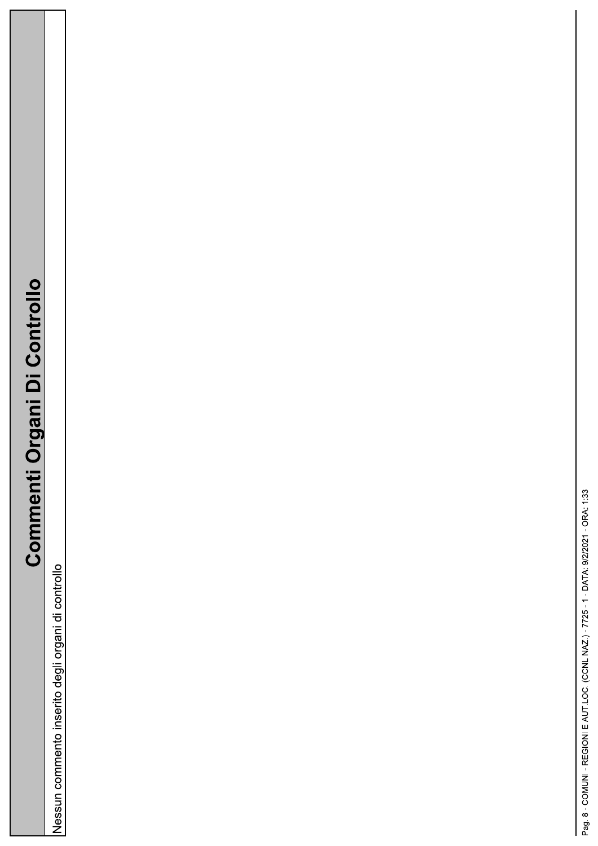## **Commenti Organi Di Controllo**

Nessun commento inserito degli organi di controllo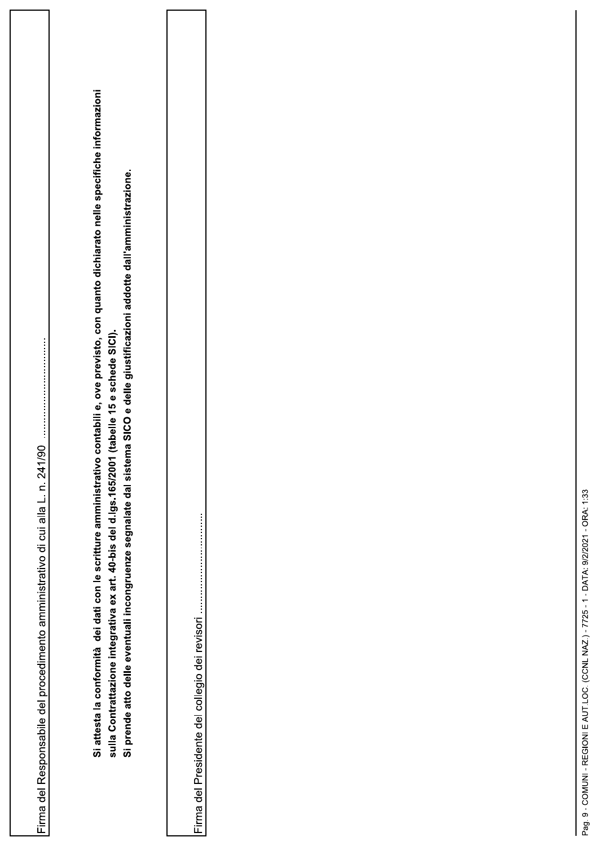| $\overline{190}$<br>Firma del Responsabile del procedimento amministrativo di cui alla L. n. 241 | Si attesta la conformità dei dati con le scritture amministrativo contabili e, ove previsto, con quanto dichiarato nelle specifiche informazioni<br>Si prende atto delle eventuali incongruenze segnalate dal sistema SICO e delle giustificazioni addotte dall'amministrazione.<br>sulla Contrattazione integrativa ex art. 40-bis del d.lgs.165/2001 (tabelle 15 e schede SICI). | Firma del Presidente del collegio dei revisori |  |
|--------------------------------------------------------------------------------------------------|------------------------------------------------------------------------------------------------------------------------------------------------------------------------------------------------------------------------------------------------------------------------------------------------------------------------------------------------------------------------------------|------------------------------------------------|--|
|                                                                                                  |                                                                                                                                                                                                                                                                                                                                                                                    |                                                |  |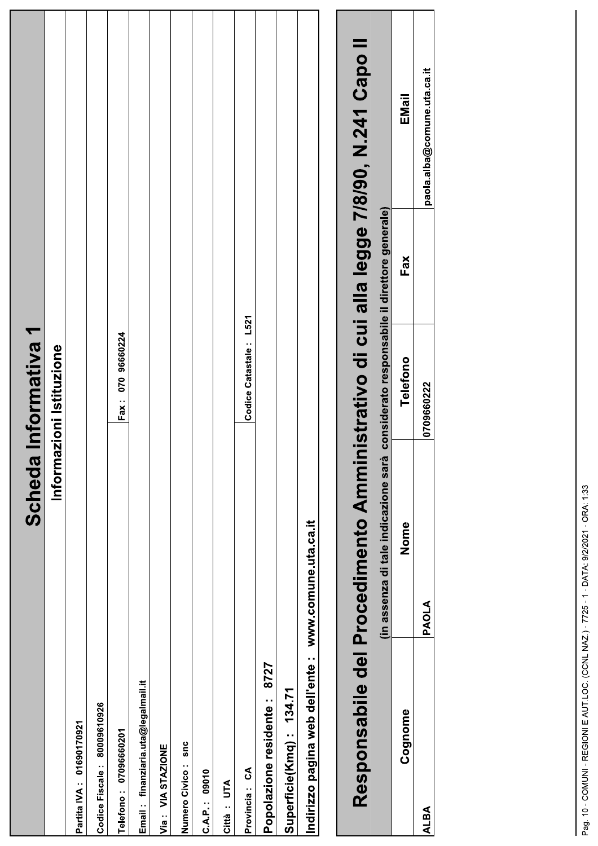|                                     |                                                                                      | Scheda Informativa 1   |     |                             |  |
|-------------------------------------|--------------------------------------------------------------------------------------|------------------------|-----|-----------------------------|--|
|                                     | Inform                                                                               | azioni Istituzione     |     |                             |  |
| Partita IVA: 01690170921            |                                                                                      |                        |     |                             |  |
| 80009610926<br>Codice Fiscale:      |                                                                                      |                        |     |                             |  |
| Telefono: 07096660201               |                                                                                      | Fax: 070 96660224      |     |                             |  |
| Email: finanziaria.uta@legalmail.it |                                                                                      |                        |     |                             |  |
| Via: VIA STAZIONE                   |                                                                                      |                        |     |                             |  |
| snc<br>Numero Civico:               |                                                                                      |                        |     |                             |  |
| C.A.P.: 09010                       |                                                                                      |                        |     |                             |  |
| Città : UTA                         |                                                                                      |                        |     |                             |  |
| Provincia: CA                       |                                                                                      | Codice Catastale: L521 |     |                             |  |
| 8727<br>Popolazione residente:      |                                                                                      |                        |     |                             |  |
| Superficie(Kmq): 134.71             |                                                                                      |                        |     |                             |  |
| Indirizzo pagina web dell'ente :    | www.comune.uta.ca.it                                                                 |                        |     |                             |  |
|                                     |                                                                                      |                        |     |                             |  |
|                                     | Responsabile del Procedimento Amministrativo di cui alla legge 7/8/90, N.241 Capo II |                        |     |                             |  |
|                                     | (in assenza di tale indicazione sarà considerato responsabile il direttore generale) |                        |     |                             |  |
| Cognome                             | Nome                                                                                 | Telefono               | Fax | EMail                       |  |
| <b>ALBA</b>                         | PAOLA                                                                                | 0709660222             |     | paola.alba@comune.uta.ca.it |  |
|                                     |                                                                                      |                        |     |                             |  |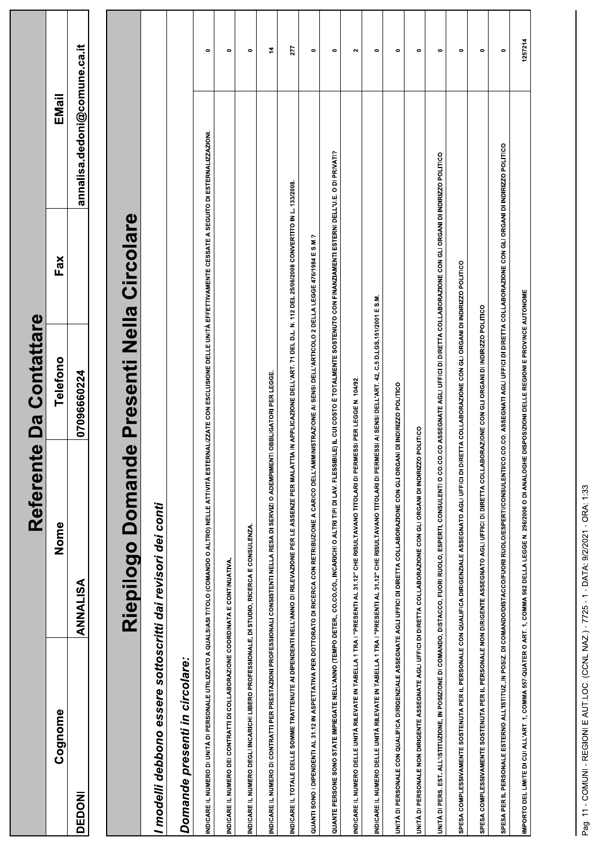|                                                                              |                                                                                                                                                                                                          | Contattare<br>Referente Da        |                                                                       |                              |               |
|------------------------------------------------------------------------------|----------------------------------------------------------------------------------------------------------------------------------------------------------------------------------------------------------|-----------------------------------|-----------------------------------------------------------------------|------------------------------|---------------|
| Cognome                                                                      | Nome                                                                                                                                                                                                     | lefono<br>$\overline{\mathsf{P}}$ | Fax                                                                   | EMail                        |               |
| DEDONI                                                                       | ANNALISA                                                                                                                                                                                                 | 07096660224                       |                                                                       | annalisa dedoni@comune.ca.it |               |
|                                                                              |                                                                                                                                                                                                          | Riepilogo Domande Presenti Nella  | <b>Circolare</b>                                                      |                              |               |
|                                                                              | I modelli debbono essere sottoscritti dai revisori dei conti                                                                                                                                             |                                   |                                                                       |                              |               |
| Domande presenti in circolare:                                               |                                                                                                                                                                                                          |                                   |                                                                       |                              |               |
|                                                                              | INDICARE IL NUMERO DI UNITÀ DI PERSONALE UTILIZZATO A QUALSIASI TITOLO (COMANDO O ALTRO) NELLE ATTIVITÀ ESTERNALIZZATE CON ESCLUSIONE DELLE UNITÀ EFFETTIVAMENTE CESSATE A SEGUITO DI ESTERNALIZZAZIONI. |                                   |                                                                       |                              | $\bullet$     |
| INDICARE IL NUMERO DEI CONTRATTI DI COLLABORAZIONE COORDINATA E CONTINUATIVA |                                                                                                                                                                                                          |                                   |                                                                       |                              | $\bullet$     |
|                                                                              | INDICARE IL NUMERO DEGLI INCARICHI LIBERO PROFESSIONALE, DI STUDIO, RICERCA E CONSULENZA                                                                                                                 |                                   |                                                                       |                              | $\bullet$     |
|                                                                              | INDICARE IL NUMERO DI CONTRATTI PER PRESTAZIONI PROFESSIONALI CONSISTENTI NELLA RESA DI SERVIZI O ADEMPIMENTI OBBLIGATORI PER LEGGE                                                                      |                                   |                                                                       |                              | $\frac{1}{4}$ |
|                                                                              | INDICARE IL TOTALE DELLE SOMME TRATTENUTE AI DIPENDENTI NELL'ANNO DI RILEVAZIONE PER LE ASSENZE PER MALATTIA IN APPLICAZIONE DELL'ART. 71 DEL D.L. N. 112 DEL 25/06/2008 CONVERTITO IN L. 133/2008       |                                   |                                                                       |                              | 277           |
|                                                                              | QUANTI SONO I DIPENDENTI AL 31.12 IN ASPETTATIVA PER DOTTORATO DI RICERCA CON RETRIBUZIONE A CARICO DELL'AMMINISTRAZIONE AI SENSI DELL'ARTICOLO 2 DELLA LEGGE 476/1984 E S.M.?                           |                                   |                                                                       |                              | $\bullet$     |
|                                                                              | QUANTE PERSONE SONO STATE IMPIEGATE NELL'ANNO (TEMPO DETER., CO.CO.CO., INCARICHI O ALTRI TIPI DI LAV. FLESSIBILE) IL CUI COSTO È TOTALMENTE SOSTENUTO CON FINANZIAMENTI ESTERNI DELL'U.E. O DI PRIVATI? |                                   |                                                                       |                              | $\bullet$     |
|                                                                              | INDICARE IL NUMERO DELLE UNITÀ RILEVATE IN TABELLA 1 TRA I "PRESENTI AL 31.12" CHE RISULTAVANO TITOLARI DI PERMESSI PER LEGGE N. 10492.                                                                  |                                   |                                                                       |                              | $\sim$        |
|                                                                              | INDICARE IL NUMERO DELLE UNITÀ RILEVATE IN TABELLA 1 TRA I "PRESENTI AL 31.12" CHE RISULTAVANO TITOLARI DI PERMESSI AI SENSI DELL'ART. 42, C.5 D.LGS.15/12001 E S.M                                      |                                   |                                                                       |                              | $\bullet$     |
|                                                                              | UNITÀ DI PERSONALE CON QUALIFICA DIRIGENZIALE ASSEGNATE AGLI UFFICI DI DIRETTA COLLABORAZIONE CON GLI ORGANI DI INDIRIZZO POLITICO                                                                       |                                   |                                                                       |                              | $\bullet$     |
|                                                                              | UNITÀ DI PERSONALE NON DIRIGENTE ASSEGNATE AGLI UFFICI DI DIRETTA COLLABORAZIONE CON GLI ORGANI DI INDIRIZZO POLITICO                                                                                    |                                   |                                                                       |                              | $\bullet$     |
|                                                                              | UNITÀ DI PERS. EST. ALL'ISTITUZIONE, IN POSIZIONE DI COMANDO, DISTACCO, FUORI RUOLO, ESPERTI, CONSULENTI O CO.CO.CO ASSEGNATE AGLI                                                                       |                                   | UFFICI DI DIRETTA COLLABORAZIONE CON GLI ORGANI DI INDIRIZZO POLITICO |                              | $\bullet$     |
|                                                                              | SPESA COMPLESSIVAMENTE SOSTENUTA PER IL PERSONALE CON QUALIFICA DIRIGENZIALE ASSEGNATO AGLI UFFICI DI DIRETTA COLLABORAZIONE CON GLI ORGANI DI INDIRIZZO POLITICO                                        |                                   |                                                                       |                              | $\bullet$     |
|                                                                              | SPESA COMPLESSIVAMENTE SOSTENUTA PER IL PERSONALE NON DIRIGENTE ASSEGNATO AGLI UFFICI DI DIRETTA COLLABORAZIONE CON GLI ORGANI DI INDIRIZZO POLITICO                                                     |                                   |                                                                       |                              | $\bullet$     |
|                                                                              | SPESA PER IL PERSONALE ESTERNO ALL'ISTITUZ, IN POSIZ, DI COMANDO/DISTACCO/FUORI RUOLO/ESPERTI/CONSULENTICO, ASSEGNATI AGLI UFFICI DI DIRETTA COLLABORAZIONE CON GLI ORGANI DI INDIRIZZO POLITICO         |                                   |                                                                       |                              | $\bullet$     |
|                                                                              | IMPORTO DEL LIMITE DI CUI ALL'ART .1, COMMA 557-QUATER O ART. 1, COMMA 562 DELLA LEGGE N. 296/2006 O DI ANALOGHE DISPOSIZIONI DELLE REGIONI E PROVINCE AUTONOME                                          |                                   |                                                                       |                              | 1257214       |
|                                                                              |                                                                                                                                                                                                          |                                   |                                                                       |                              |               |
|                                                                              | Pag. 11 - COMUNI - REGIONI E AUT.LOC. (CCNL NAZ.) - 7725 - 1 - DATA: 9/2/2021 - ORA: 1:33                                                                                                                |                                   |                                                                       |                              |               |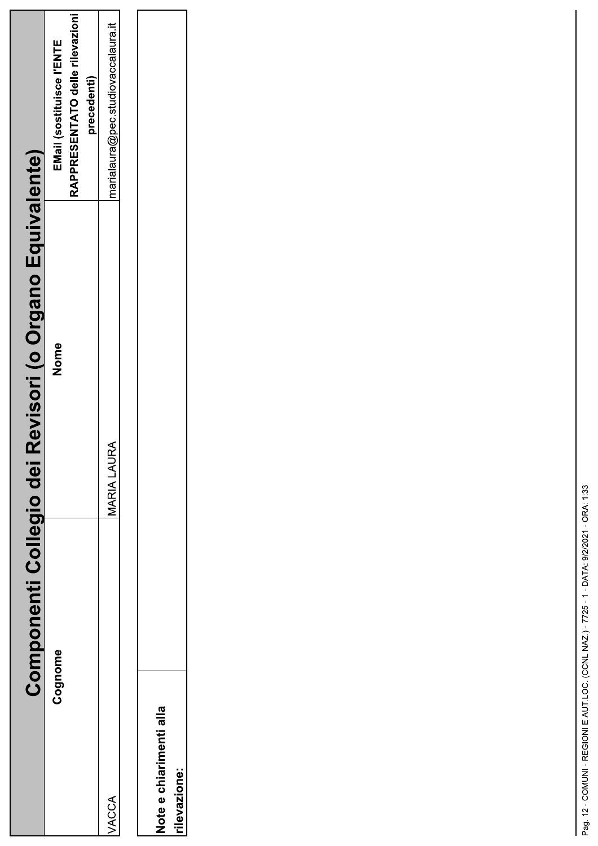| Componenti Collegio dei                 | Revisori (o Organo Equivalente) |                                                                             |
|-----------------------------------------|---------------------------------|-----------------------------------------------------------------------------|
| Cognome                                 | Nome                            | RAPPRESENTATO delle rilevazioni<br>EMail (sostituisce l'ENTE<br>precedenti) |
| VACCA                                   | MARIA LAURA                     | marialaura@pec.studiovaccalaura.it                                          |
| Note e chiarimenti alla<br>rilevazione: |                                 |                                                                             |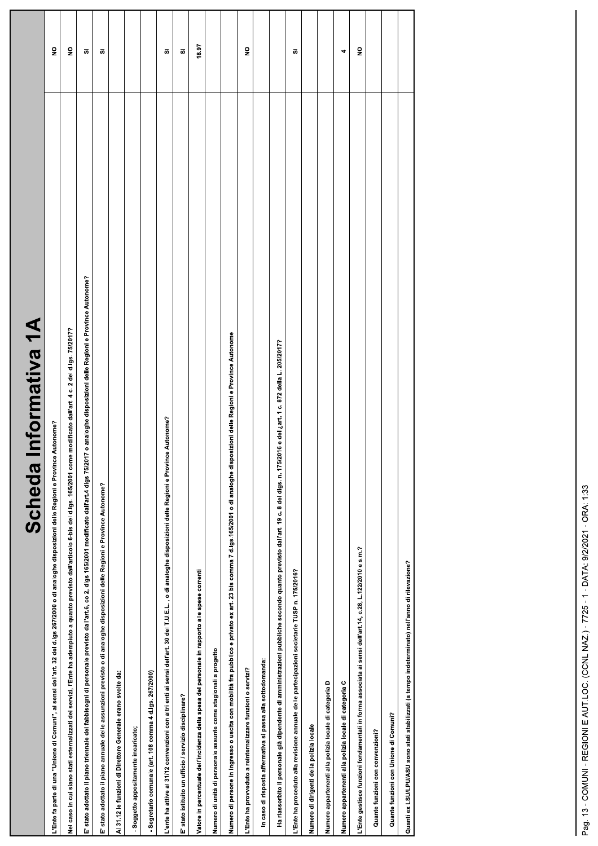| $\frac{1}{\sqrt{2}}$<br><b>RAI1PLUJOLUI</b><br>poeuse                                                                                                                                                   |                         |
|---------------------------------------------------------------------------------------------------------------------------------------------------------------------------------------------------------|-------------------------|
| L'Ente fa parte di una "Unione di Comuni", ai sensi dell'art. 32 del d.lgs 267/2000 o di analoghe disposizioni delle Regioni e Province Autonome?                                                       | $\overline{\mathbf{z}}$ |
| Nel caso in cui siano stati esternalizzati dei servizi, l'Ente ha adempiuto a quanto previsto dall'articolo 6-bis del d.lgs. 165/2001 come modificato dall'art. 4 c. 2 del d.lgs. 75/2017?              | $\overline{\mathbf{S}}$ |
| E' stato adottato il piano triennale dei fabbisogni di personale previsto dall'art.6, co 2, digs 165/2011 modificato dall'art.4 digs 75/2017 o analoghe disposizioni delle Regioni e Province Autonome? | ō,                      |
| E' stato adottato il piano annuale delle assunzioni previsto o di analoghe disposizioni delle Regioni e Province Autonome?                                                                              | g)                      |
| Al 31.12 le funzioni di Direttore Generale erano svolte da:                                                                                                                                             |                         |
| -Soggetto appositamente incaricato;                                                                                                                                                                     |                         |
| - Segretario comunale (art. 108 comma 4 d.lgs. 267/2000)                                                                                                                                                |                         |
| L'ente ha attive al 31/12 convenzioni con altri enti ai sensi dell'art. 30 del T.U.E.L. , o di analoghe disposizioni delle Regioni e Province Autonome?                                                 | ō                       |
| E' stato istituito un ufficio / servizio disciplinare?                                                                                                                                                  | g)                      |
| Valore in percentuale dell'incidenza della spesa del personale in rapporto alle spese correnti                                                                                                          | 18.97                   |
| Numero di unità di personale assunte come stagionali a progetto                                                                                                                                         |                         |
| Numero di persone in ingresso o uscita con mobilità fra pubblico e privato ex art. 23 bis comma 7 d.lgs.165/2001 o di analoghe disposizioni delle Regioni e Province Autonome                           |                         |
| L'Ente ha provveduto a reinternalizzare funzioni o servizi?                                                                                                                                             | $\frac{1}{2}$           |
| In caso di risposta affermativa si passa alla sottodomanda:                                                                                                                                             |                         |
| Ha riassorbito il personale già dipendente di amministrazioni pubbliche secondo quanto previsto dall'art. 19 c. 8 del digs. n. 175/2016 e dell <sub>-</sub> art. 1 c. 872 della L. 205/2017?            |                         |
| L'Ente ha proceduto alla revisione annuale delle partecipazioni societarie TUSP n. 175/2016?                                                                                                            | s.                      |
| Numero di dirigenti della polizia locale                                                                                                                                                                |                         |
| Numero appartenenti alla polizia locale di categoria D                                                                                                                                                  |                         |
| Numero appartenenti alla polizia locale di categoria C                                                                                                                                                  | 4                       |
| L'Ente gestisce funzioni fondamentali in forma associata ai sensi dell'art.14, c.28, L.122/2010 e s.m.?                                                                                                 | $\frac{1}{2}$           |
| Quante funzioni con convenzioni?                                                                                                                                                                        |                         |
| Quante funzioni con Unione di Comuni?                                                                                                                                                                   |                         |
| Quanti ex LSU/LPU/ASU sono stati stabilizzati (a tempo indeterminato) nell'anno di rilevazione?                                                                                                         |                         |
|                                                                                                                                                                                                         |                         |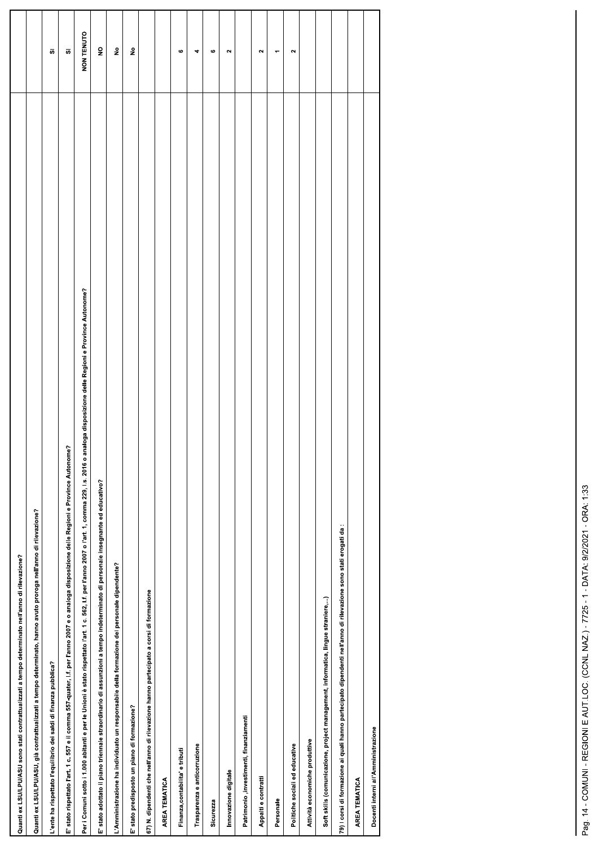| Quanti ex LSU/LPU/ASU sono stati contrattualizzati a tempo determinato nell'anno di rilevazione?                                                                                           |                         |
|--------------------------------------------------------------------------------------------------------------------------------------------------------------------------------------------|-------------------------|
| ) uanti ex LSU/LPU/ASU, già contrattualizzati a tempo determinato, hanno avuto proroga nell'anno di rilevazione?                                                                           |                         |
| 'ente ha rispettato l'equilibrio dei saldi di finanza pubblica?                                                                                                                            | ō,                      |
| ' stato rispettato l'art. 1 c. 557 e il comma 557-quater, l.f. per l'anno 2007 e o analoga disposizione delle Regioni e Province Autonome?                                                 | s.                      |
| er i Comuni sotto i 1.000 abitanti e per le Unioni è stato rispettato l'art. 1. per l'anno 2007 o l'art. 1, comma 229, l.s. 2016 o analoga disposizione delle Regioni e Province Autonome? | NON TENUTO              |
| ' stato adottato il piano triennale straordinario di assunzioni a tempo indeterminato di personale insegnante ed educativo?                                                                | $\overline{\mathbf{2}}$ |
| 'Amministrazione ha individuato un responsabile della formazione del personale dipendente?                                                                                                 | $\hat{\mathbf{z}}$      |
| : stato predisposto un piano di formazione?                                                                                                                                                | ş                       |
| 7) N. dipendenti che nell'anno di rilevazione hanno partecipato a corsi di formazione                                                                                                      |                         |
| AREA TEMATICA                                                                                                                                                                              |                         |
| Finanza, contabilita e tributi                                                                                                                                                             | $\bullet$               |
| Trasparenza e anticorruzione                                                                                                                                                               | 4                       |
| Sicurezza                                                                                                                                                                                  | $\bullet$               |
| Innovazione digitale                                                                                                                                                                       | $\mathbf{\tilde{z}}$    |
| Patrimonio, investimenti, finanziamenti                                                                                                                                                    |                         |
| Appalti e contratti                                                                                                                                                                        | $\sim$                  |
| Personale                                                                                                                                                                                  | ۳                       |
| Politiche sociali ed educative                                                                                                                                                             | $\sim$                  |
| Attività economiche produttive                                                                                                                                                             |                         |
| Soft skills (comunicazione, project management, informatica, lingue straniere,)                                                                                                            |                         |
| 9) I corsi di formazione ai quali hanno partecipato dipendenti nell'anno di rilevazione sono stati erogati da :                                                                            |                         |
| AREA TEMATICA                                                                                                                                                                              |                         |
| Docenti interni all'Amministrazione                                                                                                                                                        |                         |
|                                                                                                                                                                                            |                         |

L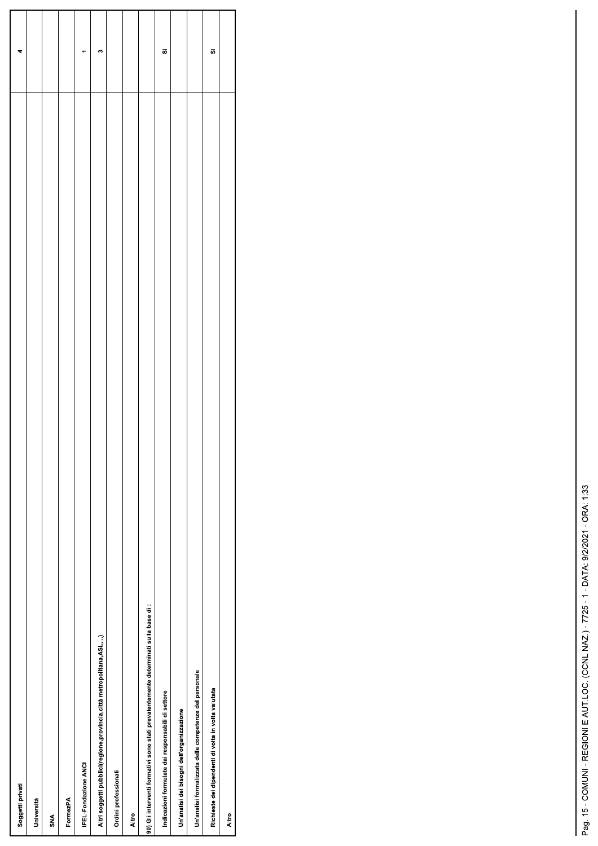|                                                                                     | 4  |
|-------------------------------------------------------------------------------------|----|
| Soggetti privati                                                                    |    |
| Università                                                                          |    |
| <b>SNA</b>                                                                          |    |
| FormezPA                                                                            |    |
| IFEL-Fondazione ANCI                                                                |    |
| Altri soggetti pubblici(regione, provincia, città metropolitana, ASL,)              | m  |
| Ordini professionali                                                                |    |
| Altro                                                                               |    |
| 90) Gli interventi formativi sono stati prevalentemente determinati sulla base di : |    |
| Indicazioni formulate dai responsabili di settore                                   | 5  |
| Un'analisi dei bisogni dell'organizzazione                                          |    |
| Un'analisi formalizzata delle competenze del personale                              |    |
| Richieste dei dipendenti di volta in volta valutata                                 | ö, |
| Altro                                                                               |    |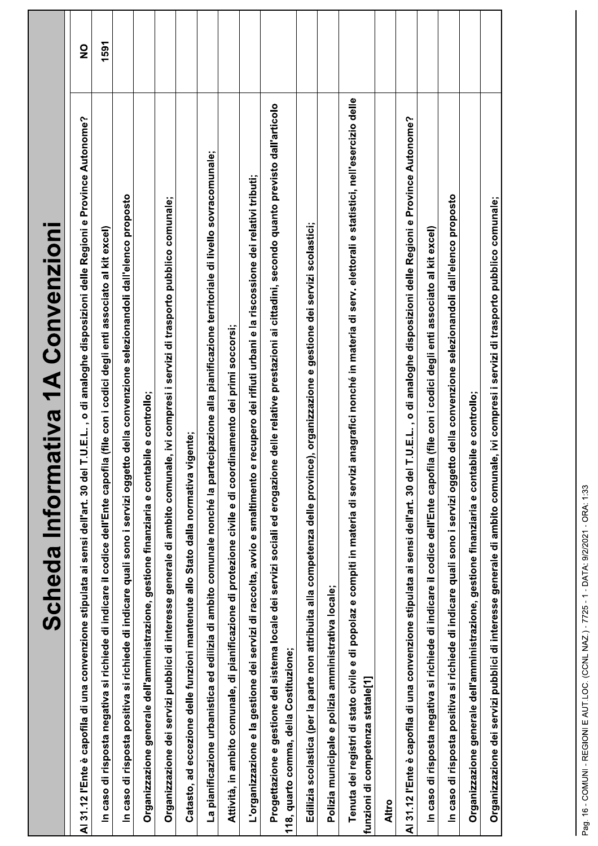| Scheda Informativa 1A Convenzioni                                                                                                                                                                         |               |
|-----------------------------------------------------------------------------------------------------------------------------------------------------------------------------------------------------------|---------------|
| <b>LU.E.L., o di analoghe disposizioni delle Regioni e Province Autonome?</b><br>30 del 1<br>Al 31.12 l'Ente è capofila di una convenzione stipulata ai sensi dell'art.                                   | $\frac{1}{2}$ |
| In caso di risposta negativa si richiede di indicare il codice dell'Ente capofila (file con i codici degli enti associato al kit excel)                                                                   | 1591          |
| In caso di risposta positiva si richiede di indicare quali sono i servizi oggetto della convenzione selezionandoli dall'elenco proposto                                                                   |               |
| Organizzazione generale dell'amministrazione, gestione finanziaria e contabile e controllo;                                                                                                               |               |
| e, ivi compresi i servizi di trasporto pubblico comunale;<br>Organizzazione dei servizi pubblici di interesse generale di ambito comunal                                                                  |               |
| Catasto, ad eccezione delle funzioni mantenute allo Stato dalla normativa vigente;                                                                                                                        |               |
| La pianificazione urbanistica ed edilizia di ambito comunale nonché la partecipazione alla pianificazione territoriale di livello sovracomunale;                                                          |               |
| Attività, in ambito comunale, di pianificazione di protezione civile e di coordinamento dei primi soccorsi;                                                                                               |               |
| recupero dei rifiuti urbani e la riscossione dei relativi tributi;<br>L'organizzazione e la gestione dei servizi di raccolta, avvio e smaltimento e                                                       |               |
| Progettazione e gestione del sistema locale dei servizi sociali ed erogazione delle relative prestazioni ai cittadini, secondo quanto previsto dall'articolo<br>118, quarto comma, della Costituzione;    |               |
| Edilizia scolastica (per la parte non attribuita alla competenza delle province), organizzazione e gestione dei servizi scolastici;                                                                       |               |
| Polizia municipale e polizia amministrativa locale;                                                                                                                                                       |               |
| Tenuta dei registri di stato civile e di popolaz e compiti in materia di servizi anagrafici nonché in materia di serv. elettorali e statistici, nell'esercizio delle<br>funzioni di competenza statale[1] |               |
| <b>Altro</b>                                                                                                                                                                                              |               |
| <b>1.U.E.L., o di analoghe disposizioni delle Regioni e Province Autonome?</b><br>г<br>Al 31.12 l'Ente è capofila di una convenzione stipulata ai sensi dell'art. 30 del                                  |               |
| caso di risposta negativa si richiede di indicare il codice dell'Ente capofila (file con i codici degli enti associato al kit excel)<br>$\mathbf{z}$                                                      |               |
| In caso di risposta positiva si richiede di indicare quali sono i servizi oggetto della convenzione selezionandoli dall'elenco proposto                                                                   |               |
| Organizzazione generale dell'amministrazione, gestione finanziaria e contabile e controllo;                                                                                                               |               |
| e, ivi compresi i servizi di trasporto pubblico comunale;<br>Organizzazione dei servizi pubblici di interesse generale di ambito comunal                                                                  |               |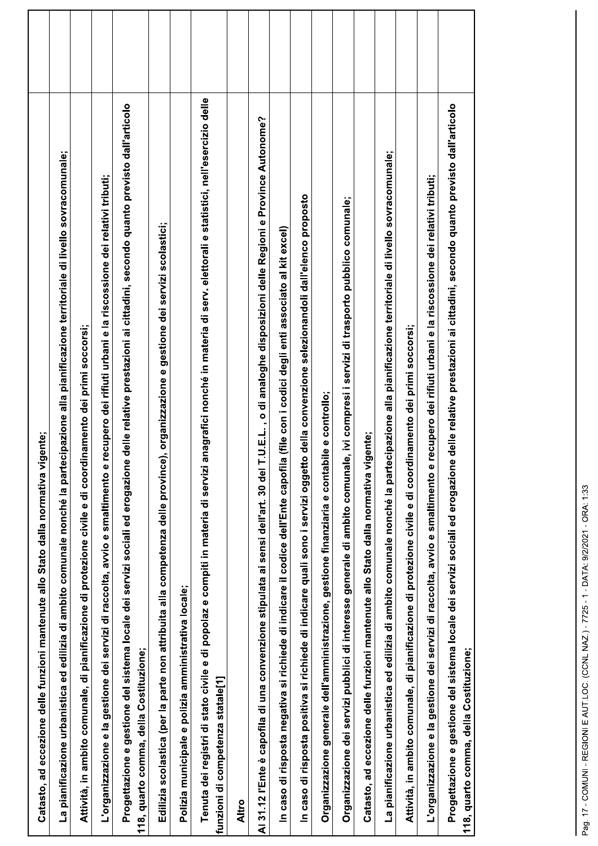| Catasto, ad eccezione delle funzioni mantenute allo Stato dalla normativa vigente;                                                                                                                           |  |
|--------------------------------------------------------------------------------------------------------------------------------------------------------------------------------------------------------------|--|
| La pianificazione urbanistica ed edilizia di ambito comunale nonché la partecipazione alla pianificazione territoriale di livello sovracomunale;                                                             |  |
| Attività, in ambito comunale, di pianificazione di protezione civile e di coordinamento dei primi soccorsi;                                                                                                  |  |
| recupero dei rifiuti urbani e la riscossione dei relativi tributi;<br>L'organizzazione e la gestione dei servizi di raccolta, avvio e smaltimento e                                                          |  |
| Progettazione e gestione del sistema locale dei servizi sociali ed erogazione delle relative prestazioni ai cittadini, secondo quanto previsto dall'articolo<br>118, quarto comma, della Costituzione;       |  |
| Edilizia scolastica (per la parte non attribuita alla competenza delle province), organizzazione e gestione dei servizi scolastici;                                                                          |  |
| Polizia municipale e polizia amministrativa locale;                                                                                                                                                          |  |
| anagrafici nonché in materia di serv. elettorali e statistici, nell'esercizio delle<br>Tenuta dei registri di stato civile e di popolaz e compiti in materia di servizi<br>funzioni di competenza statale[1] |  |
| Altro                                                                                                                                                                                                        |  |
| T.U.E.L., o di analoghe disposizioni delle Regioni e Province Autonome?<br>Al 31.12 l'Ente è capofila di una convenzione stipulata ai sensi dell'art. 30 del                                                 |  |
| la (file con i codici degli enti associato al kit excel)<br>In caso di risposta negativa si richiede di indicare il codice dell'Ente capofil                                                                 |  |
| In caso di risposta positiva si richiede di indicare quali sono i servizi oggetto della convenzione selezionandoli dall'elenco proposto                                                                      |  |
| Organizzazione generale dell'amministrazione, gestione finanziaria e contabile e controllo;                                                                                                                  |  |
| Organizzazione dei servizi pubblici di interesse generale di ambito comunale, ivi compresi i servizi di trasporto pubblico comunale;                                                                         |  |
| Catasto, ad eccezione delle funzioni mantenute allo Stato dalla normativa vigente;                                                                                                                           |  |
| La pianificazione urbanistica ed edilizia di ambito comunale nonché la partecipazione alla pianificazione territoriale di livello sovracomunale;                                                             |  |
| Attività, in ambito comunale, di pianificazione di protezione civile e di coordinamento dei primi soccorsi;                                                                                                  |  |
| recupero dei rifiuti urbani e la riscossione dei relativi tributi;<br>L'organizzazione e la gestione dei servizi di raccolta, avvio e smaltimento e                                                          |  |
| Progettazione e gestione del sistema locale dei servizi sociali ed erogazione delle relative prestazioni ai cittadini, secondo quanto previsto dall'articolo<br>118, quarto comma, della Costituzione;       |  |
|                                                                                                                                                                                                              |  |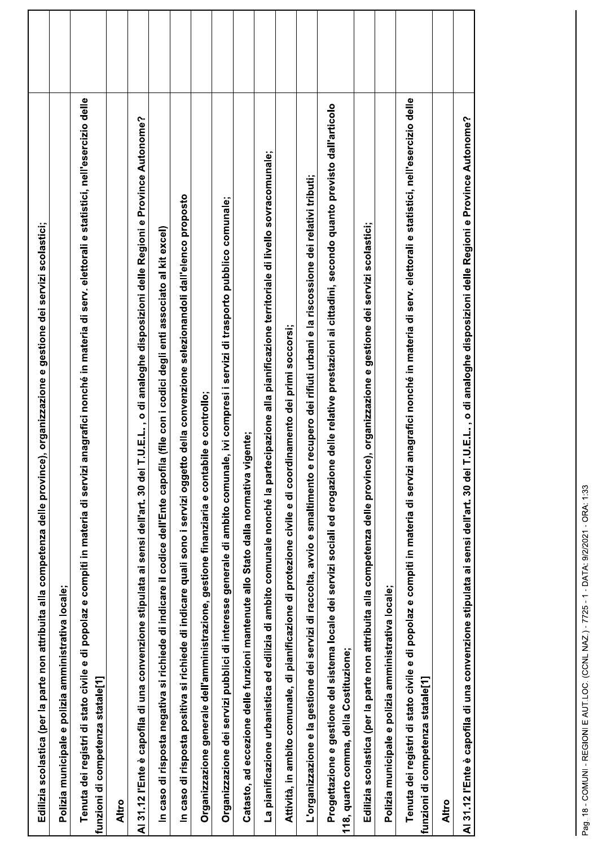| Edilizia scolastica (per la parte non attribuita alla competenza delle province), organizzazione e gestione dei servizi scolastici;                                                                          |  |
|--------------------------------------------------------------------------------------------------------------------------------------------------------------------------------------------------------------|--|
| Polizia municipale e polizia amministrativa locale;                                                                                                                                                          |  |
| anagrafici nonché in materia di serv. elettorali e statistici, nell'esercizio delle<br>Tenuta dei registri di stato civile e di popolaz e compiti in materia di servizi<br>funzioni di competenza statale[1] |  |
| Altro                                                                                                                                                                                                        |  |
| T.U.E.L., o di analoghe disposizioni delle Regioni e Province Autonome?<br>Al 31.12 l'Ente è capofila di una convenzione stipulata ai sensi dell'art. 30 del                                                 |  |
| In caso di risposta negativa si richiede di indicare il codice dell'Ente capofila (file con i codici degli enti associato al kit excel)                                                                      |  |
| In caso di risposta positiva si richiede di indicare quali sono i servizi oggetto della convenzione selezionandoli dall'elenco proposto                                                                      |  |
| Organizzazione generale dell'amministrazione, gestione finanziaria e contabile e controllo;                                                                                                                  |  |
| e, ivi compresi i servizi di trasporto pubblico comunale;<br>Organizzazione dei servizi pubblici di interesse generale di ambito comunal                                                                     |  |
| igente;<br>Catasto, ad eccezione delle funzioni mantenute allo Stato dalla normativa v                                                                                                                       |  |
| La pianificazione urbanistica ed edilizia di ambito comunale nonché la partecipazione alla pianificazione territoriale di livello sovracomunale;                                                             |  |
| Attività, in ambito comunale, di pianificazione di protezione civile e di coordinamento dei primi soccorsi;                                                                                                  |  |
| recupero dei rifiuti urbani e la riscossione dei relativi tributi;<br>L'organizzazione e la gestione dei servizi di raccolta, avvio e smaltimento e                                                          |  |
| Progettazione e gestione del sistema locale dei servizi sociali ed erogazione delle relative prestazioni ai cittadini, secondo quanto previsto dall'articolo<br>118, quarto comma, della Costituzione;       |  |
| Edilizia scolastica (per la parte non attribuita alla competenza delle province), organizzazione e gestione dei servizi scolastici;                                                                          |  |
| Polizia municipale e polizia amministrativa locale;                                                                                                                                                          |  |
| anagrafici nonché in materia di serv. elettorali e statistici, nell'esercizio delle<br>Tenuta dei registri di stato civile e di popolaz e compiti in materia di servizi<br>funzioni di competenza statale[1] |  |
| <b>Altro</b>                                                                                                                                                                                                 |  |
| Al 31.12 l'Ente è capofila di una convenzione stipulata ai sensi dell'art. 30 del T.U.E.L. , o di analoghe disposizioni delle Regioni e Province Autonome?                                                   |  |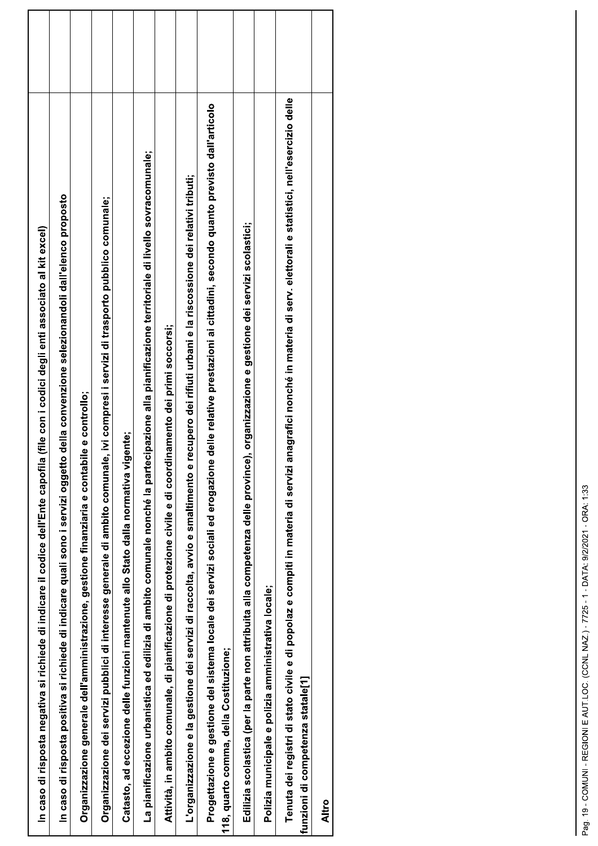| In caso di risposta negativa si richiede di indicare il codice dell'Ente capofila (file con i codici degli enti associato al kit excel)                                                                   |  |
|-----------------------------------------------------------------------------------------------------------------------------------------------------------------------------------------------------------|--|
| o della convenzione selezionandoli dall'elenco proposto<br>In caso di risposta positiva si richiede di indicare quali sono i servizi oggetto                                                              |  |
| Organizzazione generale dell'amministrazione, gestione finanziaria e contabile e controllo;                                                                                                               |  |
| Organizzazione dei servizi pubblici di interesse generale di ambito comunale, ivi compresi i servizi di trasporto pubblico comunale;                                                                      |  |
| Catasto, ad eccezione delle funzioni mantenute allo Stato dalla normativa vigente;                                                                                                                        |  |
| La pianificazione urbanistica ed edilizia di ambito comunale nonché la partecipazione alla pianificazione territoriale di livello sovracomunale;                                                          |  |
| inamento dei primi soccorsi;<br>Attività, in ambito comunale, di pianificazione di protezione civile e di coord                                                                                           |  |
| recupero dei rifiuti urbani e la riscossione dei relativi tributi;<br>L'organizzazione e la gestione dei servizi di raccolta, avvio e smaltimento e                                                       |  |
| delle relative prestazioni ai cittadini, secondo quanto previsto dall'articolo<br>Progettazione e gestione del sistema locale dei servizi sociali ed erogazione<br>118, quarto comma, della Costituzione; |  |
| Edilizia scolastica (per la parte non attribuita alla competenza delle province), organizzazione e gestione dei servizi scolastici;                                                                       |  |
| Polizia municipale e polizia amministrativa locale;                                                                                                                                                       |  |
| Tenuta dei registri di stato civile e di popolaz e compiti in materia di servizi anagrafici nonché in materia di serv. elettorali e statistici, nell'esercizio delle<br>funzioni di competenza statale[1] |  |
| <b>Altro</b>                                                                                                                                                                                              |  |
|                                                                                                                                                                                                           |  |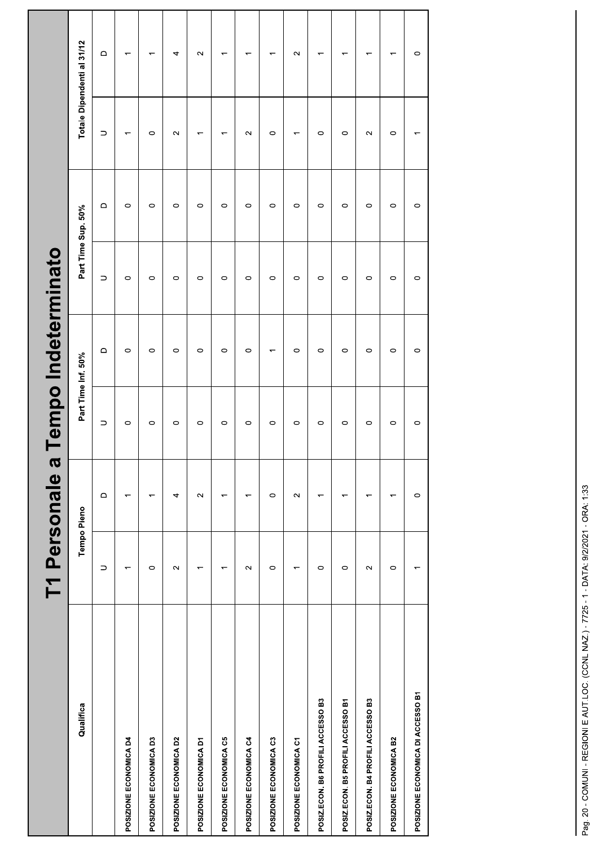|                                   | T1 Personale a           |                   |           | Tempo Indeterminato      |                    |                   |                          |                            |  |
|-----------------------------------|--------------------------|-------------------|-----------|--------------------------|--------------------|-------------------|--------------------------|----------------------------|--|
| Qualifica                         | Tempo Pieno              |                   |           | Part Time Inf. 50%       | Part Time Sup. 50% |                   |                          | Totale Dipendenti al 31/12 |  |
|                                   | $\supset$                | $\mathop\square$  | $\supset$ | $\mathsf \Omega$         | $\supset$          | $\mathsf{\Omega}$ | $\supset$                | $\mathsf \Omega$           |  |
| POSIZIONE ECONOMICA D4            | $\overline{\phantom{0}}$ |                   | $\circ$   | $\circ$                  | $\circ$            | $\circ$           | $\overline{ }$           | $\overline{\phantom{0}}$   |  |
| POSIZIONE ECONOMICA D3            | $\circ$                  | ᡪ                 | $\circ$   | $\circ$                  | $\circ$            | $\circ$           | $\circ$                  | $\overline{\phantom{0}}$   |  |
| POSIZIONE ECONOMICA D2            | $\sim$                   | 4                 | $\circ$   | $\circ$                  | $\circ$            | $\circ$           | $\sim$                   | 4                          |  |
| POSIZIONE ECONOMICA D1            | $\overline{ }$           | $\sim$            | $\circ$   | $\circ$                  | $\circ$            | $\circ$           | $\overline{\phantom{0}}$ | $\sim$                     |  |
| POSIZIONE ECONOMICA C5            |                          | ᡪ                 | $\circ$   | $\circ$                  | $\circ$            | $\circ$           | $\overline{\phantom{0}}$ | $\overline{ }$             |  |
| POSIZIONE ECONOMICA C4            | $\sim$                   | ᅮ                 | $\circ$   | $\circ$                  | $\circ$            | $\circ$           | $\sim$                   | ٣                          |  |
| POSIZIONE ECONOMICA C3            | $\circ$                  | $\circ$           | $\circ$   | $\overline{\phantom{0}}$ | $\circ$            | $\circ$           | $\circ$                  | ↽                          |  |
| POSIZIONE ECONOMICA C1            | $\overline{ }$           | $\mathbf{\Omega}$ | $\circ$   | $\circ$                  | $\circ$            | $\circ$           | $\overline{ }$           | $\sim$                     |  |
| POSIZ.ECON. B6 PROFILI ACCESSO B3 | $\circ$                  | ᡪ                 | $\circ$   | $\circ$                  | $\circ$            | $\circ$           | $\circ$                  | $\overline{\phantom{0}}$   |  |
| POSIZ.ECON. B5 PROFILI ACCESSO B1 | $\circ$                  | ᡪ                 | $\circ$   | $\circ$                  | $\circ$            | $\circ$           | $\circ$                  | ٣                          |  |
| POSIZ.ECON. B4 PROFILI ACCESSO B3 | $\sim$                   | ᡪ                 | $\circ$   | $\circ$                  | $\circ$            | $\circ$           | $\sim$                   | ٣                          |  |
| POSIZIONE ECONOMICA B2            | $\circ$                  |                   | $\circ$   | $\circ$                  | $\circ$            | $\circ$           | $\circ$                  | $\overline{\phantom{0}}$   |  |
| POSIZIONE ECONOMICA DI ACCESSO B1 | $\overline{\phantom{0}}$ | $\circ$           | $\circ$   | $\circ$                  | $\circ$            | $\circ$           | $\overline{\phantom{0}}$ | $\circ$                    |  |
|                                   |                          |                   |           |                          |                    |                   |                          |                            |  |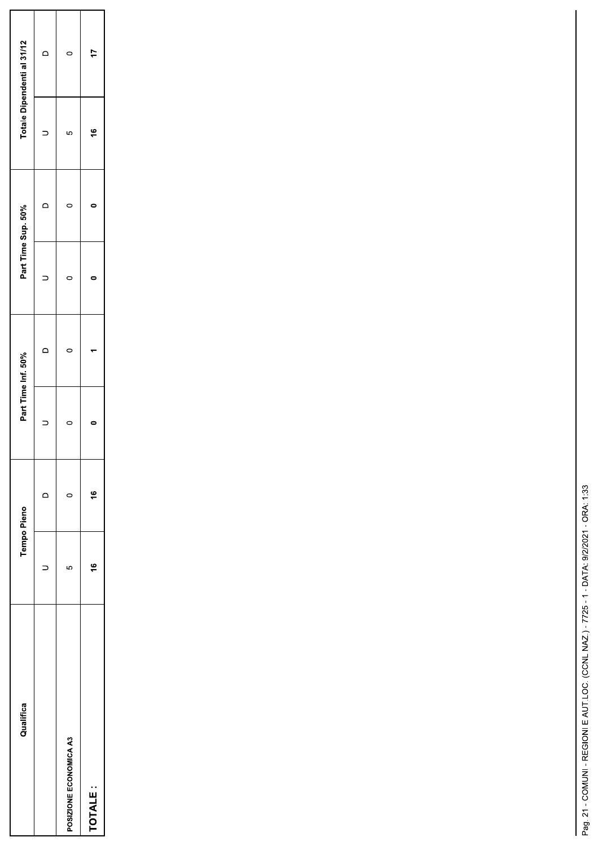| Qualifica              | <b>Tempo Pieno</b>   |               | Part Time Inf. 50% |   | Part Time Sup. 50% |   |    | Totale Dipendenti al 31/12 |
|------------------------|----------------------|---------------|--------------------|---|--------------------|---|----|----------------------------|
|                        |                      |               |                    |   |                    | ≏ |    | c                          |
| POSIZIONE ECONOMICA A3 | 5                    | ⊂             |                    | 0 | 0                  |   | LO |                            |
| TOTALE:                | $\overset{\circ}{=}$ | $\frac{6}{5}$ |                    |   |                    |   | ۴  | ÷                          |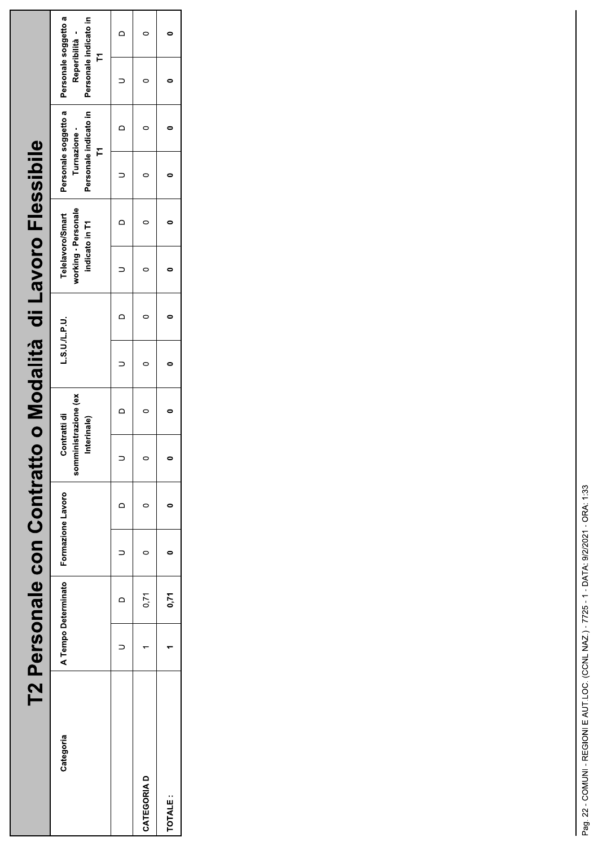|             | T2 Personale con Contratt |                     |                   |                                                     |         | to o Modalità di Lavoro Flessibile                        |                |                   |                                               |                                                                      |  |
|-------------|---------------------------|---------------------|-------------------|-----------------------------------------------------|---------|-----------------------------------------------------------|----------------|-------------------|-----------------------------------------------|----------------------------------------------------------------------|--|
| Categoria   |                           | A Tempo Determinato | Formazione Lavoro | somministrazione (ex<br>Contratti di<br>Interinale) | LSU/LPU | working - Personale<br>Telelavoro/Smart<br>indicato in T1 |                | Turnazione -<br>r | Personale soggetto a<br>Personale indicato in | Personale soggetto a<br>Personale indicato in<br>Reperibilità -<br>Ě |  |
|             |                           |                     |                   |                                                     |         |                                                           | $\overline{a}$ |                   | $\overline{a}$                                |                                                                      |  |
| CATEGORIA D |                           | 0,71                |                   | 0                                                   |         |                                                           |                |                   |                                               |                                                                      |  |
| TOTALE:     |                           | 0,71                |                   |                                                     |         |                                                           |                |                   |                                               |                                                                      |  |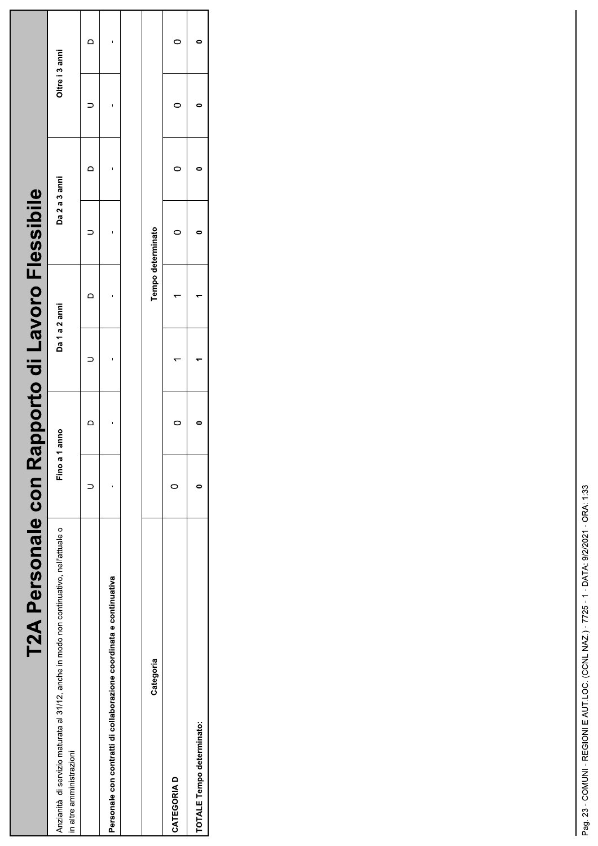| T2A Personale con Rapporto di Lavoro Flessibile                                                                     |               |               |                   |   |                |   |  |
|---------------------------------------------------------------------------------------------------------------------|---------------|---------------|-------------------|---|----------------|---|--|
| Anzianità di servizio maturata al 31/12, anche in modo non continuativo, nell'attuale o<br>in altre amministrazioni | Fino a 1 anno | Da 1 a 2 anni | Da 2 a 3 anni     |   | Oltre i 3 anni |   |  |
|                                                                                                                     |               | ≏             |                   | ≏ |                | ≏ |  |
| Personale con contratti di collaborazione coordinata e continuativa                                                 |               |               |                   |   |                |   |  |
|                                                                                                                     |               |               |                   |   |                |   |  |
| Categoria                                                                                                           |               |               | Tempo determinato |   |                |   |  |
| <b>CATEGORIAD</b>                                                                                                   |               |               |                   |   |                |   |  |
| TOTALE Tempo determinato:                                                                                           |               |               |                   |   |                |   |  |
|                                                                                                                     |               |               |                   |   |                |   |  |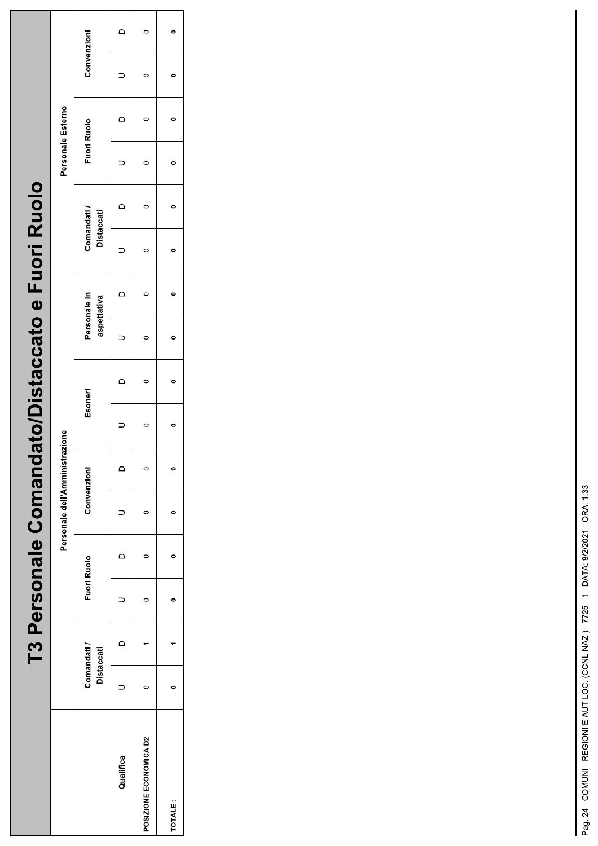|                        |                          |                | T3 Personale Comandato/Distaccato e Fuori Ruolo |                                |                |           |                |                             |                          |                                  |                |                    |                |                |  |
|------------------------|--------------------------|----------------|-------------------------------------------------|--------------------------------|----------------|-----------|----------------|-----------------------------|--------------------------|----------------------------------|----------------|--------------------|----------------|----------------|--|
|                        |                          |                |                                                 | Personale dell'Amministrazione |                |           |                |                             |                          |                                  |                | Personale Esterno  |                |                |  |
|                        | Comandati/<br>Distaccati | Fuori Ruolo    |                                                 | Convenzioni                    |                | Esoneri   |                | Personale in<br>aspettativa |                          | Comandati /<br><b>Distaccati</b> |                | <b>Fuori Ruolo</b> |                | Convenzioni    |  |
| Qualifica              | $\overline{a}$           | $\overline{a}$ | $\overline{C}$                                  |                                | $\overline{a}$ | ׇ֖֖֚֚֬    | $\overline{a}$ | $=$                         | $\overline{\phantom{0}}$ | $\overline{a}$                   | $\overline{a}$ | $\overline{a}$     | $\overline{a}$ | $\overline{a}$ |  |
| POSIZIONE ECONOMICA D2 |                          |                |                                                 |                                | $\subset$      | $\subset$ | $\overline{a}$ |                             | $\subset$                | $\mathsf{C}$                     |                |                    | $\mathsf{C}$   |                |  |
| TOTALE:                |                          |                |                                                 |                                |                |           |                |                             |                          |                                  |                |                    |                |                |  |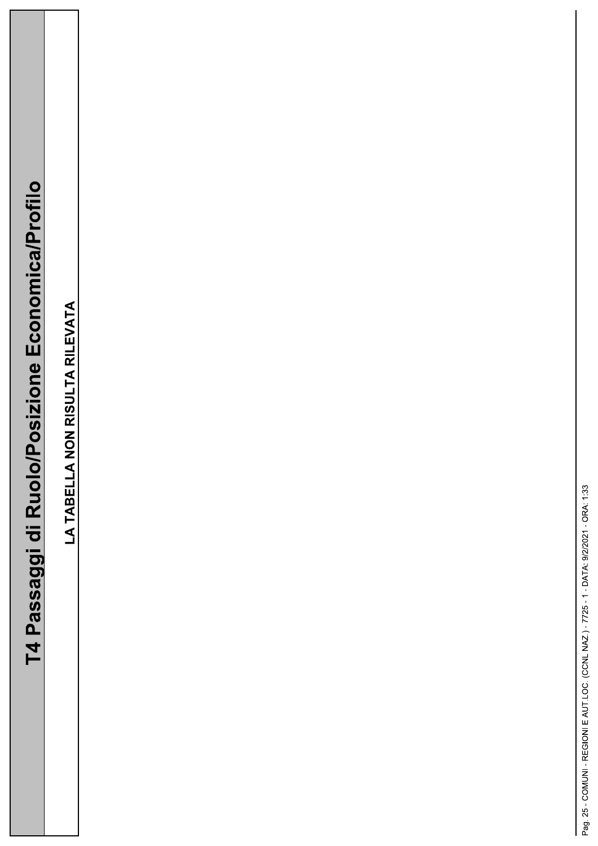| -<br>-<br>-<br>-<br>-<br>-<br>-<br><br><br><br><br><br><br><br><br><br><br><br><br><br><br><br><br><br> |
|---------------------------------------------------------------------------------------------------------|
|                                                                                                         |
|                                                                                                         |
|                                                                                                         |
| <br> <br> <br> <br> <br> <br>                                                                           |
|                                                                                                         |
|                                                                                                         |
|                                                                                                         |
|                                                                                                         |
|                                                                                                         |
|                                                                                                         |
|                                                                                                         |
| $\overline{ }$                                                                                          |
|                                                                                                         |
|                                                                                                         |
| ivesses,                                                                                                |
|                                                                                                         |
|                                                                                                         |
| $\overline{\phantom{a}}$                                                                                |
|                                                                                                         |

LA TABELLA NON RISULTA RILEVATA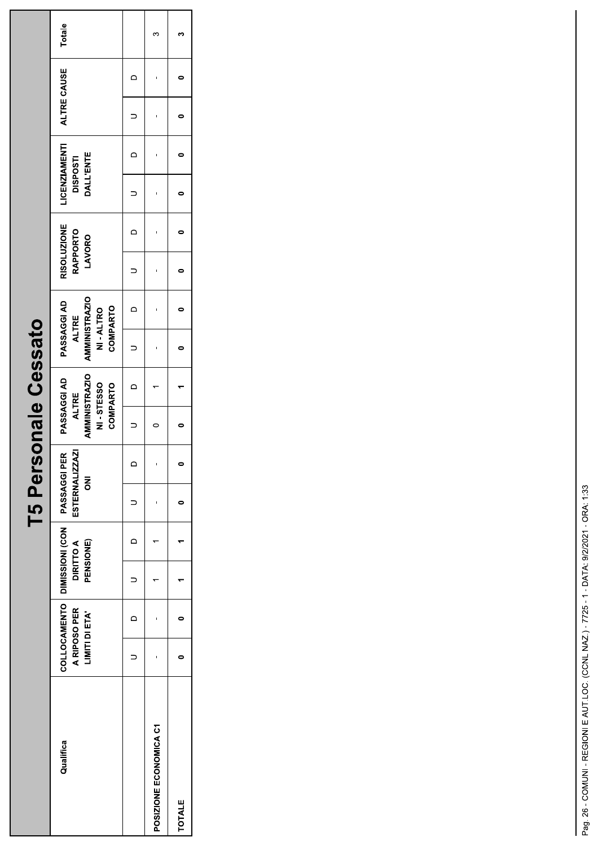| O<br>ž<br>ŗ<br>Ⅎ<br>Cocci<br>Į<br>ののひつ                                     |
|----------------------------------------------------------------------------|
| $\mathbf{\underline{\Phi}}$<br>$\overline{\overline{a}}$<br>$\blacksquare$ |
| ersol                                                                      |
| Ļ<br>$\blacksquare$<br>5<br>÷.<br>ŀ                                        |

| Qualifica              | A RIPOSO PER<br>LIMITI DI ETA' | COLLOCAMENTO   DIMISSIONI (CON   PASSAGGI PER<br><b>DIRITTO A</b><br>PENSIONE) |                | ESTERNALIZZAZI<br>$\overline{5}$ | <b>AMMINISTRAZIO</b><br>PASSAGGI AD<br>NI-STESSO<br><b>COMPARTO</b><br><b>ALTRE</b> |                | <b>AMMINISTRAZIO</b><br>PASSAGGI AD<br><b>COMPARTO</b><br>NI-ALTRO<br><b>ALTRE</b> |                | <b>RISOLUZIONE</b><br><b>RAPPORTO</b><br>LAVORO | <b>LICENZIAMENTI</b><br>DALL'ENTE<br><b>DISPOSTI</b> |                | ALTRE CAUSE | Totale |
|------------------------|--------------------------------|--------------------------------------------------------------------------------|----------------|----------------------------------|-------------------------------------------------------------------------------------|----------------|------------------------------------------------------------------------------------|----------------|-------------------------------------------------|------------------------------------------------------|----------------|-------------|--------|
|                        | $\Box$                         |                                                                                | $\overline{a}$ |                                  |                                                                                     | $\overline{a}$ |                                                                                    | $\overline{a}$ |                                                 |                                                      | $\overline{a}$ |             |        |
| POSIZIONE ECONOMICA C1 |                                |                                                                                |                |                                  |                                                                                     |                |                                                                                    |                |                                                 |                                                      |                |             |        |
| <b>TOTALE</b>          |                                |                                                                                |                |                                  |                                                                                     |                |                                                                                    |                |                                                 |                                                      |                |             |        |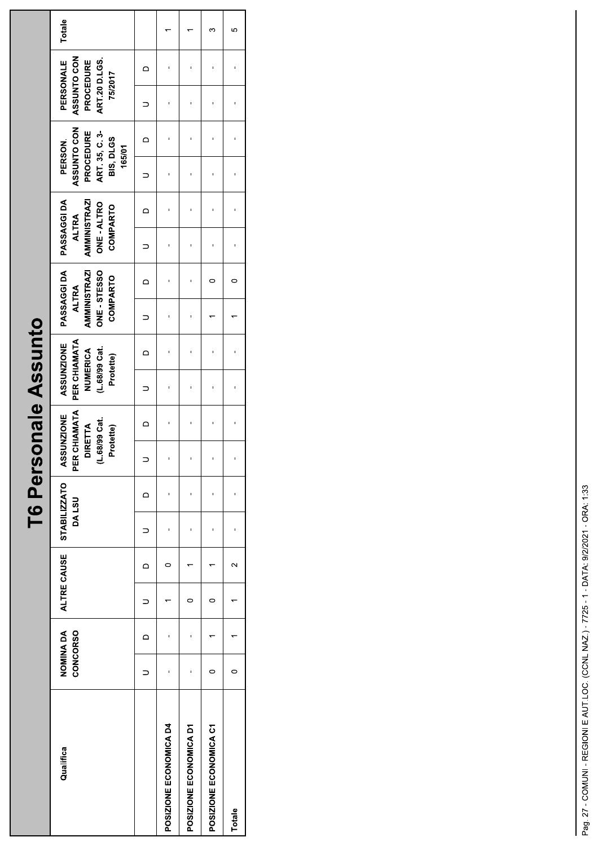|                        |                                    |          |             |          |                                     |          |                                                                               |        | T6 Personale Assunto                                                        |         |                                                                                       |          |                                                                                      |          |                                                                            |          |                                                                          |   |        |
|------------------------|------------------------------------|----------|-------------|----------|-------------------------------------|----------|-------------------------------------------------------------------------------|--------|-----------------------------------------------------------------------------|---------|---------------------------------------------------------------------------------------|----------|--------------------------------------------------------------------------------------|----------|----------------------------------------------------------------------------|----------|--------------------------------------------------------------------------|---|--------|
| Qualifica              | <b>NOMINADA</b><br><b>CONCORSO</b> |          | ALTRE CAUSE |          | <b>STABILIZZATO</b><br><b>DALSU</b> |          | PER CHIAMATA<br><b>ASSUNZIONE</b><br>68/99 Cat.<br>DIRETTA<br>Protette)<br>نے |        | PER CHIAMATA<br><b>ASSUNZIONE</b><br>(L.68/99 Cat.<br>NUMERICA<br>Protette) |         | PASSAGGI DA<br><b>AMMINISTRAZI</b><br>ONE - STESSO<br><b>COMPARTO</b><br><b>ALTRA</b> |          | PASSAGGI DA<br><b>AMMINISTRAZI</b><br>ONE - ALTRO<br><b>COMPARTO</b><br><b>ALTRA</b> |          | ASSUNTO CON<br>PROCEDURE<br>ART 35, C. 3<br>BIS, DLGS<br>PERSON.<br>165/01 |          | ASSUNTO CON<br><b>ART 20 D.LGS.</b><br>PERSONALE<br>PROCEDURE<br>75/2017 |   | Totale |
|                        |                                    | $\Omega$ |             | $\Omega$ |                                     | $\Omega$ |                                                                               | $\Box$ |                                                                             | $\circ$ |                                                                                       | $\Omega$ |                                                                                      | $\Omega$ |                                                                            | $\Omega$ |                                                                          | ≏ |        |
| POSIZIONE ECONOMICA D4 |                                    | ı        |             | 0        |                                     |          |                                                                               |        |                                                                             |         |                                                                                       |          |                                                                                      |          |                                                                            |          |                                                                          |   |        |
| POSIZIONE ECONOMICA D1 |                                    |          | 0           |          |                                     |          |                                                                               |        |                                                                             |         |                                                                                       |          |                                                                                      |          |                                                                            |          |                                                                          |   |        |
| POSIZIONE ECONOMICA C1 | 0                                  |          | 0           |          |                                     |          |                                                                               |        |                                                                             |         |                                                                                       | 0        |                                                                                      |          |                                                                            |          |                                                                          |   | ო      |
| Totale                 | $\circ$                            |          |             | $\sim$   |                                     |          |                                                                               |        |                                                                             | 1       |                                                                                       | $\circ$  |                                                                                      |          |                                                                            |          |                                                                          |   | 5      |
|                        |                                    |          |             |          |                                     |          |                                                                               |        |                                                                             |         |                                                                                       |          |                                                                                      |          |                                                                            |          |                                                                          |   |        |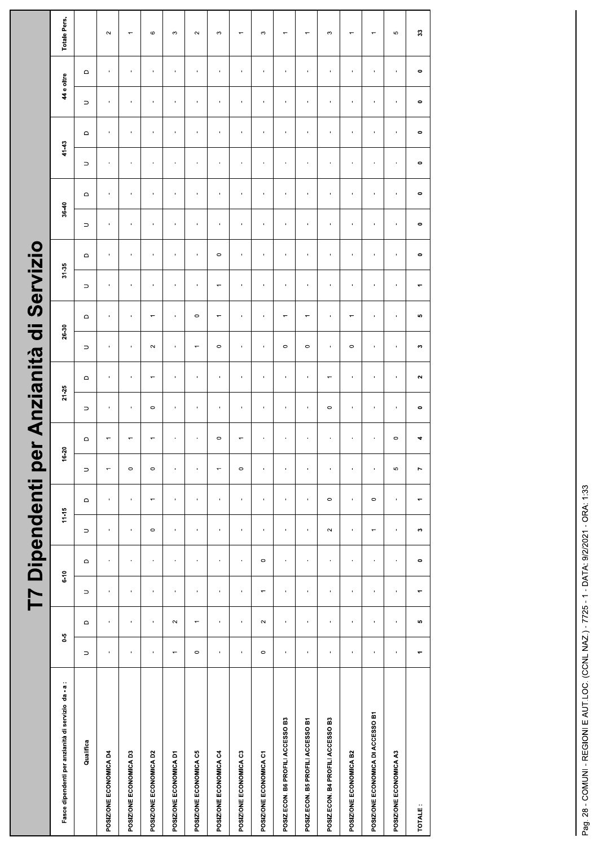|                                                     |                          |                          | T7 Dipendenti po |                 |                          |                        |                |                        |                     | er Anzianità           | $\ddot{\bar{\sigma}}$ |                          | Servizio                 |                  |                |                          |                          |                          |                |                          |                          |
|-----------------------------------------------------|--------------------------|--------------------------|------------------|-----------------|--------------------------|------------------------|----------------|------------------------|---------------------|------------------------|-----------------------|--------------------------|--------------------------|------------------|----------------|--------------------------|--------------------------|--------------------------|----------------|--------------------------|--------------------------|
| Fasce dipendenti per anzianità di servizio da - a : | $\ddot{\phantom{0}}$     |                          | $6 - 10$         |                 | $11-15$                  |                        | $16 - 20$      |                        | $21 - 25$           |                        | 26-30                 |                          | $31 - 35$                |                  | $36 - 40$      |                          | $41 - 43$                |                          | 44 e oltre     |                          | Totale Pers.             |
| Qualifica                                           | $\supset$                | $\mathrel{\mathsf{d}}$   | $\supset$        | $\hfill\square$ | $\supset$                | $\mathrel{\mathsf{d}}$ | $\supset$      | $\mathrel{\mathsf{d}}$ | $\supset$           | $\mathrel{\mathsf{d}}$ | $\supset$             | $\mathsf \Omega$         | $\supset$                | $\mathbf \Omega$ | $\supset$      | $\mathsf \Omega$         | $\supset$                | $\Box$                   | $\supset$      | $\mathrel{\mathsf{d}}$   |                          |
| POSIZIONE ECONOMICA D4                              | $\blacksquare$           | $\blacksquare$           | $\blacksquare$   | $\blacksquare$  | $\blacksquare$           | $\blacksquare$         | $\overline{ }$ |                        | $\blacksquare$      | $\blacksquare$         | $\blacksquare$        | $\mathbf{I}$             | $\blacksquare$           | $\mathbf{I}$     | $\blacksquare$ | $\blacksquare$           | $\blacksquare$           | $\mathbf{I}$             | $\blacksquare$ | $\blacksquare$           | $\sim$                   |
| POSIZIONE ECONOMICA D3                              | ï                        | ï                        | $\blacksquare$   | ï               | $\blacksquare$           | $\blacksquare$         | $\circ$        |                        | $\blacksquare$      | ï                      | $\blacksquare$        | $\mathbf{r}$             | $\mathbf{r}$             | ï                | $\blacksquare$ | $\blacksquare$           | ï                        | $\blacksquare$           | $\blacksquare$ | $\blacksquare$           | $\overline{ }$           |
| POSIZIONE ECONOMICA D2                              | $\blacksquare$           | $\mathbf{I}$             | $\blacksquare$   |                 | $\circ$                  | $\overline{}$          | $\circ$        |                        | $\circ$             | $\leftarrow$           | $\sim$                | $\overline{\phantom{0}}$ | $\blacksquare$           | $\mathbf{I}$     | $\blacksquare$ | $\mathbf{I}$             |                          | $\mathbf{I}$             | $\mathbf{I}$   |                          | $\mathbf \Omega$         |
| POSIZIONE ECONOMICA D1                              | $\overline{\phantom{0}}$ | $\sim$                   | $\blacksquare$   | $\blacksquare$  | $\blacksquare$           | $\blacksquare$         | $\blacksquare$ | $\blacksquare$         | $\blacksquare$      | $\blacksquare$         | $\blacksquare$        | $\blacksquare$           | $\blacksquare$           | $\mathbf{I}$     | $\blacksquare$ | $\blacksquare$           | $\blacksquare$           | $\mathbf{I}$             | $\mathbf{I}$   | $\blacksquare$           | S                        |
| POSIZIONE ECONOMICA C5                              | $\circ$                  | $\overline{\phantom{0}}$ | J.               | f,              | ×                        | f,                     | $\blacksquare$ | $\mathbf{I}$           | ×                   | ï                      | $\overline{}$         | $\circ$                  | ï                        | ï                | ×              | f,                       | f,                       | ×                        | j.             | ï                        | $\sim$                   |
| POSIZIONE ECONOMICA C4                              | $\mathbf{I}$             | $\blacksquare$           | $\mathbf{I}$     |                 | $\mathbf{r}$             | $\mathbf{I}$           | $\overline{ }$ | $\circ$                | $\mathbf{I}$        |                        | $\circ$               | $\overline{\phantom{0}}$ | $\overline{\phantom{0}}$ | $\circ$          | $\mathbf{r}$   |                          |                          | $\mathbf{r}$             | $\mathbf{I}$   |                          | S                        |
| POSIZIONE ECONOMICA C3                              | ı,                       | $\mathbf{r}$             | í.               | í.              | ı.                       | ı.                     | $\circ$        |                        | $\mathbf{r}$        | í.                     | $\blacksquare$        | $\mathbf{r}$             | í.                       | í.               | í.             | í.                       | í.                       | f.                       | ï              | ï                        |                          |
| POSIZIONE ECONOMICA C1                              | $\circ$                  | $\sim$                   | $\leftarrow$     | $\circ$         | $\blacksquare$           | $\bar{\phantom{a}}$    | $\blacksquare$ | $\mathbf{I}$           | $\mathbf{r}$        | $\blacksquare$         | $\mathbf{r}$          | $\mathbf{r}$             | ò.                       | à.               | à.             | $\bar{\phantom{a}}$      | f,                       | Ŷ.                       | $\mathbf{r}$   | $\blacksquare$           | S                        |
| POSIZ.ECON. B6 PROFILI ACCESSO B3                   | $\blacksquare$           | $\bar{\phantom{a}}$      | $\blacksquare$   | $\blacksquare$  | $\blacksquare$           | $\blacksquare$         | $\blacksquare$ | $\blacksquare$         | $\blacksquare$      | $\blacksquare$         | $\circ$               | $\leftarrow$             | $\mathbf{I}$             | $\blacksquare$   | $\blacksquare$ | $\mathbf{r}$             | $\mathbf{I}$             | $\mathbf{I}$             | $\mathbf{I}$   | $\blacksquare$           |                          |
| POSIZ.ECON. B5 PROFILI ACCESSO B1                   | $\mathbf{I}$             | $\mathbf{I}$             | $\mathbf{I}$     | $\mathbf{I}$    | $\blacksquare$           | $\mathbf{I}$           | $\mathbf{I}$   | $\mathbf{I}$           | $\mathbf{r}$        | $\bar{1}$              | $\circ$               | $\overline{\phantom{0}}$ | $\mathbf{I}$             | $\mathbf{I}$     | $\blacksquare$ | $\overline{\phantom{a}}$ | $\mathbf{I}$             | $\overline{\phantom{a}}$ | $\mathbf{I}$   | $\blacksquare$           |                          |
| POSIZ.ECON. B4 PROFILI ACCESSO B3                   | ×,                       | $\blacksquare$           | $\mathbf{I}$     | $\blacksquare$  | $\sim$                   | $\circ$                | $\blacksquare$ | $\blacksquare$         | $\circ$             | $\leftarrow$           | $\blacksquare$        | $\blacksquare$           | ×,                       | ò,               | ×,             | $\mathbf{r}$             | f,                       | Ŷ.                       | $\mathbf{r}$   | $\blacksquare$           | S                        |
| POSIZIONE ECONOMICA B2                              | ı                        | $\mathbf{I}$             | $\mathbf{I}$     | ï               | ï                        | ï                      | $\blacksquare$ | $\blacksquare$         | $\mathbf{r}$        | $\blacksquare$         | $\circ$               | $\overline{ }$           | ï                        | ï                | $\blacksquare$ | ï                        | í.                       | $\blacksquare$           | $\blacksquare$ | $\blacksquare$           |                          |
| POSIZIONE ECONOMICA DI ACCESSO B1                   | $\cdot$                  | $\overline{\phantom{a}}$ | J.               | J.              | $\overline{\phantom{0}}$ | $\circ$                | $\blacksquare$ | $\mathbf{I}$           | $\blacksquare$      | ï                      | $\mathbf{I}$          | $\overline{1}$           | $\overline{1}$           | J.               | ï              | $\overline{\phantom{a}}$ | $\overline{\phantom{a}}$ | $\blacksquare$           | J.             | $\overline{\phantom{a}}$ | $\overline{\phantom{0}}$ |
| POSIZIONE ECONOMICA A3                              | $\blacksquare$           | $\blacksquare$           | $\blacksquare$   | $\blacksquare$  | $\blacksquare$           | $\blacksquare$         | Ю              | $\circ$                | $\bar{\phantom{a}}$ | $\blacksquare$         | $\bar{\phantom{a}}$   | $\mathbf{r}$             | $\mathbf{I}$             | $\mathbf{I}$     | $\blacksquare$ | $\blacksquare$           | $\mathbf{r}$             | $\mathbf{I}$             | $\blacksquare$ | $\blacksquare$           | Ю                        |
| TOTALE:                                             |                          | ю                        |                  | $\bullet$       | c                        |                        | r              | 4                      | $\bullet$           | $\sim$                 | S                     | ю                        | ٠                        | $\bullet$        | $\bullet$      | $\bullet$                | $\bullet$                | $\circ$                  | $\bullet$      | $\bullet$                | $\mathbb{S}^2$           |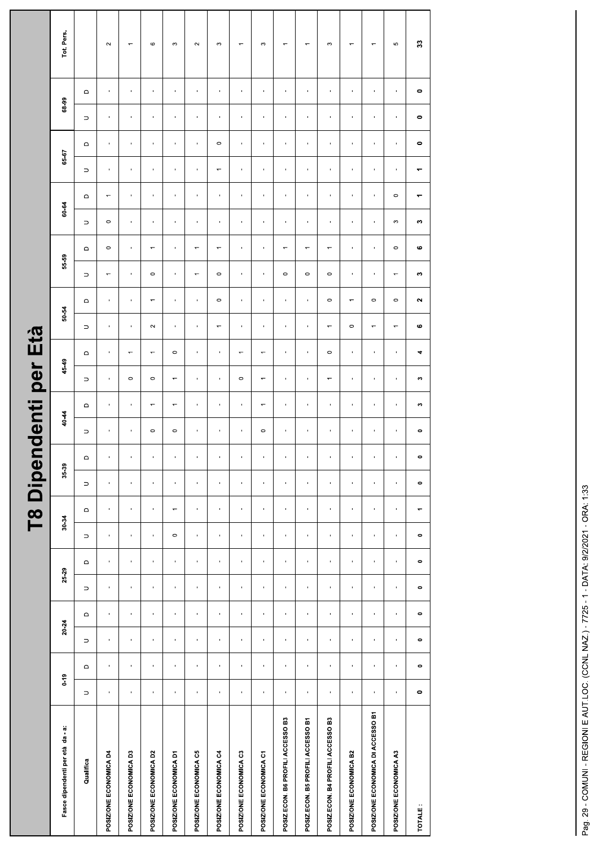|                                   |                |                             |                |                           |                                     |                           |                          |                | <b>T8 Dipende</b>         |                | nti                      | per                      | Età                      |                          |                          |                          |                                                         |                                   |                          |                       |                           |                        |                          |
|-----------------------------------|----------------|-----------------------------|----------------|---------------------------|-------------------------------------|---------------------------|--------------------------|----------------|---------------------------|----------------|--------------------------|--------------------------|--------------------------|--------------------------|--------------------------|--------------------------|---------------------------------------------------------|-----------------------------------|--------------------------|-----------------------|---------------------------|------------------------|--------------------------|
| Fasce dipendenti per età da - a:  | $0 - 19$       |                             | 20.24          |                           | 25-29                               |                           | 30-34                    |                | 35-39                     |                | 40-44                    | 45-49                    |                          | 50-54                    |                          | 55-59                    |                                                         | 60-64                             |                          | 65-67                 | 68-99                     |                        | Tot. Pers.               |
| Qualifica                         | $\supset$      | $\hfill \Box$               | $\supset$      | $\hfill \Box$             | $\mathrel{\mathsf{d}}$<br>$\supset$ | $\supset$                 | $\qquad \qquad \Box$     | $\supset$      | $\mathsf \Omega$          | $\supset$      | $\hfill \Box$            | $\supset$                | $\mathsf \Omega$         | $\supset$                | $\mathrel{\mathsf{d}}$   | $\supset$                | $\supset$<br>$\hfill\square$                            | $\hfill\square$                   | $\supset$                | $\hfill\square$       | $\supset$                 | $\mathrel{\mathsf{d}}$ |                          |
| POSIZIONE ECONOMICA D4            | $\mathbf{u}$   | $\mathbf{r}$                | $\mathbf{I}$   | $\sim$                    | $\mathbf{I}$<br>$\mathbf{r}$        | $\blacksquare$            | $\mathbf{I}$             | $\mathbf{I}$   | $\mathcal{A}$             | $\blacksquare$ | $\blacksquare$           | $\sim$                   | $\sim$                   | $\blacksquare$           | $\sim$                   | $\overline{\phantom{m}}$ | $\circ$<br>$\circ$                                      | $\overline{\phantom{m}}$          | $\blacksquare$           | $\sim$                | $\blacksquare$            | $\sim$                 | $\sim$                   |
| POSIZIONE ECONOMICA D3            | $\mathbf{r}$   | $\mathbf{r}_\perp$          | $\mathbf{r}$   | $\mathbf{r}$              | $\mathbf{r}$<br>$\mathbf{r}_\perp$  | $\mathbf{r}_\perp$        | $\mathbf{r}$             | $\mathbf{u}$   | $\mathbf{r}$              | $\blacksquare$ | $\mathbf{u}$ .           | $\circ$                  | $\overline{\phantom{a}}$ | $\mathbf{r}$             | $\mathbf{L}_{\rm{c}}$    | $\mathbf{r}$             | $\mathbf{r}$<br>$\mathbf{r}$                            | $\mathbf{u}$ .                    | $\mathbf{r}$             | $\mathbf{u}$          | $\mathbf{u}$ .            | $\mathbf{L}$           | $\overline{\phantom{m}}$ |
| POSIZIONE ECONOMICA D2            | $\mathbf{I}$   | $\mathbf{L}_{\mathrm{eff}}$ | $\mathbf{u}$ . | $\mathbf{L}_{\mathrm{c}}$ | $\mathbf{u}$<br>$\mathbf{u}$        | $\mathbf{I}$              | $\mathbf{L}_{\rm{B}}$    | $\mathbf{L}$   | $\mathbf{L}_{\mathrm{c}}$ | $\circ$        | $\overline{\phantom{m}}$ | $\circ$                  | $\overline{\phantom{m}}$ | $\sim$                   | $\overline{\phantom{m}}$ | $\circ$                  | $\mathbf{L}_{\mathrm{eff}}$<br>$\overline{\phantom{m}}$ | $\mathbf{L}_{\mathrm{c}}$         | $\mathbf{u}$             | $\mathbf{1}$          | $\mathbf{L}_{\mathrm{c}}$ | $\mathbf{L}$           | $\circ$                  |
| POSIZIONE ECONOMICA D1            | $\mathbf{1}$   | $\mathbf{r}$                | $\mathbf{r}$   | $\sim$                    | $\mathbf{r}$<br>$\mathbf{r}$        | $\circ$                   | $\overline{\phantom{m}}$ | $\mathbf{u}$   | $\mathbf{u}$              | $\circ$        | $\overline{\phantom{a}}$ | $\overline{\phantom{m}}$ | $\circ$                  | $\mathbf{u}$             | $\mathbf{H}$             | $\sim$                   | $\mathcal{A}$ .<br>$\mathcal{A}$                        | $\sim$                            | $\mathbf{r}$             | $\sim$                | $\sim$                    | $\mathbf{u}$           | $\boldsymbol{\infty}$    |
| POSIZIONE ECONOMICA C5            | $\mathbf{u}$   | $\mathbf{L}$                | $\mathbf{r}$   | $\sim$                    | $\mathbf{u}$<br>$\mathbf{r}$        | $\mathbf{L}$              | $\mathbf{1}$             | $\mathbf{u}$   | $\sim$                    | $\mathbf{r}$   | $\mathbf{u}$             | $\sim$                   | $\mathbf{u}$             | $\sim$                   | $\sim$                   | $\overline{\phantom{m}}$ | $\sim$<br>$\overline{\phantom{m}}$                      | $\mathcal{A}$                     | $\mathbf{r}$             | $\sim$                | $\sim$                    | $\mathbf{L}$           | $\sim$                   |
| POSIZIONE ECONOMICA C4            | $\mathbf{u}$   | $\blacksquare$              | $\mathbf{r}$   | $\mathbf{u}$              | $\mathbf{r}$<br>$\blacksquare$      | $\mathbf{r}$              | $\blacksquare$           | $\mathbf{u}$   | $\mathbf{r}$              | $\mathbf{I}$   | $\mathbf{u}$             | $\mathbf{u}$             | $\sim$                   | $\overline{\phantom{m}}$ | $\circ$                  | $\circ$                  | $\mathbf{H}_{\mathrm{eff}}$<br>$\overline{\phantom{m}}$ | $\mathbf{L}$                      | $\overline{\phantom{m}}$ | $\circ$               | $\mathbf{L}$              | $\mathbf{L}$           | $\infty$                 |
| POSIZIONE ECONOMICA C3            | $\blacksquare$ | $\blacksquare$              | $\blacksquare$ | $\mathbf{L}$              | $\blacksquare$<br>$\blacksquare$    | $\blacksquare$            | $\blacksquare$           | $\blacksquare$ | $\mathbf{r}$              |                | $\mathbf{r}$             | $\circ$                  | $\overline{\phantom{0}}$ | $\blacksquare$           | $\mathbf{H}$ .           | $\blacksquare$           | $\mathbf{H}$ .<br>$\mathbf{u}$ .                        | $\blacksquare$                    | $\blacksquare$           | $\mathbf{H}$ .        | $\blacksquare$            | $\mathbf{u}$ .         | $\overline{\phantom{m}}$ |
| POSIZIONE ECONOMICA C1            | $\mathbf{u}$   | $\mathbf{r}$                | $\mathbf{r}$   | $\mathbf{u}$              | $\mathbf{r}$<br>$\blacksquare$      | $\mathcal{A}$             | $\mathbf{r}$             | $\mathbf{u}$   | $\mathbf{u}$              | $\circ$        | $\overline{\phantom{m}}$ | $\overline{\phantom{m}}$ | $\overline{\phantom{m}}$ | $\mathbf{u}$             | $\sim$                   | $\mathbf{u}$             | $\sim 0$<br>$\sim$                                      | $\mathcal{A}$ .                   | $\mathbf{u}$             | $\sim 0.1$            | $\sim$                    | $\pm$                  | $\mathfrak{S}$           |
| POSIZ.ECON. B6 PROFILI ACCESSO B3 | $\mathbf{1}$   | $\blacksquare$              | $\mathbf{r}$   | $\mathbf{L}$              | $\mathbf{L}$<br>$\mathbf{L}$        | $\mathbf{L}$              | $\mathbf{L}$             | $\mathbf{r}$   | $\mathbf{L}$              | $\blacksquare$ | $\mathbf{L}$             | $\mathbf{H}$             | $\mathbf{L}$             | $\mathbf{I}$             | $\mathbf{I}$             | $\circ$                  | $\mathbf{u}$ .<br>$\overline{\phantom{m}}$              | $\mathbf{L}_{\mathrm{c}}$         | $\mathbf{r}$             | $\mathbf{L}_{\rm{c}}$ | $\mathbf{L}$              | $\mathbf{u}$           | $\overline{\phantom{m}}$ |
| POSIZ.ECON. B5 PROFILI ACCESSO B1 | $\mathbf{H}$   | $\blacksquare$              | $\mathbf{H}$   | $\mathbf{H}$              | $\mathbf{u}$<br>$\blacksquare$      | $\mathbf{L}$              | $\mathbf{r}$             | $\mathbf{L}$   | $\mathbf{H}$              |                | $\mathbf{L}$             | $\mathbf{H}$             | $\sim$                   | $\mathbf{u}$             | $\mathbf{L}$             | $\circ$                  | $\mathbf{H}$<br>$\overline{\phantom{m}}$                | $\mathbf{L}$                      | $\mathbf{r}$             | $\mathbf{H}$          | $\mathbf{r}$              | $\mathbf{L}$           | $\overline{\phantom{m}}$ |
| POSIZ.ECON. B4 PROFILI ACCESSO B3 | $\mathbf{r}$   | $\mathbf{r}$                | $\mathbf{r}$   | $\mathbf{r}$              | $\mathbf{r}$<br>$\mathbf{r}$        | $\mathbf{r}$              | $\mathbf{r}$             | $\mathbf{r}$   | $\mathbf{r}$              | Ù.             | $\mathbf{u}$ .           | $\overline{\phantom{m}}$ | $\circ$                  | $\overline{\phantom{m}}$ | $\circ$                  | $\circ$                  | $\overline{\phantom{m}}$                                | $\mathbf{u}$ .<br>$\mathbf{u}$ .  | $\mathbf{r}$             | $\mathbf{L}$          | $\mathbf{r}$              | $\mathbf{r}$           | $\boldsymbol{\infty}$    |
| POSIZIONE ECONOMICA B2            | $\mathbf{u}$   | $\mathbf{I}$                | $\mathbf{u}$   | $\mathbf{u}$              | $\mathbf{u}$<br>$\mathbf{I}$        | $\mathbf{1}$              | $\mathbf{I}$             | $\mathbf{1}$   | $\mathbf{u}$              | $\blacksquare$ | $\mathbf{u}$             | $\sim$                   | $\sim$ 1 $\sim$          | $\circ$                  | $\overline{\phantom{m}}$ | $\mathbf{u}$             | $\sim$<br>$\mathbf{I}$                                  | $\sim$                            | $\mathbf{u}$             | $\sim$ 1 $\sim$       | $\mathbf{u}$              | $\mathcal{A}$          | $\overline{\phantom{m}}$ |
| POSIZIONE ECONOMICA DI ACCESSO B1 | $\mathbf{1}$   | $\mathbf{r}$                | $\mathbf{r}$   | $\mathbf{L}$              | $\mathbf{r}$<br>$\mathbf{r}$        | $\mathbf{r}$              | $\mathbf{r}$             | $\mathbf{L}$   | $\mathbf{r}$              | $\blacksquare$ | $\mathbf{r}$             | $\mathbf{r}$             | $\mathbf{u}$             | $\overline{\phantom{m}}$ | $\circ$                  | $\mathbf{L}$             | $\mathbf{L}$<br>$\mathbf{L}$                            | $\mathbf{L}_{\mathrm{c}}$         | $\mathbf{L}$             | $\mathbf{u}$ .        | $\mathbf{u}$ .            | $\mathbf{u}$ .         | $\overline{\phantom{m}}$ |
| POSIZIONE ECONOMICA A3            | $\mathbf{u}$   | $\mathbf{u}$ .              | $\mathbf{u}$ . | $\mathbf{u}$              | $\mathbf{L}$<br>$\mathbf{u}$        | $\mathbf{L}_{\mathrm{c}}$ | $\mathbf{L}_{\rm{c}}$    | $\mathbf{r}$   | $\mathbf{u}$              |                | $\mathbf{u}$ .           | $\mathbf{u}$ .           | $\mathbf{L}$             | $\overline{\phantom{m}}$ | $\circ$                  | $\overline{\phantom{m}}$ | $\mathfrak{S}$<br>$\circ$                               | $\circ$                           | $\mathbf{r}$             | $\mathbf{u}$          | $\mathbf{L}$              | $\mathbf{L}$           | 5                        |
| TOTALE:                           | $\bullet$      | $\bullet$                   | $\bullet$      | $\bullet$                 | $\bullet$<br>$\bullet$              | $\bullet$                 | $\blacktriangledown$     | $\bullet$      | $\bullet$                 | $\bullet$      | $\bullet$                | $\sim$                   | $\blacktriangleleft$     | $\mathbf{o}$             | $\sim$                   | $\sim$                   | $\pmb{\omega}$                                          | $\blacktriangledown$<br><b>CO</b> | $\blacktriangledown$     | $\bullet$             | $\bullet$                 | $\bullet$              | $\mathbb{S}$             |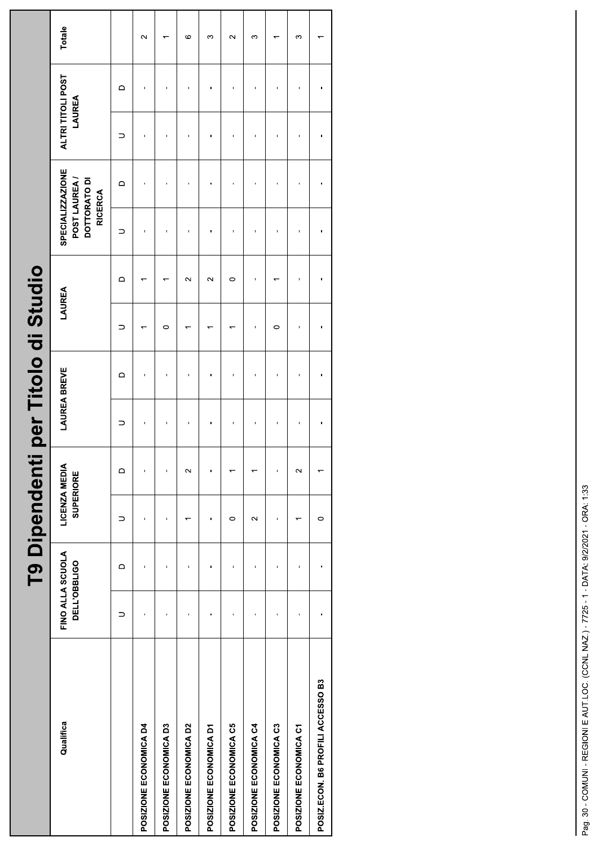|                                                   | T9 Dipendenti per T |                            |                          |                | itolo di       | Studio                   |                          |                                                                    |                |                             |                          |
|---------------------------------------------------|---------------------|----------------------------|--------------------------|----------------|----------------|--------------------------|--------------------------|--------------------------------------------------------------------|----------------|-----------------------------|--------------------------|
| FINO ALLA SCUOLA<br>DELL'OBBLIGO<br>Qualifica     |                     | LICENZA MEDIA<br>SUPERIORE |                          | LAUREA         | <b>BREVE</b>   | LAUREA                   |                          | SPECIALIZZAZIONE<br>POST LAUREA/<br>DOTTORATO DI<br><b>RICERCA</b> |                | ALTRI TITOLI POST<br>LAUREA | Totale                   |
| $\supset$                                         | $\mathbf \Omega$    | $\supset$                  | $\Box$                   | $\supset$      | $\Omega$       | $\supset$                | $\mathsf \Omega$         | $\hfill\square$<br>$\supset$                                       | $\supset$      | $\hfill\square$             |                          |
| $\blacksquare$<br>POSIZIONE ECONOMICA D4          | $\blacksquare$      | $\mathbf{I}$               | $\mathbf{I}$             | $\mathbf{I}$   | $\blacksquare$ | $\overline{\phantom{m}}$ | $\overline{\phantom{m}}$ | $\blacksquare$<br>$\mathbf{L}$                                     | $\blacksquare$ | $\mathbf{L}$                | $\sim$                   |
| $\blacksquare$<br>POSIZIONE ECONOMICA D3          | $\mathbf{I}$        | $\blacksquare$             | $\mathbf{I}$             | $\blacksquare$ | $\mathbf{I}$   | $\circ$                  | $\overline{\phantom{m}}$ | $\mathbf{I}$<br>$\blacksquare$                                     | $\mathbf{I}$   | $\blacksquare$              | $\overline{\phantom{0}}$ |
| $\blacksquare$<br>POSIZIONE ECONOMICA D2          | $\mathbf{I}$        | $\overline{ }$             | $\sim$                   | $\blacksquare$ | $\mathbf{I}$   | $\overline{\phantom{m}}$ | $\sim$                   | $\mathbf{I}$<br>$\mathbf{I}$                                       | $\mathbf{I}$   | $\mathbf{I}$                | $\mathbf \circ$          |
| $\blacksquare$<br>POSIZIONE ECONOMICA D1          | $\blacksquare$      | $\blacksquare$             | $\blacksquare$           | $\blacksquare$ | $\mathbf{u}$   | $\overline{\phantom{m}}$ | $\sim$                   | $\blacksquare$<br>$\mathbf{u}$                                     | $\mathbf{I}$   | $\mathbf{I}$                | $\infty$                 |
| $\blacksquare$<br>POSIZIONE ECONOMICA C5          | $\mathbf{I}$        | $\circ$                    | $\overline{\phantom{0}}$ | $\mathbf{I}$   | $\mathbf{I}$   | $\overline{\phantom{0}}$ | $\circ$                  | $\mathbf{I}$<br>$\blacksquare$                                     | $\blacksquare$ | $\mathbf{I}$                | $\sim$                   |
| $\mathbf{I}$<br>POSIZIONE ECONOMICA C4            | $\mathbf{I}$        | $\sim$                     | $\overline{\phantom{m}}$ | $\mathbf{I}$   | $\mathbf{I}$   | $\mathbf{I}$             | $\blacksquare$           | $\blacksquare$<br>$\mathbf{I}$                                     | $\mathbf{I}$   | $\mathbf{I}$                | $\infty$                 |
| $\blacksquare$<br>POSIZIONE ECONOMICA C3          | $\mathbf{I}$        | $\blacksquare$             | $\blacksquare$           | $\mathbf{I}$   | $\blacksquare$ | $\circ$                  | $\overline{\phantom{m}}$ | $\mathbf{I}$<br>$\blacksquare$                                     | $\mathbf{I}$   | $\mathbf{I}$                | $\overline{\phantom{m}}$ |
| $\blacksquare$<br>POSIZIONE ECONOMICA C1          | $\blacksquare$      | $\overline{\phantom{m}}$   | $\sim$                   | $\mathbf I$    | $\mathbf{I}$   | $\mathbf{I}$             | $\blacksquare$           | $\blacksquare$<br>$\blacksquare$                                   | $\mathbf{I}$   | $\mathbf{I}$                | $\infty$                 |
| $\mathbf{1}$<br>POSIZ.ECON. B6 PROFILI ACCESSO B3 | $\mathbf{I}$        | $\circ$                    | $\overline{\phantom{m}}$ | $\mathbf{I}$   | $\sim 1$       | $\sim$ 1                 | $\sim 1$                 | $\sim$ 1.<br>$\sim$ 1.                                             | $\sim$ 1.      | $\sim$ 1.                   | $\overline{\phantom{0}}$ |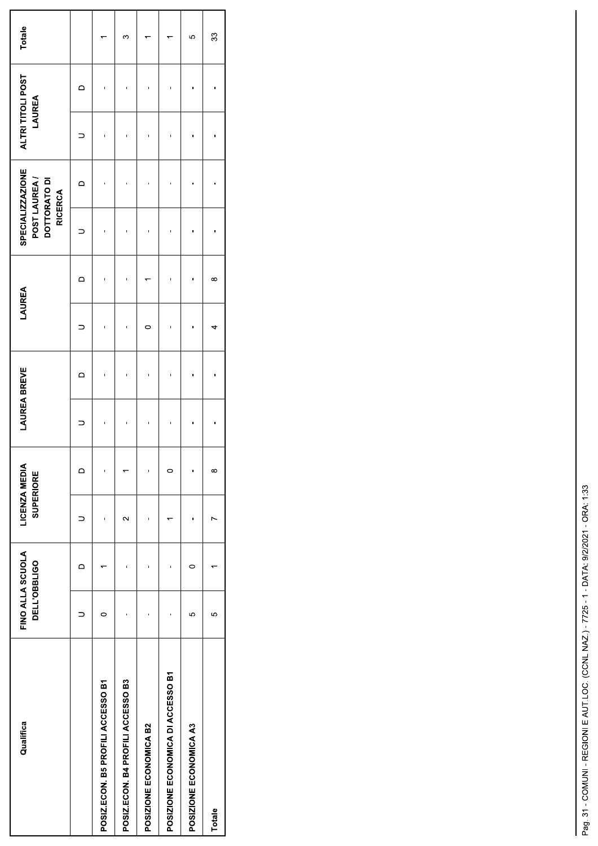| Qualifica                         | FINO ALLA SCUOLA<br><b>DELL'OBBLIGO</b> |   | LICENZA MEDIA<br><b>SUPERIORE</b> |          | <b>LAUREA BREVE</b> |   | LAUREA |          | SPECIALIZZAZIONE<br>POST LAUREA/<br>DOTTORATO DI<br><b>RICERCA</b> |   | ALTRI TITOLI POST<br>LAUREA |   | Totale |
|-----------------------------------|-----------------------------------------|---|-----------------------------------|----------|---------------------|---|--------|----------|--------------------------------------------------------------------|---|-----------------------------|---|--------|
|                                   |                                         | ≏ |                                   | ≏        |                     | ≏ |        | ⊂        |                                                                    | ≏ |                             | ≏ |        |
| POSIZ.ECON. B5 PROFILI ACCESSO B1 |                                         |   |                                   | ı        |                     |   |        |          |                                                                    |   |                             |   |        |
| POSIZ.ECON. B4 PROFILI ACCESSO B3 |                                         |   | $\sim$                            |          | ī                   |   |        |          |                                                                    |   |                             |   | ∽      |
| POSIZIONE ECONOMICA B2            |                                         |   |                                   |          |                     |   |        |          |                                                                    |   |                             |   |        |
| POSIZIONE ECONOMICA DI ACCESSO B1 |                                         |   |                                   | c        |                     |   |        |          |                                                                    |   |                             |   |        |
| POSIZIONE ECONOMICA A3            | 5                                       | 0 |                                   | ï        |                     |   |        |          |                                                                    |   |                             |   | 5      |
| Totale                            | ယ                                       |   |                                   | $\infty$ |                     |   | ₹      | $\infty$ |                                                                    |   |                             |   | 33     |
|                                   |                                         |   |                                   |          |                     |   |        |          |                                                                    |   |                             |   |        |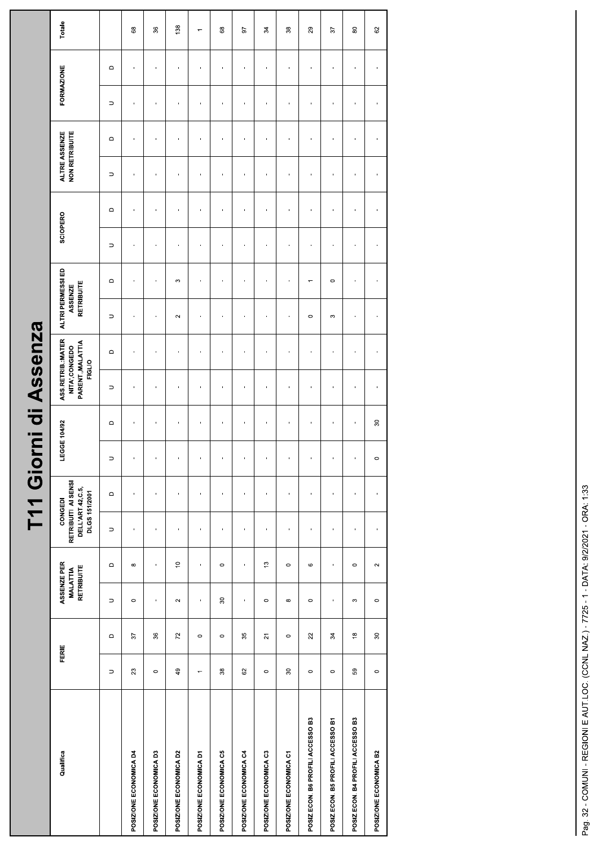| <b>NZ</b> a                  |
|------------------------------|
| Assei                        |
| 등                            |
| Ę<br>$\overline{\mathbf{O}}$ |
| ŕ<br>$\overline{\mathbf{C}}$ |
| ₹                            |

|                                   |                          |                                |                                              |                | T11 Giorni d                                                        |                | $\overline{\phantom{a}}$ | Assenza                                                            |                        |                                            |                       |                                  |                |                                        |                |                        |                          |
|-----------------------------------|--------------------------|--------------------------------|----------------------------------------------|----------------|---------------------------------------------------------------------|----------------|--------------------------|--------------------------------------------------------------------|------------------------|--------------------------------------------|-----------------------|----------------------------------|----------------|----------------------------------------|----------------|------------------------|--------------------------|
| Qualifica                         | FERIE                    |                                | ASSENZE PER<br>RETRIBUITE<br><b>MALATTIA</b> |                | RETRIBUITI AI SENSI<br>DELL'ART.42,C.5,<br>DLGS 151/2001<br>CONGEDI |                | LEGGE 104/92             | ASS.RETRIB.:MATER<br>PARENT., MALATTIA<br>NITA', CONGEDO<br>FIGLIO |                        | ALTRI PERMESSI ED<br>RETRIBUITE<br>ASSENZE |                       | SCIOPERO                         |                | <b>NON RETRIBUITE</b><br>ALTRE ASSENZE |                | <b>FORMAZIONE</b>      | Totale                   |
|                                   | $\supset$                | $\hfill \Box$                  | $\hfill\square$<br>$\supset$                 | $\supset$      | $\hfill \Box$                                                       | $\supset$      | $\mathrel{\mathsf{d}}$   | $\supset$                                                          | $\mathrel{\mathsf{d}}$ | $\supset$                                  | $\Box$                | $\mathsf \Omega$<br>$\supset$    | $\supset$      | $\hfill \Box$                          | $\supset$      | $\mathrel{\mathsf{d}}$ |                          |
| POSIZIONE ECONOMICA D4            | 23                       | $\sqrt{6}$                     | $\infty$<br>$\circ$                          | ×              | $\mathbf{I}$                                                        | $\,$           | $\blacksquare$           | $\mathbf{u}$                                                       | $\,$                   | $\mathbf{r}$                               | $\mathbf{r}$          | $\mathbf{r}$<br>$\mathbf{u}$     | $\mathbf{r}$   | $\mathbf{u}$                           | $\mathbf{u}$   | $\mathbf{r}$           | $^{\rm 63}$              |
| POSIZIONE ECONOMICA D3            | $\circ$                  | $36\,$                         | $\mathbf{L}$<br>$\mathbf{L}$                 | $\mathbf{I}$   | $\mathbf{u}$                                                        | $\mathbf{I}$   | $\mathbf{L}$             | $\mathbf{L}$                                                       | $\mathbf{I}$           | $\mathbf{u}$                               | $\mathbf{L}$          | $\mathbf{L}$<br>$\mathbf{u}$     | $\mathbf{L}$   | $\mathbf{L}$                           | $\mathbf{I}$   | $\mathbf{L}$           | $36\,$                   |
| POSIZIONE ECONOMICA D2            | 49                       | $\boldsymbol{z}$               | $\mathop{=}^{\circ}$<br>$\sim$               | $\blacksquare$ | $\blacksquare$                                                      | $\blacksquare$ | $\mathbf{I}$             | $\mathbf{r}$                                                       | $\mathbf{r}$           | $\sim$                                     | $\boldsymbol{\infty}$ | $\blacksquare$<br>$\mathbf{L}$   | $\blacksquare$ | $\blacksquare$                         | $\mathbf{r}$   | $\blacksquare$         | 138                      |
| POSIZIONE ECONOMICA D1            | $\overline{\phantom{m}}$ | $\circ$                        | $\blacksquare$<br>$\mathbf{r}$               | $\mathbf{r}$   | $\mathbf{u}$                                                        | $\blacksquare$ | $\mathbf{r}$             | $\mathbf{r}$                                                       | $\mathbf{r}$           | $\mathbf{r}$                               | $\mathbf{r}$          | $\mathbf{r}$<br>$\mathbf{r}$     | $\mathbf{r}$   | $\mathbf{u}$                           | $\mathbf{r}$   | ×.                     | $\overline{\phantom{m}}$ |
| POSIZIONE ECONOMICA C5            | $38\,$                   | $\circ$                        | $\circ$<br>$\rm ^{30}$                       | $\mathbf{I}$   | $\mathbf{I}$                                                        | $\mathbf{I}$   | $\mathbf{r}$             | $\mathbf{1}$                                                       | $\mathbf{I}$           | $\blacksquare$                             | $\mathbf{I}$          | $\mathbf{r}$<br>$\mathbf{1}$     | $\mathbf{I}$   | $\mathbf{1}$                           | $\mathbf{r}$   | $\mathbf{u}$           | $\mathbf{68}$            |
| POSIZIONE ECONOMICA C4            | $\mbox{S}$               | 35                             | $\blacksquare$<br>$\blacksquare$             | $\blacksquare$ | $\blacksquare$                                                      | $\blacksquare$ | $\mathbf{r}$             | $\mathbf{r}$                                                       | $\mathbf{I}$           | $\blacksquare$                             | $\blacksquare$        | $\blacksquare$<br>$\mathbf{r}$   | $\blacksquare$ | $\mathbf{r}$                           | $\mathbf{r}$   | $\blacksquare$         | 57                       |
| POSIZIONE ECONOMICA C3            | $\circ$                  | $\overline{\mathsf{S}}$        | $\mathfrak{S}$<br>$\circ$                    | $\blacksquare$ | $\blacksquare$                                                      | $\blacksquare$ | $\mathbf{r}$             | $\mathbf{r}$                                                       | $\mathbf{r}$           | $\mathbf{r}$                               | $\blacksquare$        | $\mathbf{r}$<br>$\mathbf{r}$     | $\mathbf{r}$   | $\blacksquare$                         | $\blacksquare$ | $\blacksquare$         | 34                       |
| POSIZIONE ECONOMICA C1            | $\rm ^{30}$              | $\circ$                        | $\circ$<br>$\infty$                          | $\blacksquare$ | $\,$                                                                | $\blacksquare$ | $\blacksquare$           | $\mathbf{I}$                                                       | $\mathbf{I}$           | $\blacksquare$                             | $\mathbf{I}$          | $\blacksquare$<br>$\mathbf{I}$   | $\blacksquare$ | $\blacksquare$                         | $\mathbf{I}$   | $\blacksquare$         | $38\,$                   |
| POSIZ.ECON. B6 PROFILI ACCESSO B3 | $\circ$                  | $_{\rm 22}$                    | $\circ$<br>$\circ$                           | $\blacksquare$ | $\blacksquare$                                                      | $\mathbf{r}$   | $\blacksquare$           | $\mathbf{r}$                                                       | $\blacksquare$         | $\circ$                                    | $\leftarrow$          | $\blacksquare$<br>$\blacksquare$ | $\blacksquare$ | $\mathbf{r}$                           | $\blacksquare$ | $\blacksquare$         | $_{29}$                  |
| POSIZ.ECON. B5 PROFILI ACCESSO B1 | $\circ$                  | $\mathcal{L}$                  | $\mathbf{r}$<br>$\mathbf{r}$                 | $\mathbf{r}$   | $\mathbf{u}$                                                        | $\mathbf{r}$   | $\blacksquare$           | $\mathbf{L}$                                                       | $\mathbf{r}$           | $\mathfrak{S}$                             | $\circ$               | $\mathbf{r}$<br>$\mathbf{r}$     | $\mathbf{r}$   | $\mathbf{L}$                           | $\mathbf{r}$   | $\mathbf{r}$           | 57                       |
| POSIZ.ECON. B4 PROFILI ACCESSO B3 | ${\tt S}$                | $\overset{\circ}{\phantom{a}}$ | $\circ$<br>$\infty$                          | $\mathbf{I}$   | $\mathbf{L}$                                                        | $\mathbf{I}$   | $\mathbf{u}$             | $\mathbf{L}$                                                       | $\mathbf{L}$           | $\mathbf{r}$                               | $\mathbf{L}$          | $\mathbf{r}$<br>$\mathbf{L}$     | $\mathbf{L}$   | $\mathbf{I}$                           | $\blacksquare$ | $\mathbf{H}$           | $\rm ^{\rm 8}$           |
| POSIZIONE ECONOMICA B2            | $\circ$                  | $\boldsymbol{\mathcal{S}}$     | $\sim$<br>$\circ$                            | $\blacksquare$ | $\mathbf{r}$                                                        | $\circ$        | $\overline{30}$          | $\mathbf{I}$                                                       | $\mathbf{r}$           | $\mathbf{I}$                               | $\mathbf{L}$          | $\mathbf{r}$<br>$\mathbf{1}$     | $\mathbf{I}$   | $\mathbf{I}$                           | $\mathbf{r}$   | $\mathbf{r}$           | 8                        |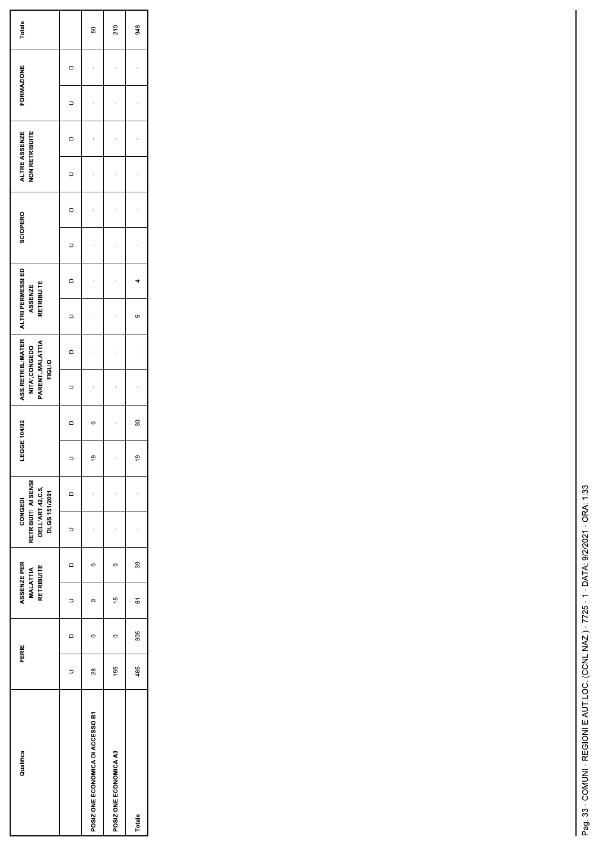| Qualifica                         | FERIE         |          | ASSENZE PER<br>RETRIBUITE<br><b>MALATTIA</b> |           | RETRIBUITI AI SENSI<br>DELL'ART.42,C.5,<br>DLGS 151/2001<br>CONGEDI |           | LEGGE 104/92    | ASS RETRIB : MATER<br>PARENT., MALATTIA<br>NITA', CONGEDO<br>FIGLIO |         | ALTRI PERMESSI ED<br>RETRIBUITE<br>ASSENZE |          | SCIOPERO  |          | <b>NON RETRIBUITE</b><br>ALTRE ASSENZE |           | <b>FORMAZIONE</b> | Totale |
|-----------------------------------|---------------|----------|----------------------------------------------|-----------|---------------------------------------------------------------------|-----------|-----------------|---------------------------------------------------------------------|---------|--------------------------------------------|----------|-----------|----------|----------------------------------------|-----------|-------------------|--------|
|                                   | $\Rightarrow$ | $\Omega$ | $\Omega$<br>$\Rightarrow$                    | $\supset$ | $\Omega$                                                            | $\supset$ | $\overline{a}$  | $\supset$                                                           | $\circ$ | $\supset$                                  | $\Omega$ | $\supset$ | $\Omega$ | $\Omega$<br>$\supset$                  | $\supset$ | $\Omega$          |        |
| POSIZIONE ECONOMICA DI ACCESSO B1 | 28            | $\circ$  | $\circ$<br>$\infty$                          | í         | ï                                                                   | e,        | $\circ$         | $\overline{\phantom{a}}$                                            | ï       | ı                                          | 1        | ï         | ı        | ı<br>ı                                 | ı         | ı                 | 50     |
| POSIZIONE ECONOMICA A3            | 195           | $\circ$  | $\circ$<br>$\frac{15}{2}$                    | 1         | 1                                                                   | 1         |                 | ï                                                                   | ï       | ı                                          | ı        | 1         | 1        | ï<br>í                                 | 1         | ı                 | 210    |
| Totale                            | 485           | 305      | 39<br>67                                     | 1         | 1                                                                   | e)        | $\overline{30}$ | $\mathbf{I}$                                                        | ï       | မာ                                         | 4        | 1         | 1        | ı<br>ï                                 | ı         | 1                 | 948    |
|                                   |               |          |                                              |           |                                                                     |           |                 |                                                                     |         |                                            |          |           |          |                                        |           |                   |        |
|                                   |               |          |                                              |           |                                                                     |           |                 |                                                                     |         |                                            |          |           |          |                                        |           |                   |        |
|                                   |               |          |                                              |           |                                                                     |           |                 |                                                                     |         |                                            |          |           |          |                                        |           |                   |        |
|                                   |               |          |                                              |           |                                                                     |           |                 |                                                                     |         |                                            |          |           |          |                                        |           |                   |        |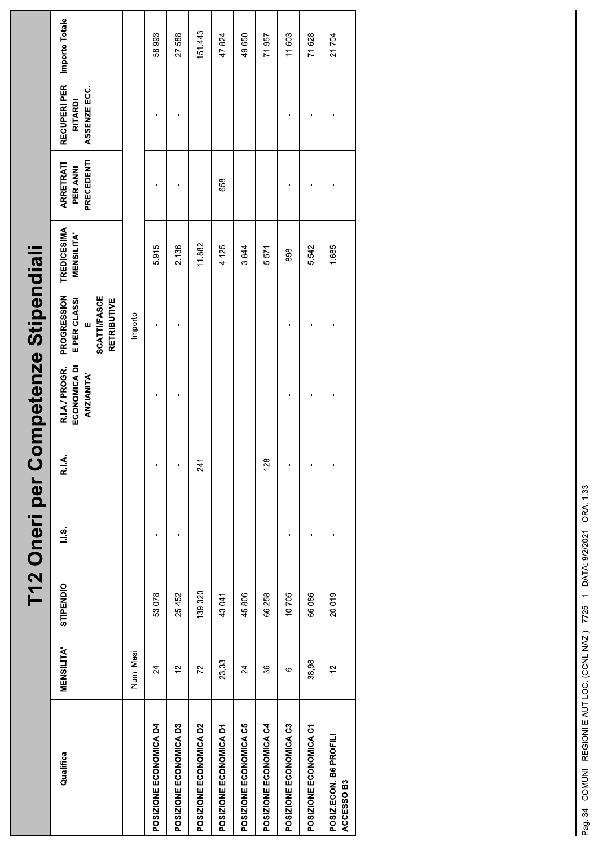|                                      |                  |           |               |       | <b>International per Competenze Stipendial</b>      |                                                                                      |                                        |                                            |                                               |                |
|--------------------------------------|------------------|-----------|---------------|-------|-----------------------------------------------------|--------------------------------------------------------------------------------------|----------------------------------------|--------------------------------------------|-----------------------------------------------|----------------|
| Qualifica                            | <b>MENSILITA</b> | STIPENDIO | $\frac{3}{1}$ | R.I.A | R.I.A./ PROGR.<br>ECONOMICA DI<br><b>ANZIANITA'</b> | <b>PROGRESSION</b><br><b>SCATTI/FASCE</b><br>E PER CLASSI<br><b>RETRIBUTIVE</b><br>ш | <b>TREDICESIMA</b><br><b>MENSILITA</b> | PRECEDENTI<br><b>ARRETRATI</b><br>PER ANNI | RECUPERI PER<br>ASSENZE ECC<br><b>RITARDI</b> | Importo Totale |
|                                      | Num. Mesi        |           |               |       |                                                     | Importo                                                                              |                                        |                                            |                                               |                |
| POSIZIONE ECONOMICA D4               | $\overline{24}$  | 53.078    |               | f,    |                                                     |                                                                                      | 5.915                                  |                                            |                                               | 58.993         |
| POSIZIONE ECONOMICA D3               | $\frac{1}{2}$    | 25.452    |               | ï     |                                                     |                                                                                      | 2.136                                  |                                            |                                               | 27.588         |
| POSIZIONE ECONOMICA D2               | 72               | 139.320   |               | 241   |                                                     |                                                                                      | 11.882                                 |                                            |                                               | 151.443        |
| POSIZIONE ECONOMICA D1               | 23,33            | 43.041    |               |       |                                                     |                                                                                      | 4.125                                  | 658                                        |                                               | 47.824         |
| POSIZIONE ECONOMICA C5               | $\overline{24}$  | 45806     |               |       |                                                     |                                                                                      | 3.844                                  |                                            |                                               | 49.650         |
| POSIZIONE ECONOMICA C4               | 36               | 66.258    |               | 128   |                                                     |                                                                                      | 5.571                                  |                                            |                                               | 71.957         |
| POSIZIONE ECONOMICA C3               | G                | 10.705    |               | ı     |                                                     |                                                                                      | 898                                    |                                            |                                               | 11.603         |
| POSIZIONE ECONOMICA C1               | 38,98            | 66.086    |               | f,    |                                                     |                                                                                      | 5.542                                  |                                            |                                               | 71.628         |
| POSIZ.ECON. B6 PROFILI<br>ACCESSO B3 | $\frac{1}{2}$    | 20.019    |               | ï     |                                                     |                                                                                      | 1.685                                  |                                            |                                               | 21.704         |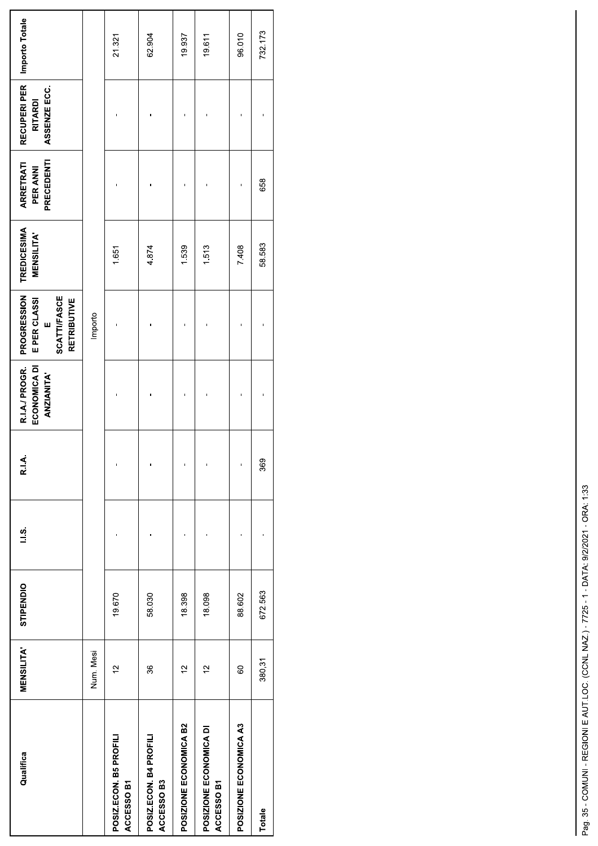| Qualifica                            | <b>MENSILITA</b> | STIPENDIO | $\frac{3}{1}$ | R.I.A | R.I.A./ PROGR.<br>ECONOMICA DI<br><b>ANZIANITA'</b> | PROGRESSION<br><b>SCATTIFASCE</b><br>E PER CLASSI<br><b>RETRIBUTIVE</b><br>w | <b>TREDICESIMA</b><br><b>MENSILITA</b> | PRECEDENTI<br><b>ARRETRATI</b><br>PER ANNI | RECUPERI PER<br>ASSENZE ECC.<br><b>RITARDI</b> | Importo Totale |
|--------------------------------------|------------------|-----------|---------------|-------|-----------------------------------------------------|------------------------------------------------------------------------------|----------------------------------------|--------------------------------------------|------------------------------------------------|----------------|
|                                      | Num. Mesi        |           |               |       |                                                     | Importo                                                                      |                                        |                                            |                                                |                |
| POSIZ.ECON. B5 PROFILI<br>ACCESSO B1 | $\frac{1}{2}$    | 19.670    |               |       |                                                     |                                                                              | 1.651                                  |                                            |                                                | 21.321         |
| POSIZ.ECON. B4 PROFILI<br>ACCESSO B3 | 36               | 58.030    |               |       |                                                     |                                                                              | 4.874                                  |                                            |                                                | 62.904         |
| POSIZIONE ECONOMICA B2               | $\frac{1}{2}$    | 18398     |               |       | ı                                                   |                                                                              | 1.539                                  |                                            |                                                | 19.937         |
| POSIZIONE ECONOMICA DI<br>ACCESSO B1 | $\frac{1}{2}$    | 18.098    |               |       |                                                     |                                                                              | 1.513                                  |                                            |                                                | 19.611         |
| POSIZIONE ECONOMICA A3               | 8                | 88.602    |               |       |                                                     |                                                                              | 7.408                                  |                                            |                                                | 96.010         |
| Totale                               | 380,31           | 672.563   |               | 369   |                                                     |                                                                              | 58.583                                 | 658                                        |                                                | 732.173        |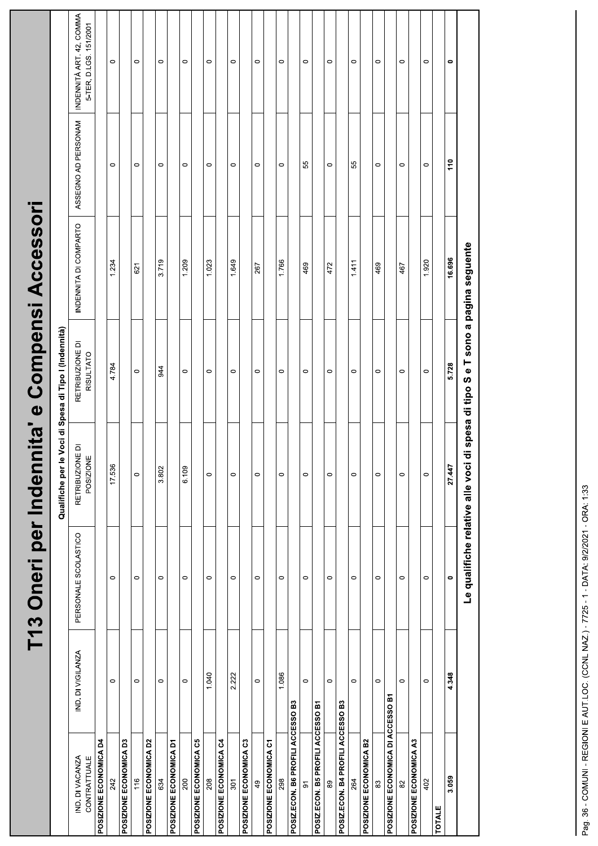|                                   |                   | T13 Oneri per Indenn |                                                             | Qualifiche per le Voci di Spesa di Tipo I (Indennità)                          | iita' e Compensi Accessori |                     |                                                    |
|-----------------------------------|-------------------|----------------------|-------------------------------------------------------------|--------------------------------------------------------------------------------|----------------------------|---------------------|----------------------------------------------------|
| IND. DI VACANZA<br>CONTRATTUALE   | IND. DI VIGILANZA | PERSONALE SCOLASTICO | $\overline{\mathsf{d}}$<br><b>RETRIBUZIONE</b><br>POSIZIONE | RETRIBUZIONE DI<br>RISULTATO                                                   | INDENNITA DI COMPARTO      | ASSEGNO AD PERSONAM | INDENNITÀ ART. 42, COMMA<br>5-TER, D.LGS. 151/2001 |
| POSIZIONE ECONOMICA D4            |                   |                      |                                                             |                                                                                |                            |                     |                                                    |
| 242                               | $\circ$           | $\circ$              | 17.536                                                      | 4.784                                                                          | 1.234                      | $\circ$             | $\circ$                                            |
| POSIZIONE ECONOMICA D3            |                   |                      |                                                             |                                                                                |                            |                     |                                                    |
| 116                               | $\circ$           | $\circ$              | $\circ$                                                     | $\circ$                                                                        | 621                        | $\circ$             | $\circ$                                            |
| POSIZIONE ECONOMICA D2            |                   |                      |                                                             |                                                                                |                            |                     |                                                    |
| 634                               | $\circ$           | $\circ$              | 3.802                                                       | 944                                                                            | 3.719                      | $\circ$             | $\circ$                                            |
| POSIZIONE ECONOMICA D1            |                   |                      |                                                             |                                                                                |                            |                     |                                                    |
| 200                               | $\circ$           | $\circ$              | 6.109                                                       | $\circ$                                                                        | 1.209                      | $\circ$             | $\circ$                                            |
| POSIZIONE ECONOMICA C5            |                   |                      |                                                             |                                                                                |                            |                     |                                                    |
| 208                               | 1.040             | $\circ$              | $\circ$                                                     | $\circ$                                                                        | 1.023                      | $\circ$             | $\circ$                                            |
| POSIZIONE ECONOMICA C4            |                   |                      |                                                             |                                                                                |                            |                     |                                                    |
| 301                               | 2.222             | $\circ$              | $\circ$                                                     | $\circ$                                                                        | 1.649                      | $\circ$             | $\circ$                                            |
| POSIZIONE ECONOMICA C3            |                   |                      |                                                             |                                                                                |                            |                     |                                                    |
| 49                                | $\circ$           | $\circ$              | $\circ$                                                     | $\circ$                                                                        | 267                        | $\circ$             | $\circ$                                            |
| POSIZIONE ECONOMICA C1            |                   |                      |                                                             |                                                                                |                            |                     |                                                    |
| 298                               | 1.086             | $\circ$              | $\circ$                                                     | $\circ$                                                                        | 1.766                      | $\circ$             | $\circ$                                            |
| POSIZ.ECON. B6 PROFILI ACCESSO B3 |                   |                      |                                                             |                                                                                |                            |                     |                                                    |
| $\overline{5}$                    | $\circ$           | $\circ$              | $\circ$                                                     | $\circ$                                                                        | 469                        | 55                  | $\circ$                                            |
| POSIZ.ECON. B5 PROFILI ACCESSO B1 |                   |                      |                                                             |                                                                                |                            |                     |                                                    |
| 89                                | $\circ$           | $\circ$              | $\circ$                                                     | $\circ$                                                                        | 472                        | $\circ$             | $\circ$                                            |
| POSIZ.ECON. B4 PROFILI ACCESSO B3 |                   |                      |                                                             |                                                                                |                            |                     |                                                    |
| 264                               | $\circ$           | $\circ$              | $\circ$                                                     | $\circ$                                                                        | 1.411                      | 55                  | $\circ$                                            |
| POSIZIONE ECONOMICA B2            |                   |                      |                                                             |                                                                                |                            |                     |                                                    |
| $_{83}$                           | $\circ$           | $\circ$              | $\circ$                                                     | $\circ$                                                                        | 469                        | $\circ$             | $\circ$                                            |
| POSIZIONE ECONOMICA DI ACCESSO B1 |                   |                      |                                                             |                                                                                |                            |                     |                                                    |
| 82                                | $\circ$           | $\circ$              | $\circ$                                                     | $\circ$                                                                        | 467                        | $\circ$             | $\circ$                                            |
| POSIZIONE ECONOMICA A3            |                   |                      |                                                             |                                                                                |                            |                     |                                                    |
| 402                               | $\circ$           | $\circ$              | $\circ$                                                     | $\circ$                                                                        | 1.920                      | $\circ$             | $\circ$                                            |
| <b>TOTALE</b>                     |                   |                      |                                                             |                                                                                |                            |                     |                                                    |
| 3.059                             | 4.348             | $\bullet$            | 27.447                                                      | 5.728                                                                          | 16.696                     | 110                 | $\bullet$                                          |
|                                   |                   |                      |                                                             | Le qualifiche relative alle voci di spesa di tipo S e T sono a pagina seguente |                            |                     |                                                    |
|                                   |                   |                      |                                                             |                                                                                |                            |                     |                                                    |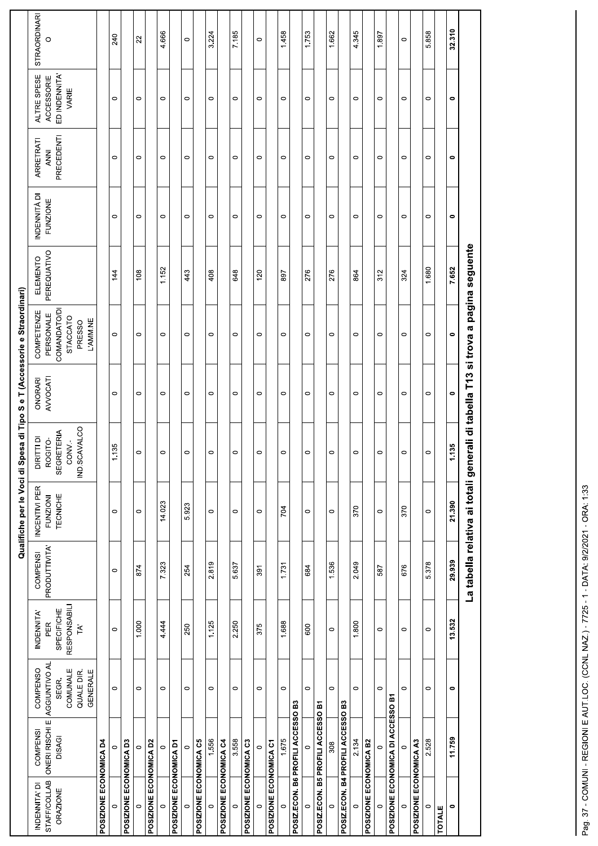| <b>STRAORDINARI</b><br>32.310<br>4.666<br>7.185<br>1.662<br>4.345<br>3.224<br>1.458<br>1.753<br>5.858<br>1.897<br>240<br>22<br>$\circ$<br>$\circ$<br>$\circ$<br>$\circ$<br>ED INDENNITA'<br>ALTRE SPESE<br>ACCESSORIE<br>VARIE<br>$\circ$<br>$\circ$<br>$\circ$<br>$\circ$<br>$\circ$<br>$\circ$<br>$\circ$<br>$\circ$<br>$\circ$<br>$\circ$<br>$\circ$<br>$\circ$<br>$\circ$<br>$\bullet$<br>$\circ$<br>PRECEDENTI<br>ARRETRATI<br><b>ANNI</b><br>$\circ$<br>$\circ$<br>$\circ$<br>$\circ$<br>$\circ$<br>$\circ$<br>$\circ$<br>$\circ$<br>$\circ$<br>$\circ$<br>$\circ$<br>$\circ$<br>$\circ$<br>$\circ$<br>$\bullet$<br>INDENNITÀ DI<br><b>FUNZIONE</b><br>$\circ$<br>$\circ$<br>$\circ$<br>$\circ$<br>$\circ$<br>$\circ$<br>$\circ$<br>$\circ$<br>$\circ$<br>$\circ$<br>$\circ$<br>$\circ$<br>$\circ$<br>$\circ$<br>$\bullet$<br>La tabella relativa ai totali generali di tabella T13 si trova a pagina seguente<br>PEREQUATIVO<br>ELEMENTO<br>1.680<br>7.652<br>1.152<br>144<br>443<br>648<br>276<br>276<br>312<br>108<br>408<br>120<br>897<br>864<br>324<br><b>COMANDATO/DI</b><br>COMPETENZE<br>PERSONALE<br>STACCATO<br>L'AMM.NE<br>PRESSO<br>$\circ$<br>$\circ$<br>$\circ$<br>$\circ$<br>$\circ$<br>$\circ$<br>$\circ$<br>$\circ$<br>$\bullet$<br>$\circ$<br>$\circ$<br>$\circ$<br>$\circ$<br>$\circ$<br>$\circ$<br>AVVOCATI<br>ONORARI<br>$\circ$<br>$\circ$<br>$\circ$<br>$\circ$<br>$\circ$<br>$\circ$<br>$\circ$<br>$\circ$<br>$\bullet$<br>$\circ$<br>$\circ$<br>$\circ$<br>$\circ$<br>$\circ$<br>$\circ$<br>IND.SCAVALCO<br>SEGRETERIA<br><b>DIRITTI DI</b><br>ROGITO-<br>CONV.-<br>1.135<br>1.135<br>$\circ$<br>$\circ$<br>$\circ$<br>$\circ$<br>$\circ$<br>$\circ$<br>$\circ$<br>$\circ$<br>$\circ$<br>$\circ$<br>$\circ$<br>$\circ$<br>$\circ$<br>INCENTIVI PER<br>TECNICHE<br><b>FUNZIONI</b><br>14.023<br>21.390<br>5.923<br>704<br>370<br>370<br>$\circ$<br>$\circ$<br>$\circ$<br>$\circ$<br>$\circ$<br>$\circ$<br>$\circ$<br>$\circ$<br>$\circ$<br>PRODUTTIVITA'<br><b>COMPENSI</b><br>29.939<br>5.378<br>7.323<br>1.536<br>2.819<br>2.049<br>5.637<br>1.731<br>676<br>874<br>254<br>684<br>391<br>587<br>$\circ$<br><b>RESPONSABILI</b><br>SPECIFICHE<br>INDENNITA'<br>13.532<br>1.000<br>4.444<br>1.125<br>2.250<br>1.688<br>1.800<br>PER<br>TA'<br>250<br>375<br>600<br>$\circ$<br>$\circ$<br>$\circ$<br>$\circ$<br>$\circ$<br>ONERI RISCHI E AGGIUNTIVO AL<br>COMPENSO<br>COMUNALE<br>QUALE DIR.<br><b>GENERALE</b><br>SEGR.<br>$\circ$<br>$\circ$<br>$\circ$<br>$\circ$<br>$\circ$<br>$\circ$<br>$\circ$<br>$\circ$<br>$\circ$<br>$\circ$<br>$\circ$<br>$\circ$<br>$\circ$<br>$\circ$<br>$\bullet$<br>POSIZIONE ECONOMICA DI ACCESSO B1<br>POSIZ.ECON. B6 PROFILI ACCESSO B3<br>POSIZ.ECON. B4 PROFILI ACCESSO B3<br>POSIZ.ECON. B5 PROFILI ACCESSO B1<br><b>COMPENSI</b><br><b>DISAGI</b><br>11.759<br>3.558<br>1.675<br>2.528<br>1.556<br>2.134<br>POSIZIONE ECONOMICA A3<br><b>POSIZIONE ECONOMICA D3</b><br>POSIZIONE ECONOMICA C5<br>POSIZIONE ECONOMICA C4<br>POSIZIONE ECONOMICA C3<br>POSIZIONE ECONOMICA C1<br>POSIZIONE ECONOMICA B2<br>POSIZIONE ECONOMICA D4<br>POSIZIONE ECONOMICA D2<br><b>POSIZIONE ECONOMICA D1</b><br>308<br>$\circ$<br>$\circ$<br>$\circ$<br>$\circ$<br>$\circ$<br>$\circ$<br>$\circ$<br>$\circ$<br><b>STAFF/COLLAB</b><br>INDENNITA' DI<br><b>ORAZIONE</b><br>$\circ$<br>$\circ$<br>$\circ$<br>$\circ$<br>$\circ$<br>$\circ$<br>$\circ$<br>$\circ$<br>$\circ$<br>$\circ$<br>$\circ$<br>$\circ$<br>$\circ$<br>$\subset$<br>$\bullet$<br><b>TOTALE</b> |  |  |  | Qualifiche per le Voci di Spesa di Tipo Se | T (Accessorie e Straordinari) |  |  |  |
|--------------------------------------------------------------------------------------------------------------------------------------------------------------------------------------------------------------------------------------------------------------------------------------------------------------------------------------------------------------------------------------------------------------------------------------------------------------------------------------------------------------------------------------------------------------------------------------------------------------------------------------------------------------------------------------------------------------------------------------------------------------------------------------------------------------------------------------------------------------------------------------------------------------------------------------------------------------------------------------------------------------------------------------------------------------------------------------------------------------------------------------------------------------------------------------------------------------------------------------------------------------------------------------------------------------------------------------------------------------------------------------------------------------------------------------------------------------------------------------------------------------------------------------------------------------------------------------------------------------------------------------------------------------------------------------------------------------------------------------------------------------------------------------------------------------------------------------------------------------------------------------------------------------------------------------------------------------------------------------------------------------------------------------------------------------------------------------------------------------------------------------------------------------------------------------------------------------------------------------------------------------------------------------------------------------------------------------------------------------------------------------------------------------------------------------------------------------------------------------------------------------------------------------------------------------------------------------------------------------------------------------------------------------------------------------------------------------------------------------------------------------------------------------------------------------------------------------------------------------------------------------------------------------------------------------------------------------------------------------------------------------------------------------------------------------------------------------------------------------------------------------------------------------------------------------------------------------------------------------------------------------------------------------------------------------------------------------------------------------------------------------------------------------------------------------------------------------------------------------------------------------------|--|--|--|--------------------------------------------|-------------------------------|--|--|--|
|                                                                                                                                                                                                                                                                                                                                                                                                                                                                                                                                                                                                                                                                                                                                                                                                                                                                                                                                                                                                                                                                                                                                                                                                                                                                                                                                                                                                                                                                                                                                                                                                                                                                                                                                                                                                                                                                                                                                                                                                                                                                                                                                                                                                                                                                                                                                                                                                                                                                                                                                                                                                                                                                                                                                                                                                                                                                                                                                                                                                                                                                                                                                                                                                                                                                                                                                                                                                                                                                                                                    |  |  |  |                                            |                               |  |  |  |
|                                                                                                                                                                                                                                                                                                                                                                                                                                                                                                                                                                                                                                                                                                                                                                                                                                                                                                                                                                                                                                                                                                                                                                                                                                                                                                                                                                                                                                                                                                                                                                                                                                                                                                                                                                                                                                                                                                                                                                                                                                                                                                                                                                                                                                                                                                                                                                                                                                                                                                                                                                                                                                                                                                                                                                                                                                                                                                                                                                                                                                                                                                                                                                                                                                                                                                                                                                                                                                                                                                                    |  |  |  |                                            |                               |  |  |  |
|                                                                                                                                                                                                                                                                                                                                                                                                                                                                                                                                                                                                                                                                                                                                                                                                                                                                                                                                                                                                                                                                                                                                                                                                                                                                                                                                                                                                                                                                                                                                                                                                                                                                                                                                                                                                                                                                                                                                                                                                                                                                                                                                                                                                                                                                                                                                                                                                                                                                                                                                                                                                                                                                                                                                                                                                                                                                                                                                                                                                                                                                                                                                                                                                                                                                                                                                                                                                                                                                                                                    |  |  |  |                                            |                               |  |  |  |
|                                                                                                                                                                                                                                                                                                                                                                                                                                                                                                                                                                                                                                                                                                                                                                                                                                                                                                                                                                                                                                                                                                                                                                                                                                                                                                                                                                                                                                                                                                                                                                                                                                                                                                                                                                                                                                                                                                                                                                                                                                                                                                                                                                                                                                                                                                                                                                                                                                                                                                                                                                                                                                                                                                                                                                                                                                                                                                                                                                                                                                                                                                                                                                                                                                                                                                                                                                                                                                                                                                                    |  |  |  |                                            |                               |  |  |  |
|                                                                                                                                                                                                                                                                                                                                                                                                                                                                                                                                                                                                                                                                                                                                                                                                                                                                                                                                                                                                                                                                                                                                                                                                                                                                                                                                                                                                                                                                                                                                                                                                                                                                                                                                                                                                                                                                                                                                                                                                                                                                                                                                                                                                                                                                                                                                                                                                                                                                                                                                                                                                                                                                                                                                                                                                                                                                                                                                                                                                                                                                                                                                                                                                                                                                                                                                                                                                                                                                                                                    |  |  |  |                                            |                               |  |  |  |
|                                                                                                                                                                                                                                                                                                                                                                                                                                                                                                                                                                                                                                                                                                                                                                                                                                                                                                                                                                                                                                                                                                                                                                                                                                                                                                                                                                                                                                                                                                                                                                                                                                                                                                                                                                                                                                                                                                                                                                                                                                                                                                                                                                                                                                                                                                                                                                                                                                                                                                                                                                                                                                                                                                                                                                                                                                                                                                                                                                                                                                                                                                                                                                                                                                                                                                                                                                                                                                                                                                                    |  |  |  |                                            |                               |  |  |  |
|                                                                                                                                                                                                                                                                                                                                                                                                                                                                                                                                                                                                                                                                                                                                                                                                                                                                                                                                                                                                                                                                                                                                                                                                                                                                                                                                                                                                                                                                                                                                                                                                                                                                                                                                                                                                                                                                                                                                                                                                                                                                                                                                                                                                                                                                                                                                                                                                                                                                                                                                                                                                                                                                                                                                                                                                                                                                                                                                                                                                                                                                                                                                                                                                                                                                                                                                                                                                                                                                                                                    |  |  |  |                                            |                               |  |  |  |
|                                                                                                                                                                                                                                                                                                                                                                                                                                                                                                                                                                                                                                                                                                                                                                                                                                                                                                                                                                                                                                                                                                                                                                                                                                                                                                                                                                                                                                                                                                                                                                                                                                                                                                                                                                                                                                                                                                                                                                                                                                                                                                                                                                                                                                                                                                                                                                                                                                                                                                                                                                                                                                                                                                                                                                                                                                                                                                                                                                                                                                                                                                                                                                                                                                                                                                                                                                                                                                                                                                                    |  |  |  |                                            |                               |  |  |  |
|                                                                                                                                                                                                                                                                                                                                                                                                                                                                                                                                                                                                                                                                                                                                                                                                                                                                                                                                                                                                                                                                                                                                                                                                                                                                                                                                                                                                                                                                                                                                                                                                                                                                                                                                                                                                                                                                                                                                                                                                                                                                                                                                                                                                                                                                                                                                                                                                                                                                                                                                                                                                                                                                                                                                                                                                                                                                                                                                                                                                                                                                                                                                                                                                                                                                                                                                                                                                                                                                                                                    |  |  |  |                                            |                               |  |  |  |
|                                                                                                                                                                                                                                                                                                                                                                                                                                                                                                                                                                                                                                                                                                                                                                                                                                                                                                                                                                                                                                                                                                                                                                                                                                                                                                                                                                                                                                                                                                                                                                                                                                                                                                                                                                                                                                                                                                                                                                                                                                                                                                                                                                                                                                                                                                                                                                                                                                                                                                                                                                                                                                                                                                                                                                                                                                                                                                                                                                                                                                                                                                                                                                                                                                                                                                                                                                                                                                                                                                                    |  |  |  |                                            |                               |  |  |  |
|                                                                                                                                                                                                                                                                                                                                                                                                                                                                                                                                                                                                                                                                                                                                                                                                                                                                                                                                                                                                                                                                                                                                                                                                                                                                                                                                                                                                                                                                                                                                                                                                                                                                                                                                                                                                                                                                                                                                                                                                                                                                                                                                                                                                                                                                                                                                                                                                                                                                                                                                                                                                                                                                                                                                                                                                                                                                                                                                                                                                                                                                                                                                                                                                                                                                                                                                                                                                                                                                                                                    |  |  |  |                                            |                               |  |  |  |
|                                                                                                                                                                                                                                                                                                                                                                                                                                                                                                                                                                                                                                                                                                                                                                                                                                                                                                                                                                                                                                                                                                                                                                                                                                                                                                                                                                                                                                                                                                                                                                                                                                                                                                                                                                                                                                                                                                                                                                                                                                                                                                                                                                                                                                                                                                                                                                                                                                                                                                                                                                                                                                                                                                                                                                                                                                                                                                                                                                                                                                                                                                                                                                                                                                                                                                                                                                                                                                                                                                                    |  |  |  |                                            |                               |  |  |  |
|                                                                                                                                                                                                                                                                                                                                                                                                                                                                                                                                                                                                                                                                                                                                                                                                                                                                                                                                                                                                                                                                                                                                                                                                                                                                                                                                                                                                                                                                                                                                                                                                                                                                                                                                                                                                                                                                                                                                                                                                                                                                                                                                                                                                                                                                                                                                                                                                                                                                                                                                                                                                                                                                                                                                                                                                                                                                                                                                                                                                                                                                                                                                                                                                                                                                                                                                                                                                                                                                                                                    |  |  |  |                                            |                               |  |  |  |
|                                                                                                                                                                                                                                                                                                                                                                                                                                                                                                                                                                                                                                                                                                                                                                                                                                                                                                                                                                                                                                                                                                                                                                                                                                                                                                                                                                                                                                                                                                                                                                                                                                                                                                                                                                                                                                                                                                                                                                                                                                                                                                                                                                                                                                                                                                                                                                                                                                                                                                                                                                                                                                                                                                                                                                                                                                                                                                                                                                                                                                                                                                                                                                                                                                                                                                                                                                                                                                                                                                                    |  |  |  |                                            |                               |  |  |  |
|                                                                                                                                                                                                                                                                                                                                                                                                                                                                                                                                                                                                                                                                                                                                                                                                                                                                                                                                                                                                                                                                                                                                                                                                                                                                                                                                                                                                                                                                                                                                                                                                                                                                                                                                                                                                                                                                                                                                                                                                                                                                                                                                                                                                                                                                                                                                                                                                                                                                                                                                                                                                                                                                                                                                                                                                                                                                                                                                                                                                                                                                                                                                                                                                                                                                                                                                                                                                                                                                                                                    |  |  |  |                                            |                               |  |  |  |
|                                                                                                                                                                                                                                                                                                                                                                                                                                                                                                                                                                                                                                                                                                                                                                                                                                                                                                                                                                                                                                                                                                                                                                                                                                                                                                                                                                                                                                                                                                                                                                                                                                                                                                                                                                                                                                                                                                                                                                                                                                                                                                                                                                                                                                                                                                                                                                                                                                                                                                                                                                                                                                                                                                                                                                                                                                                                                                                                                                                                                                                                                                                                                                                                                                                                                                                                                                                                                                                                                                                    |  |  |  |                                            |                               |  |  |  |
|                                                                                                                                                                                                                                                                                                                                                                                                                                                                                                                                                                                                                                                                                                                                                                                                                                                                                                                                                                                                                                                                                                                                                                                                                                                                                                                                                                                                                                                                                                                                                                                                                                                                                                                                                                                                                                                                                                                                                                                                                                                                                                                                                                                                                                                                                                                                                                                                                                                                                                                                                                                                                                                                                                                                                                                                                                                                                                                                                                                                                                                                                                                                                                                                                                                                                                                                                                                                                                                                                                                    |  |  |  |                                            |                               |  |  |  |
|                                                                                                                                                                                                                                                                                                                                                                                                                                                                                                                                                                                                                                                                                                                                                                                                                                                                                                                                                                                                                                                                                                                                                                                                                                                                                                                                                                                                                                                                                                                                                                                                                                                                                                                                                                                                                                                                                                                                                                                                                                                                                                                                                                                                                                                                                                                                                                                                                                                                                                                                                                                                                                                                                                                                                                                                                                                                                                                                                                                                                                                                                                                                                                                                                                                                                                                                                                                                                                                                                                                    |  |  |  |                                            |                               |  |  |  |
|                                                                                                                                                                                                                                                                                                                                                                                                                                                                                                                                                                                                                                                                                                                                                                                                                                                                                                                                                                                                                                                                                                                                                                                                                                                                                                                                                                                                                                                                                                                                                                                                                                                                                                                                                                                                                                                                                                                                                                                                                                                                                                                                                                                                                                                                                                                                                                                                                                                                                                                                                                                                                                                                                                                                                                                                                                                                                                                                                                                                                                                                                                                                                                                                                                                                                                                                                                                                                                                                                                                    |  |  |  |                                            |                               |  |  |  |
|                                                                                                                                                                                                                                                                                                                                                                                                                                                                                                                                                                                                                                                                                                                                                                                                                                                                                                                                                                                                                                                                                                                                                                                                                                                                                                                                                                                                                                                                                                                                                                                                                                                                                                                                                                                                                                                                                                                                                                                                                                                                                                                                                                                                                                                                                                                                                                                                                                                                                                                                                                                                                                                                                                                                                                                                                                                                                                                                                                                                                                                                                                                                                                                                                                                                                                                                                                                                                                                                                                                    |  |  |  |                                            |                               |  |  |  |
|                                                                                                                                                                                                                                                                                                                                                                                                                                                                                                                                                                                                                                                                                                                                                                                                                                                                                                                                                                                                                                                                                                                                                                                                                                                                                                                                                                                                                                                                                                                                                                                                                                                                                                                                                                                                                                                                                                                                                                                                                                                                                                                                                                                                                                                                                                                                                                                                                                                                                                                                                                                                                                                                                                                                                                                                                                                                                                                                                                                                                                                                                                                                                                                                                                                                                                                                                                                                                                                                                                                    |  |  |  |                                            |                               |  |  |  |
|                                                                                                                                                                                                                                                                                                                                                                                                                                                                                                                                                                                                                                                                                                                                                                                                                                                                                                                                                                                                                                                                                                                                                                                                                                                                                                                                                                                                                                                                                                                                                                                                                                                                                                                                                                                                                                                                                                                                                                                                                                                                                                                                                                                                                                                                                                                                                                                                                                                                                                                                                                                                                                                                                                                                                                                                                                                                                                                                                                                                                                                                                                                                                                                                                                                                                                                                                                                                                                                                                                                    |  |  |  |                                            |                               |  |  |  |
|                                                                                                                                                                                                                                                                                                                                                                                                                                                                                                                                                                                                                                                                                                                                                                                                                                                                                                                                                                                                                                                                                                                                                                                                                                                                                                                                                                                                                                                                                                                                                                                                                                                                                                                                                                                                                                                                                                                                                                                                                                                                                                                                                                                                                                                                                                                                                                                                                                                                                                                                                                                                                                                                                                                                                                                                                                                                                                                                                                                                                                                                                                                                                                                                                                                                                                                                                                                                                                                                                                                    |  |  |  |                                            |                               |  |  |  |
|                                                                                                                                                                                                                                                                                                                                                                                                                                                                                                                                                                                                                                                                                                                                                                                                                                                                                                                                                                                                                                                                                                                                                                                                                                                                                                                                                                                                                                                                                                                                                                                                                                                                                                                                                                                                                                                                                                                                                                                                                                                                                                                                                                                                                                                                                                                                                                                                                                                                                                                                                                                                                                                                                                                                                                                                                                                                                                                                                                                                                                                                                                                                                                                                                                                                                                                                                                                                                                                                                                                    |  |  |  |                                            |                               |  |  |  |
|                                                                                                                                                                                                                                                                                                                                                                                                                                                                                                                                                                                                                                                                                                                                                                                                                                                                                                                                                                                                                                                                                                                                                                                                                                                                                                                                                                                                                                                                                                                                                                                                                                                                                                                                                                                                                                                                                                                                                                                                                                                                                                                                                                                                                                                                                                                                                                                                                                                                                                                                                                                                                                                                                                                                                                                                                                                                                                                                                                                                                                                                                                                                                                                                                                                                                                                                                                                                                                                                                                                    |  |  |  |                                            |                               |  |  |  |
|                                                                                                                                                                                                                                                                                                                                                                                                                                                                                                                                                                                                                                                                                                                                                                                                                                                                                                                                                                                                                                                                                                                                                                                                                                                                                                                                                                                                                                                                                                                                                                                                                                                                                                                                                                                                                                                                                                                                                                                                                                                                                                                                                                                                                                                                                                                                                                                                                                                                                                                                                                                                                                                                                                                                                                                                                                                                                                                                                                                                                                                                                                                                                                                                                                                                                                                                                                                                                                                                                                                    |  |  |  |                                            |                               |  |  |  |
|                                                                                                                                                                                                                                                                                                                                                                                                                                                                                                                                                                                                                                                                                                                                                                                                                                                                                                                                                                                                                                                                                                                                                                                                                                                                                                                                                                                                                                                                                                                                                                                                                                                                                                                                                                                                                                                                                                                                                                                                                                                                                                                                                                                                                                                                                                                                                                                                                                                                                                                                                                                                                                                                                                                                                                                                                                                                                                                                                                                                                                                                                                                                                                                                                                                                                                                                                                                                                                                                                                                    |  |  |  |                                            |                               |  |  |  |
|                                                                                                                                                                                                                                                                                                                                                                                                                                                                                                                                                                                                                                                                                                                                                                                                                                                                                                                                                                                                                                                                                                                                                                                                                                                                                                                                                                                                                                                                                                                                                                                                                                                                                                                                                                                                                                                                                                                                                                                                                                                                                                                                                                                                                                                                                                                                                                                                                                                                                                                                                                                                                                                                                                                                                                                                                                                                                                                                                                                                                                                                                                                                                                                                                                                                                                                                                                                                                                                                                                                    |  |  |  |                                            |                               |  |  |  |
|                                                                                                                                                                                                                                                                                                                                                                                                                                                                                                                                                                                                                                                                                                                                                                                                                                                                                                                                                                                                                                                                                                                                                                                                                                                                                                                                                                                                                                                                                                                                                                                                                                                                                                                                                                                                                                                                                                                                                                                                                                                                                                                                                                                                                                                                                                                                                                                                                                                                                                                                                                                                                                                                                                                                                                                                                                                                                                                                                                                                                                                                                                                                                                                                                                                                                                                                                                                                                                                                                                                    |  |  |  |                                            |                               |  |  |  |
|                                                                                                                                                                                                                                                                                                                                                                                                                                                                                                                                                                                                                                                                                                                                                                                                                                                                                                                                                                                                                                                                                                                                                                                                                                                                                                                                                                                                                                                                                                                                                                                                                                                                                                                                                                                                                                                                                                                                                                                                                                                                                                                                                                                                                                                                                                                                                                                                                                                                                                                                                                                                                                                                                                                                                                                                                                                                                                                                                                                                                                                                                                                                                                                                                                                                                                                                                                                                                                                                                                                    |  |  |  |                                            |                               |  |  |  |
|                                                                                                                                                                                                                                                                                                                                                                                                                                                                                                                                                                                                                                                                                                                                                                                                                                                                                                                                                                                                                                                                                                                                                                                                                                                                                                                                                                                                                                                                                                                                                                                                                                                                                                                                                                                                                                                                                                                                                                                                                                                                                                                                                                                                                                                                                                                                                                                                                                                                                                                                                                                                                                                                                                                                                                                                                                                                                                                                                                                                                                                                                                                                                                                                                                                                                                                                                                                                                                                                                                                    |  |  |  |                                            |                               |  |  |  |
|                                                                                                                                                                                                                                                                                                                                                                                                                                                                                                                                                                                                                                                                                                                                                                                                                                                                                                                                                                                                                                                                                                                                                                                                                                                                                                                                                                                                                                                                                                                                                                                                                                                                                                                                                                                                                                                                                                                                                                                                                                                                                                                                                                                                                                                                                                                                                                                                                                                                                                                                                                                                                                                                                                                                                                                                                                                                                                                                                                                                                                                                                                                                                                                                                                                                                                                                                                                                                                                                                                                    |  |  |  |                                            |                               |  |  |  |
|                                                                                                                                                                                                                                                                                                                                                                                                                                                                                                                                                                                                                                                                                                                                                                                                                                                                                                                                                                                                                                                                                                                                                                                                                                                                                                                                                                                                                                                                                                                                                                                                                                                                                                                                                                                                                                                                                                                                                                                                                                                                                                                                                                                                                                                                                                                                                                                                                                                                                                                                                                                                                                                                                                                                                                                                                                                                                                                                                                                                                                                                                                                                                                                                                                                                                                                                                                                                                                                                                                                    |  |  |  |                                            |                               |  |  |  |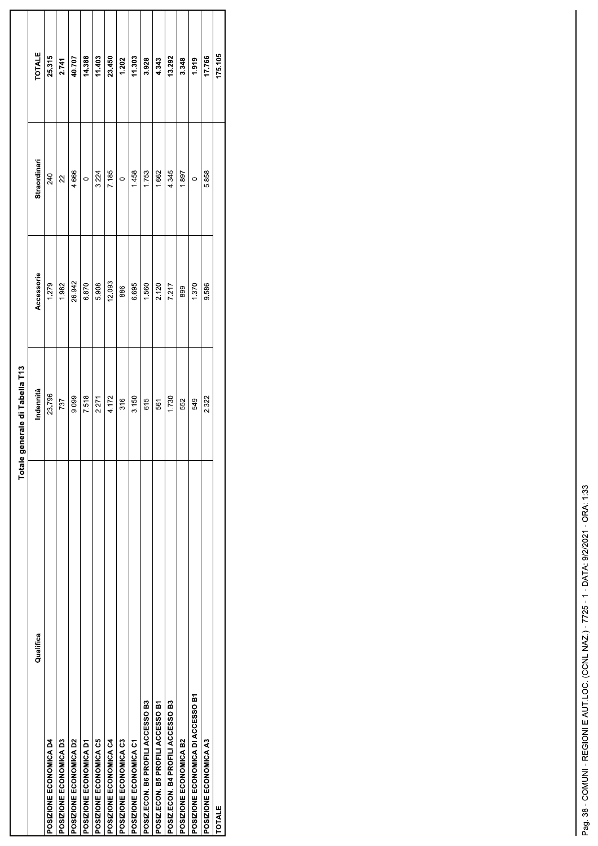|                                   | Totale generale di Tabella T13 |            |                |         |
|-----------------------------------|--------------------------------|------------|----------------|---------|
| Qualifica                         | Indennità                      | Accessorie | Straordinari   | TOTALE  |
| POSIZIONE ECONOMICA D4            | 23.796                         | 1.279      | 240            | 25.315  |
| POSIZIONE ECONOMICA D3            | 737                            | 1.982      | $\overline{2}$ | 2.741   |
| POSIZIONE ECONOMICA D2            | 9.099                          | 26.942     | 4.666          | 40.707  |
| POSIZIONE ECONOMICA D1            | 7.518                          | 6.870      | $\circ$        | 14.388  |
| POSIZIONE ECONOMICA C5            | 2.271                          | 5.908      | 3.224          | 11.403  |
| POSIZIONE ECONOMICA C4            | 4.172                          | 12.093     | 7.185          | 23.450  |
| POSIZIONE ECONOMICA C3            | 316                            | 886        | $\circ$        | 1.202   |
| POSIZIONE ECONOMICA C1            | 3.150                          | 6.695      | 1.458          | 11.303  |
| POSIZ.ECON. B6 PROFILI ACCESSO B3 | 615                            | 1.560      | 1.753          | 3.928   |
| POSIZ.ECON. B5 PROFILI ACCESSO B1 | 561                            | 2.120      | 1.662          | 4.343   |
| POSIZ.ECON. B4 PROFILI ACCESSO B3 | 1.730                          | 7.217      | 4.345          | 13.292  |
| POSIZIONE ECONOMICA B2            | 552                            | 899        | 1.897          | 3.348   |
| POSIZIONE ECONOMICA DI ACCESSO B1 | 549                            | 1.370      | $\circ$        | 1.919   |
| POSIZIONE ECONOMICA A3            | 2.322                          | 9.586      | 5.858          | 17.766  |
| <b>TOTALE</b>                     |                                |            |                | 175.105 |
|                                   |                                |            |                |         |

L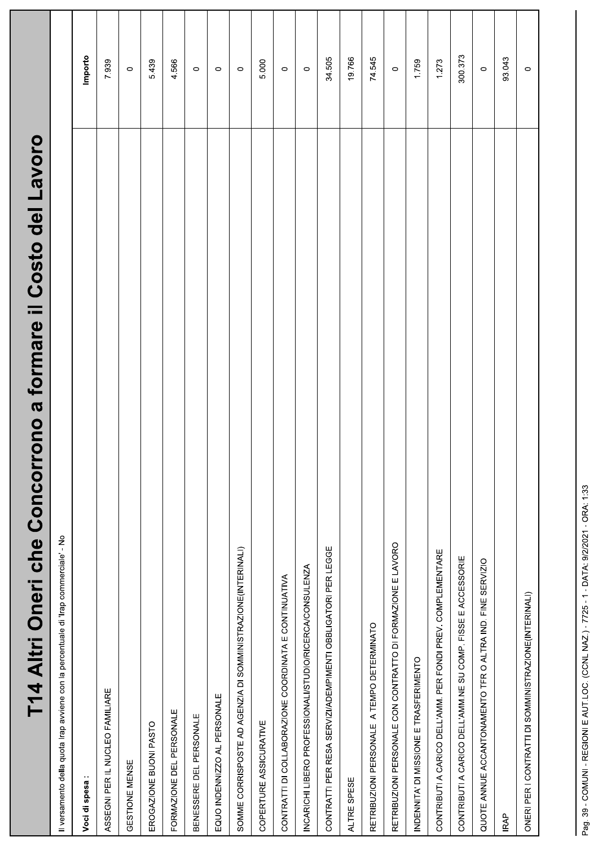| rono a formare il Costo del Lavoro<br>T14 Altri Oneri che Concor                     |         |
|--------------------------------------------------------------------------------------|---------|
| Il versamento della quota Irap avviene con la percentuale di 'Irap commerciale' - No |         |
| Voci di spesa:                                                                       | Importo |
| ASSEGNI PER IL NUCLEO FAMILIARE                                                      | 7.939   |
| GESTIONE MENSE                                                                       | $\circ$ |
| EROGAZIONE BUONI PASTO                                                               | 5.439   |
| FORMAZIONE DEL PERSONALE                                                             | 4.566   |
| PERSONALE<br>BENESSERE DEL                                                           | $\circ$ |
| EQUO INDENNIZZO AL PERSONALE                                                         | $\circ$ |
| SOMME CORRISPOSTE AD AGENZIA DI SOMMINISTRAZIONE(INTERINALI)                         | $\circ$ |
| COPERTURE ASSICURATIVE                                                               | 5.000   |
| CONTRATTI DI COLLABORAZIONE COORDINATA E CONTINUATIVA                                | $\circ$ |
| INCARICHI LIBERO PROFESSIONALI/STUDIO/RICERCA/CONSULENZA                             | $\circ$ |
| CONTRATTI PER RESA SERVIZI/ADEMPIMENTI OBBLIGATORI PER LEGGE                         | 34,505  |
| ALTRE SPESE                                                                          | 19.766  |
| RETRIBUZIONI PERSONALE A TEMPO DETERMINATO                                           | 74.545  |
| RETRIBUZIONI PERSONALE CON CONTRATTO DI FORMAZIONE E LAVORO                          | $\circ$ |
| INDENNITA' DI MISSIONE E TRASFERIMENTO                                               | 1.759   |
| CONTRIBUTI A CARICO DELL'AMM. PER FONDI PREV. COMPLEMENTARE                          | 1.273   |
| CONTRIBUTI A CARICO DELL'AMM.NE SU COMP. FISSE E ACCESSORIE                          | 300.373 |
| QUOTE ANNUE ACCANTONAMENTO TFR O ALTRA IND. FINE SERVIZIO                            | $\circ$ |
| <b>IRAP</b>                                                                          | 93.043  |
| ONERI PER I CONTRATTI DI SOMMINISTRAZIONE(INTERINALI)                                | $\circ$ |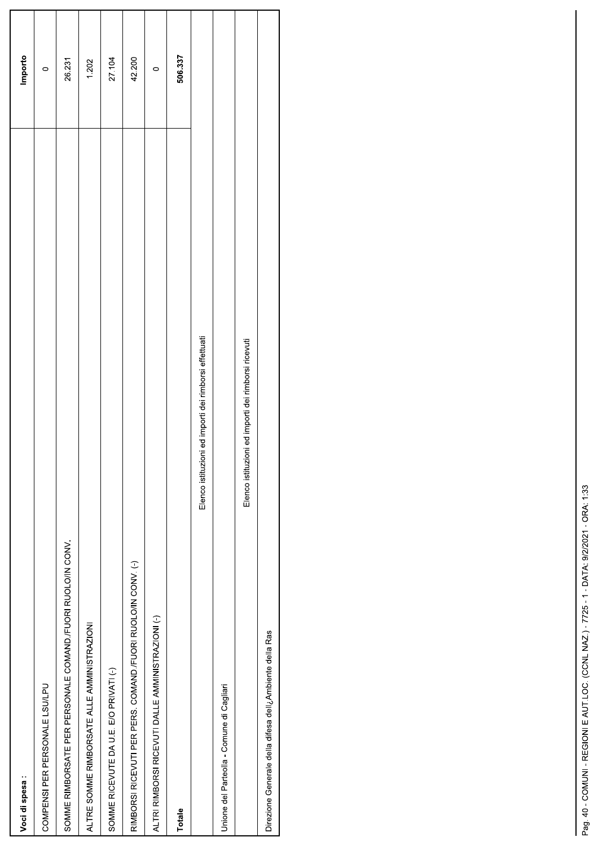| Voci di spesa:                                                       | Importo |
|----------------------------------------------------------------------|---------|
| COMPENSI PER PERSONALE LSU/LPU                                       | $\circ$ |
| SOMME RIMBORSATE PER PERSONALE COMAND./FUORI RUOLO/IN CONV.          | 26.231  |
| ALTRE SOMME RIMBORSATE ALLE AMMINISTRAZIONI                          | 1.202   |
| SOMME RICEVUTE DA U.E. E/O PRIVATI (-)                               | 27.104  |
| RIMBORSI RICEVUTI PER PERS. COMAND./FUORI RUOLO/IN CONV. (-)         | 42.200  |
| ALTRI RIMBORSI RICEVUTI DALLE AMMINISTRAZIONI (-)                    | $\circ$ |
| Totale                                                               | 506.337 |
| Elenco istituzioni ed importi dei rimborsi effettuati                |         |
| Unione del Parteolla - Comune di Cagliari                            |         |
| Elenco istituzioni ed importi dei rimborsi ricevuti                  |         |
| Direzione Generale della difesa dell <sub>c</sub> Ambiente della Ras |         |
|                                                                      |         |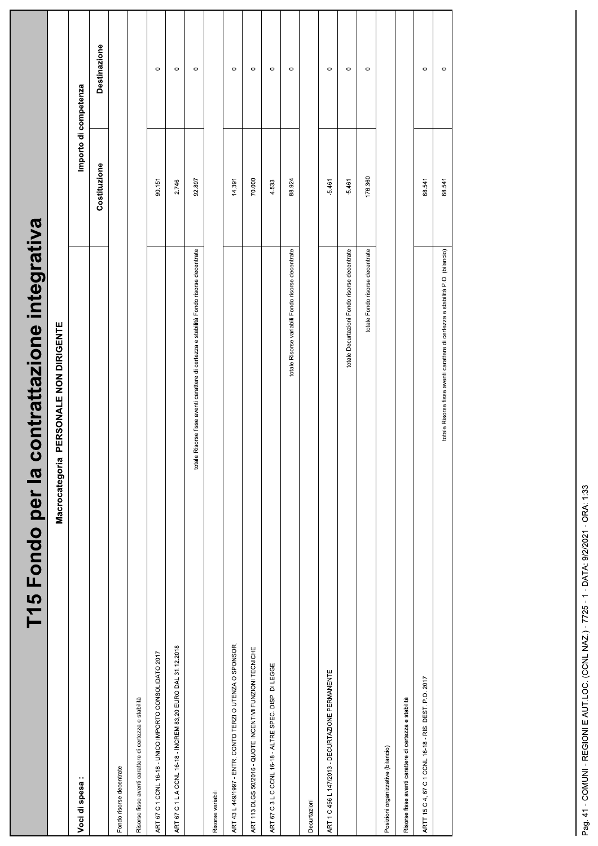| contrattazione integrativa<br>T15 Fondo per la                                         |                       |              |  |
|----------------------------------------------------------------------------------------|-----------------------|--------------|--|
| PERSONALE NON DIRIGENTE<br>Macrocategoria                                              |                       |              |  |
| Voci di spesa:                                                                         | Importo di competenza |              |  |
|                                                                                        | Costituzione          | Destinazione |  |
| Fondo risorse decentrate                                                               |                       |              |  |
| Risorse fisse aventi carattere di certezza e stabilità                                 |                       |              |  |
| ART 67 C 1 CCNL 16-18 - UNICO IMPORTO CONSOLIDATO 2017                                 | 90.151                | $\circ$      |  |
| ART 67 C 1 L A CCNL 16-18 - INCREM 83,20 EURO DAL 31.12.2018                           | 2.746                 | $\circ$      |  |
| totale Risorse fisse aventi carattere di certezza e stabilità Fondo risorse decentrate | 92.897                | $\circ$      |  |
| Risorse variabili                                                                      |                       |              |  |
| ART 43 L 449/1997 - ENTR. CONTO TERZI O UTENZA O SPONSOR.                              | 14.391                | $\circ$      |  |
| ART 113 DLGS 50/2016 - QUOTE INCENTIVI FUNZIONI TECNICHE                               | 70.000                | $\circ$      |  |
| ART 67 C 3 L C CCNL 16-18 - ALTRE SPEC. DISP. DI LEGGE                                 | 4.533                 | $\circ$      |  |
| totale Risorse variabili Fondo risorse decentrate                                      | 88.924                | $\circ$      |  |
| Decurtazioni                                                                           |                       |              |  |
| ART 1 C 456 L 147/2013 - DECURTAZIONE PERMANENTE                                       | $-5.461$              | $\circ$      |  |
| totale Decurtazioni Fondo risorse decentrate                                           | $-5.461$              | $\circ$      |  |
| totale Fondo risorse decentrate                                                        | 176.360               | $\circ$      |  |
| Posizioni organizzative (bilancio)                                                     |                       |              |  |
| Risorse fisse aventi carattere di certezza e stabilità                                 |                       |              |  |
| ARTT 15 C 4, 67 C 1 CCNL 16-18 - RIS. DEST. P.O. 2017                                  | 68.541                | $\circ$      |  |
| totale Risorse fisse aventi carattere di certezza e stabilità P.O. (bilancio)          | 68.541                | $\circ$      |  |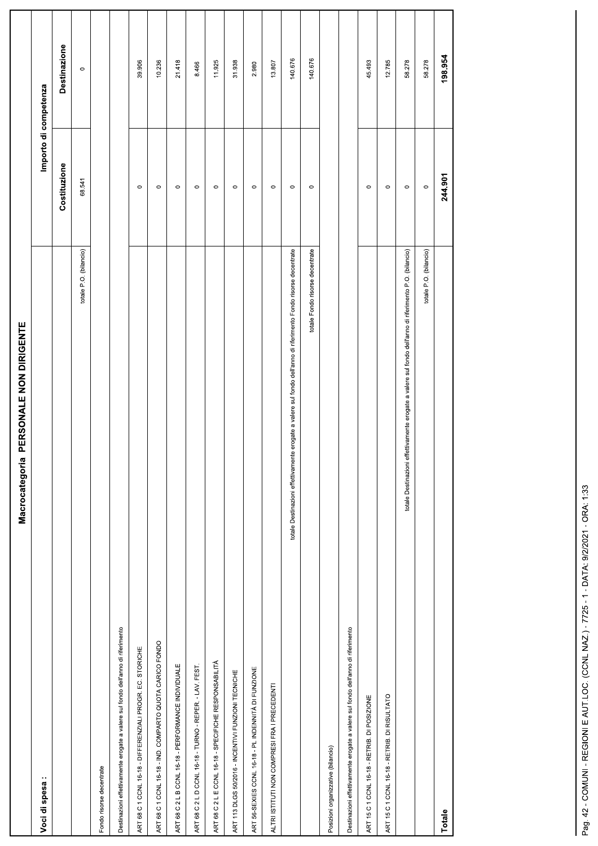| PERSONALE NON DIRIGENTE<br>Macrocategoria                                                                       |                       |              |
|-----------------------------------------------------------------------------------------------------------------|-----------------------|--------------|
| Voci di spesa:                                                                                                  | Importo di competenza |              |
|                                                                                                                 | Costituzione          | Destinazione |
| totale P.O. (bilancio)                                                                                          | 68.541                | $\circ$      |
| Fondo risorse decentrate                                                                                        |                       |              |
| Destinazioni effettivamente erogate a valere sul fondo dell'anno di riferimento                                 |                       |              |
| ART 68 C 1 CCNL 16-18 - DIFFERENZIALI PROGR. EC. STORICHE                                                       | $\circ$               | 39.906       |
| ART 68 C 1 CCNL 16-18 - IND. COMPARTO QUOTA CARICO FONDO                                                        | $\circ$               | 10.236       |
| ART 68 C 2 L B CCNL 16-18 - PERFORMANCE INDIVIDUALE                                                             | $\circ$               | 21.418       |
| ART 68 C 2 L D CCNL 16-18 - TURNO - REPER. - LAV. FEST.                                                         | $\circ$               | 8.466        |
| ART 68 C 2 L E CCNL 16-18 - SPECIFICHE RESPONSABILITÀ                                                           | $\circ$               | 11.925       |
| ART 113 DLGS 50/2016 - INCENTIVI FUNZIONI TECNICHE                                                              | $\circ$               | 31.938       |
| ART 56-SEXIES CCNL 16-18 - PL INDENNITÀ DI FUNZIONE                                                             | $\circ$               | 2.980        |
| ALTRI ISTITUTI NON COMPRESI FRA I PRECEDENTI                                                                    | $\circ$               | 13.807       |
| totale Destinazioni effettivamente erogate a valere sul fondo dell'anno di riferimento Fondo risorse decentrate | $\circ$               | 140.676      |
| totale Fondo risorse decentrate                                                                                 | $\circ$               | 140.676      |
| Posizioni organizzative (bilancio)                                                                              |                       |              |
| Destinazioni effettivamente erogate a valere sul fondo dell'anno di riferimento                                 |                       |              |
| ART 15 C 1 CCNL 16-18 - RETRIB. DI POSIZIONE                                                                    | $\circ$               | 45.493       |
| ART 15 C 1 CCNL 16-18 - RETRIB. DI RISULTATO                                                                    | $\circ$               | 12.785       |
| totale Destinazioni effettivamente erogate a valere sul fondo dell'anno di riferimento P.O. (bilancio)          | $\circ$               | 58.278       |
| totale P.O. (bilancio)                                                                                          | $\circ$               | 58.278       |
| Totale                                                                                                          | 244.901               | 198.954      |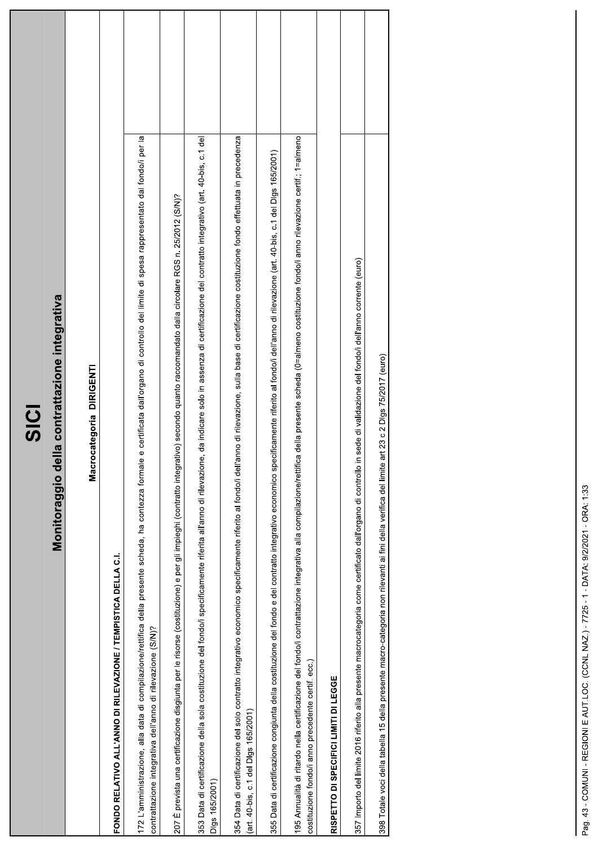| 5<br>0<br>5                                                                                                                                                                                                                                                     |  |
|-----------------------------------------------------------------------------------------------------------------------------------------------------------------------------------------------------------------------------------------------------------------|--|
| Monitoraggio della contrattazione integrativa                                                                                                                                                                                                                   |  |
| Macrocategoria DIRIGENTI                                                                                                                                                                                                                                        |  |
| FONDO RELATIVO ALL'ANNO DI RILEVAZIONE / TEMPISTICA DELLA C.I.                                                                                                                                                                                                  |  |
| 172 L'amministrazione, alla data di compilazione/rettifica della presente scheda, ha contezza formale e certificata dall'organo di controllo del limite di spesa rappresentato dal fondo/i per la<br>contrattazione integrativa dell'anno di rilevazione (S/N)? |  |
| 207 È prevista una certificazione disgiunta per le risorse (costituzione) e per gli impieghi (contratto integrativo) secondo quanto raccomandato dalla circolare RGS n. 25/2012 (S/N)?                                                                          |  |
| 353 Data di certificazione della sola costituzione del fondo/i specificamente riferita all'anno di rilevazione, da indicare solo in assenza di certificazione del contratto integrativo (art. 40-bis, c.1 del<br>Digs 165/2001)                                 |  |
| 354 Data di certificazione del solo contratto integrativo economico specificamente riferito al fondo/i dell'anno di rilevazione, sulla base di certificazione costituzione fondo effettuata in precedenza<br>(art. 40-bis, c.1 del Digs 165/2001)               |  |
| 355 Data di certificazione congiunta della costituzione del fondo e del contratto integrativo economico specificamente riferito al fondo/i dell'anno di rilevazione (art. 40-bis, c.1 del Digs 165/2001)                                                        |  |
| 195 Annualità di ritardo nella certificazione del fondo/i contrattazione integrativa alla compilazione/rettifica della presente scheda (0=almeno costituzione fondo/i anno rilevazione certif.; 1=almeno<br>costituzione fondo/i anno precedente certif. ecc.)  |  |
| RISPETTO DI SPECIFICI LIMITI DI LEGGE                                                                                                                                                                                                                           |  |
| 357 Importo del limite 2016 riferito alla presente macrocategoria come certificato dall'organo di controllo in sede di validazione del fondoli dell'anno corrente (euro)                                                                                        |  |
| 398 Totale voci della tabella 15 della presente macro-categoria non rilevanti ai fini della verifica del limite art 23 c 2 Digs 75/2017 (euro)                                                                                                                  |  |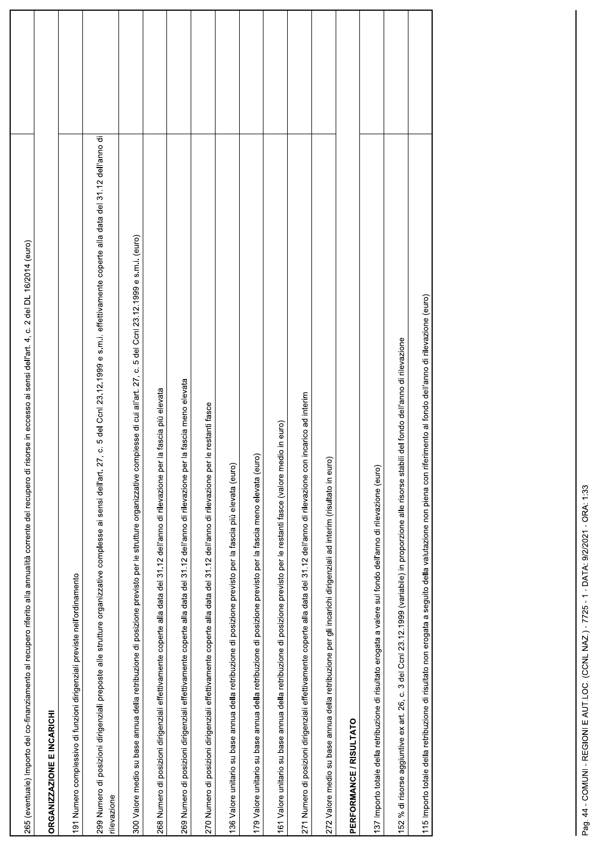| 265 (eventuale) importo del co-finanziamento al recupero riferito alla annualità corrente del recupero di risorse in eccesso ai sensi dell'art. 4, c. 2 del DL 16/2014 (euro)                                       |  |
|---------------------------------------------------------------------------------------------------------------------------------------------------------------------------------------------------------------------|--|
| <b>DRGANIZZAZIONE E INCARICHI</b>                                                                                                                                                                                   |  |
| 91 Numero complessivo di funzioni dirigenziali previste nell'ordinamento                                                                                                                                            |  |
| 299 Numero di posizioni dirigenziali preposte alle strutture organizzative complesse ai sensi dell'art. 27, c. 5 del Conl 23.12.1999 e s.m.i. effettivamente coperte alla data del 31.12 dell'anno di<br>ilevazione |  |
| 300 Valore medio su base annua della retribuzione di posizione previsto per le strutture organizzative complesse di cui all'art. 27, c. 5 del Ccnl 23.12.1999 e s.m.i. (euro)                                       |  |
| la fascia più elevata<br>268 Numero di posizioni dirigenziali effettivamente coperte alla data del 31.12 dell'anno di rilevazione per                                                                               |  |
| 31.12 dell'anno di rilevazione per la fascia meno elevata<br>269 Numero di posizioni dirigenziali effettivamente coperte alla data del                                                                              |  |
| 270 Numero di posizioni dirigenziali effettivamente coperte alla data del 31.12 dell'anno di rilevazione per le restanti fasce                                                                                      |  |
| 36 Valore unitario su base annua della retribuzione di posizione previsto per la fascia più elevata (euro)                                                                                                          |  |
| 79 Valore unitario su base annua della retribuzione di posizione previsto per la fascia meno elevata (euro)                                                                                                         |  |
| 61 Valore unitario su base annua della retribuzione di posizione previsto per le restanti fasce (valore medio in euro)                                                                                              |  |
| 271 Numero di posizioni dirigenziali effettivamente coperte alla data del 31.12 dell'anno di rilevazione con incarico ad interim                                                                                    |  |
| 272 Valore medio su base annua della retribuzione per gli incarichi dirigenziali ad interim (risultato in euro)                                                                                                     |  |
| PERFORMANCE / RISULTATO                                                                                                                                                                                             |  |
| 37 Importo totale della retribuzione di risultato erogata a valere sul fondo dell'anno di rilevazione (euro)                                                                                                        |  |
| 3 del Ccnl 23.12.1999 (variabile) in proporzione alle risorse stabili del fondo dell'anno di rilevazione<br>52 % di risorse aggiuntive ex art. 26, c.                                                               |  |
| 115 Importo totale della retribuzione di risultato non erogata a seguito della valutazione non piena con riferimento al fondo dell'anno di rilevazione (euro)                                                       |  |
|                                                                                                                                                                                                                     |  |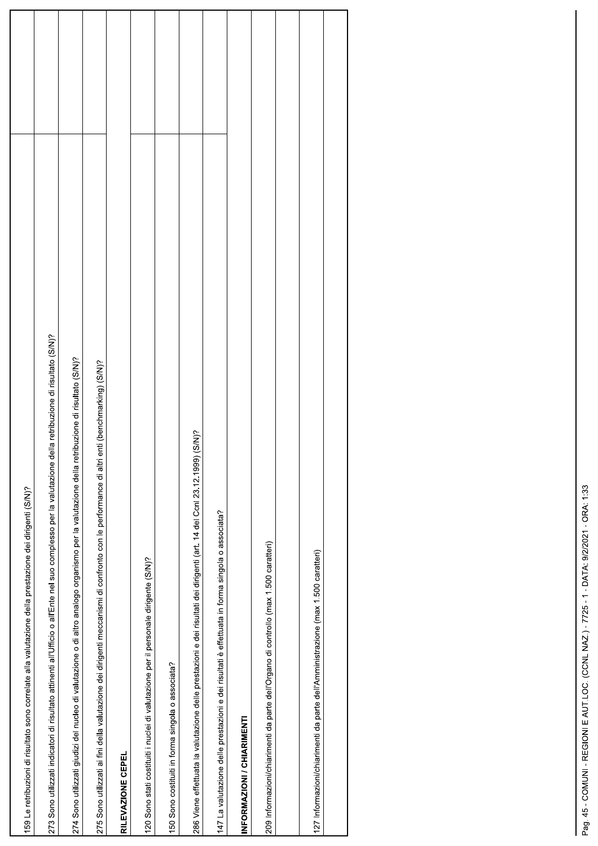| 159 Le retribuzioni di risultato sono correlate alla valutazione della prestazione dei dirigenti (S/N)?                                                  |  |
|----------------------------------------------------------------------------------------------------------------------------------------------------------|--|
| 273 Sono utilizzati indicatori di risultato attinenti all'Ufficio o all'Ente nel suo complesso per la valutazione della retribuzione di risultato (S/N)? |  |
| 274 Sono utilizzati giudizi del nucleo di valutazione o di altro analogo organismo per la valutazione della retribuzione di risultato (S/N)?             |  |
| enti (benchmarking) (S/N)?<br>275 Sono utilizzati ai fini della valutazione dei dirigenti meccanismi di confronto con le performance di altri            |  |
| RILEVAZIONE CEPEL                                                                                                                                        |  |
| 120 Sono stati costituiti i nuclei di valutazione per il personale dirigente (S/N)?                                                                      |  |
| 150 Sono costituiti in forma singola o associata?                                                                                                        |  |
| 286 Viene effettuata la valutazione delle prestazioni e dei risultati dei dirigenti (art. 14 del Conl 23.12.1999) (S/N)?                                 |  |
| 147 La valutazione delle prestazioni e dei risultati è effettuata in forma singola o associata?                                                          |  |
| INFORMAZIONI / CHIARIMENTI                                                                                                                               |  |
| 209 Informazioni/chiarimenti da parte dell'Organo di controllo (max 1.500 caratteri)                                                                     |  |
|                                                                                                                                                          |  |
| 127 Informazioni/chiarimenti da parte dell'Amministrazione (max 1.500 caratteri)                                                                         |  |
|                                                                                                                                                          |  |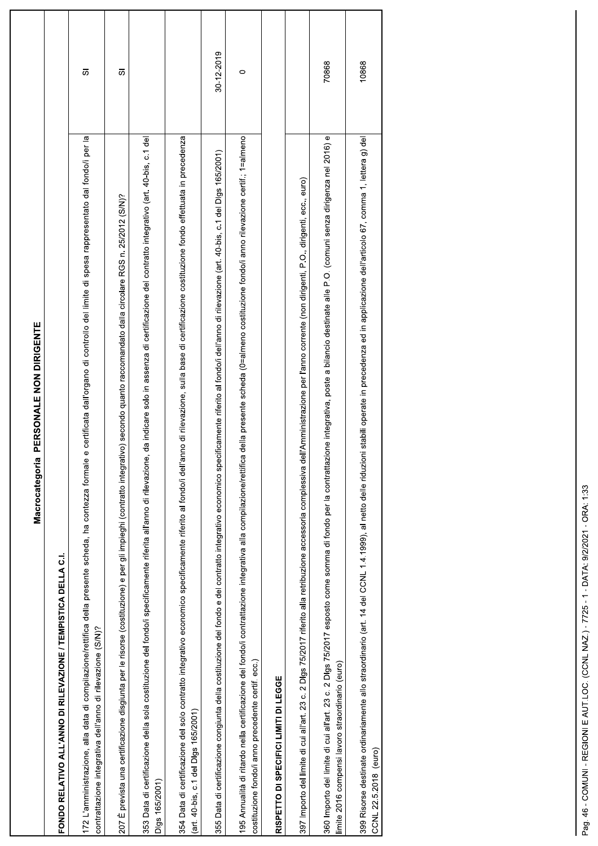| PERSONALE NON DIRIGENTE<br>Macrocategoria                                                                                                                                                                                                                       |            |
|-----------------------------------------------------------------------------------------------------------------------------------------------------------------------------------------------------------------------------------------------------------------|------------|
| FONDO RELATIVO ALL'ANNO DI RILEVAZIONE / TEMPISTICA DELLA C.I.                                                                                                                                                                                                  |            |
| 172 L'amministrazione, alla data di compilazione/rettifica della presente scheda, ha contezza formale e certificata dall'organo di controllo del limite di spesa rappresentato dal fondo/i per la<br>contrattazione integrativa dell'anno di rilevazione (S/N)? | あ          |
| 207 È prevista una certificazione disgiunta per le risorse (costituzione) e per gli impieghi (contratto integrativo) secondo quanto raccomandato dalla circolare RGS n. 25/2012 (S/N)?                                                                          | あ          |
| e, da indicare solo in assenza di certificazione del contratto integrativo (art. 40-bis, c.1 del<br>353 Data di certificazione della sola costituzione del fondo/i specificamente riferita all'anno di rilevazion<br>Digs 165/2001                              |            |
| 554 Data di certificazione del solo contratto integrativo economico specificamente riferito al fondo/i dell'anno di rilevazione, sulla base di certificazione costituzione fondo effettuata in precedenza<br>art. 40-bis, c.1 del Dlgs 165/2001)                |            |
| 355 Data di certificazione congiunta della costituzione del fondo e del contratto integrativo economico specificamente riferito al fondo/i dell'anno di rilevazione (art. 40-bis, c.1 del Digs 165/2001)                                                        | 30-12-2019 |
| 95 Annualità di ritardo nella certificazione del fondo/i contrattazione integrativa alla compilazione/rettifica della presente scheda (0=almeno costituzione fondo/i anno rilevazione certif.; 1=almeno<br>costituzione fondo/i anno precedente certif. ecc.)   | $\circ$    |
| RISPETTO DI SPECIFICI LIMITI DI LEGGE                                                                                                                                                                                                                           |            |
| dell'Amministrazione per l'anno corrente (non dirigenti, P.O., dirigenti, ecc., euro)<br>397 Importo del limite di cui all'art. 23 c. 2 Digs 75/2017 riferito alla retribuzione accessoria complessiva o                                                        |            |
| 360 Importo del límite di cui all'art. 23 c. 2 Digs 75/2017 esposto come somma di fondo per la contrattazione integrativa, poste a bilancio destinate alle P.O. (comuni senza dirigenza nel 2016) e<br>imite 2016 compensi lavoro straordinario (euro)          | 70868      |
| 999 Risorse destinate ordinariamente allo straordinario (art. 14 del CCNL 14.1999), al netto delle riduzioni stabili operate in precedenza ed in applicazione dell'articolo 67, comma 1, lettera g) del<br>CCNL 22.5.2018 (euro)                                | 10868      |
|                                                                                                                                                                                                                                                                 |            |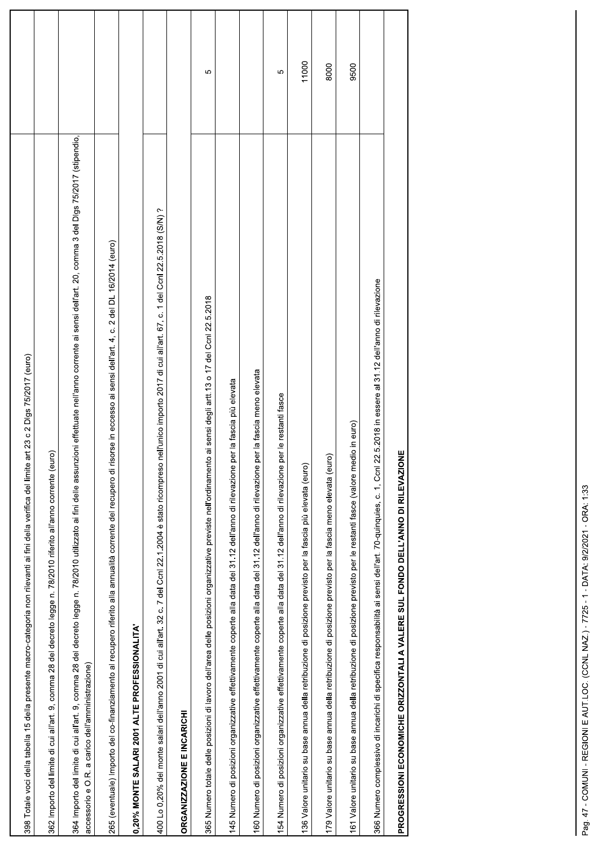| art 23 c 2 Digs 75/2017 (euro)<br>398 Totale voci della tabella 15 della presente macro-categoria non rilevanti ai fini della verifica del limite                                                                                                                 |       |
|-------------------------------------------------------------------------------------------------------------------------------------------------------------------------------------------------------------------------------------------------------------------|-------|
| $\widehat{e}$<br>362 Importo del limite di cui all'art. 9, comma 28 del decreto legge n. 78/2010 riferito all'anno corrente (eu                                                                                                                                   |       |
| 364 Importo del limite di cui all'art. 9, comma 28 del decreto legge n. 78/2010 utilizzato ai fini delle assunzioni effettuate nell'anno corrente ai sensi dell'art. 20, comma 3 del Digs 75/2017 (stipendio,<br>accessorio e O.R. a carico dell'amministrazione) |       |
| 265 (eventuale) Importo del co-finanziamento al recupero riferito alla annualità corrente del recupero di risorse in eccesso ai sensi dell'art. 4, c. 2 del DL 16/2014 (euro)                                                                                     |       |
| 0,20% MONTE SALARI 2001 ALTE PROFESSIONALITAY                                                                                                                                                                                                                     |       |
| nell'unico importo 2017 di cui all'art. 67, c. 1 del Ccnl 22.5.2018 (S/N)?<br>400 Lo 0,20% del monte salari dell'anno 2001 di cui all'art. 32 c. 7 del Ccnl 22.1.2004 è stato ricompreso                                                                          |       |
| ORGANIZZAZIONE E INCARICHI                                                                                                                                                                                                                                        |       |
| 365 Numero totale delle posizioni di lavoro dell'area delle posizioni organizzative previste nell'ordinamento ai sensi degli artt.13 o 17 del Ccnl 22.5.2018                                                                                                      | Ю     |
| er la fascia più elevata<br>145 Numero di posizioni organizzative effettivamente coperte alla data del 31.12 dell'anno di rilevazione p                                                                                                                           |       |
| er la fascia meno elevata<br>160 Numero di posizioni organizzative effettivamente coperte alla data del 31.12 dell'anno di rilevazione p                                                                                                                          |       |
| per le restanti fasce<br>154 Numero di posizioni organizzative effettivamente coperte alla data del 31.12 dell'anno di rilevazione                                                                                                                                | Ю     |
| 136 Valore unitario su base annua della retribuzione di posizione previsto per la fascia più elevata (euro)                                                                                                                                                       | 11000 |
| 179 Valore unitario su base annua della retribuzione di posizione previsto per la fascia meno elevata (euro)                                                                                                                                                      | 8000  |
| 161 Valore unitario su base annua della retribuzione di posizione previsto per le restanti fasce (valore medio in euro)                                                                                                                                           | 9500  |
| 366 Numero complessivo di incarichi di specifica responsabilità ai sensi dell'art. 70-quinquies, c. 1, Ccnl 22.5.2018 in essere al 31.12 dell'anno di rilevazione                                                                                                 |       |
| 쁮<br>PROGRESSIONI ECONOMICHE ORIZZONTALI A VALERE SUL FONDO DELL'ANNO DI RILEVAZIOI                                                                                                                                                                               |       |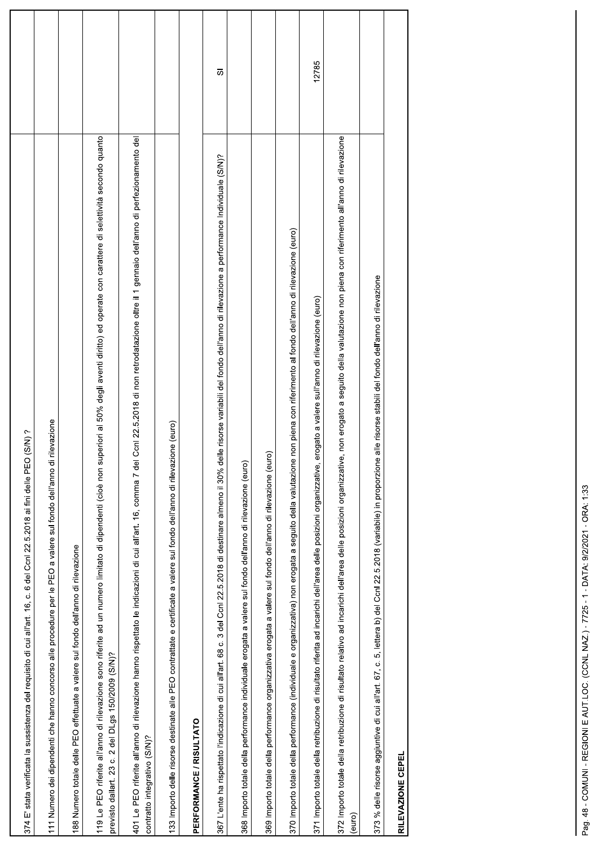| $O(S/N)$ ?<br>c. 6 del Ccnl 22.5.2018 ai fini delle PE<br>374 E' stata verificata la sussistenza del requisito di cui all'art. 16,                                                                                                                                       |                |
|--------------------------------------------------------------------------------------------------------------------------------------------------------------------------------------------------------------------------------------------------------------------------|----------------|
| 111 Numero dei dipendenti che hanno concorso alle procedure per le PEO a valere sul fondo dell'anno di rilevazione                                                                                                                                                       |                |
| 188 Numero totale delle PEO effettuate a valere sul fondo dell'anno di rilevazione                                                                                                                                                                                       |                |
| 119 Le PEO riferite all'anno di rilevazione sono riferite ad un numero limitato di dipendenti (cioè non superiori al 50% degli aventi diritto) ed operate con carattere di selettività secondo quanto<br>DLgs 150/2009 (S/N)?<br>$2$ del<br>ö<br>23<br>previsto dallart. |                |
| 401 Le PEO riferite all'anno di rilevazione hanno rispettato le indicazioni di cui all'art. 16, comma 7 del Ccnl 22.5.2018 di non retrodatazione oltre il 1 gennaio dell'anno di perfezionamento del<br>contratto integrativo (S/N)?                                     |                |
| 133 Importo delle risorse destinate alle PEO contrattate e certificate a valere sul fondo dell'anno di rilevazione (euro)                                                                                                                                                |                |
| PERFORMANCE / RISULTATO                                                                                                                                                                                                                                                  |                |
| 3 del Ccnl 22.5.2018 di destinare almeno il 30% delle risorse variabili del fondo dell'anno di rilevazione a performance Individuale (S/N)?<br>367 L'ente ha rispettato l'indicazione di cui all'art. 68 c.                                                              | $\overline{o}$ |
| 368 importo totale della performance individuale erogata a valere sul fondo dell'anno di rilevazione (euro)                                                                                                                                                              |                |
| 369 Importo totale della performance organizzativa erogata a valere sul fondo dell'anno di rilevazione (euro)                                                                                                                                                            |                |
| 370 Importo totale della performance (individuale e organizzativa) non erogata a seguito della valutazione non piena con riferimento al fondo dell'anno di rilevazione (euro)                                                                                            |                |
| erogato a valere sull'anno di rilevazione (euro)<br>371 Importo totale della retribuzione di risultato riferita ad incarichi dell'area delle posizioni organizzative,                                                                                                    | 12785          |
| re, non erogato a seguito della valutazione non piena con riferimento all'anno di rilevazione<br>372 Importo totale della retribuzione di risultato relativo ad incarichi dell'area delle posizioni organizzativ<br>(euro)                                               |                |
| 373 % delle risorse aggiuntive di cui all'art. 67, c. 5, lettera b) del Conl 22.5.2018 (variabile) in proporzione alle risorse stabili del fondo dell'anno di rilevazione                                                                                                |                |
| RILEVAZIONE CEPEL                                                                                                                                                                                                                                                        |                |